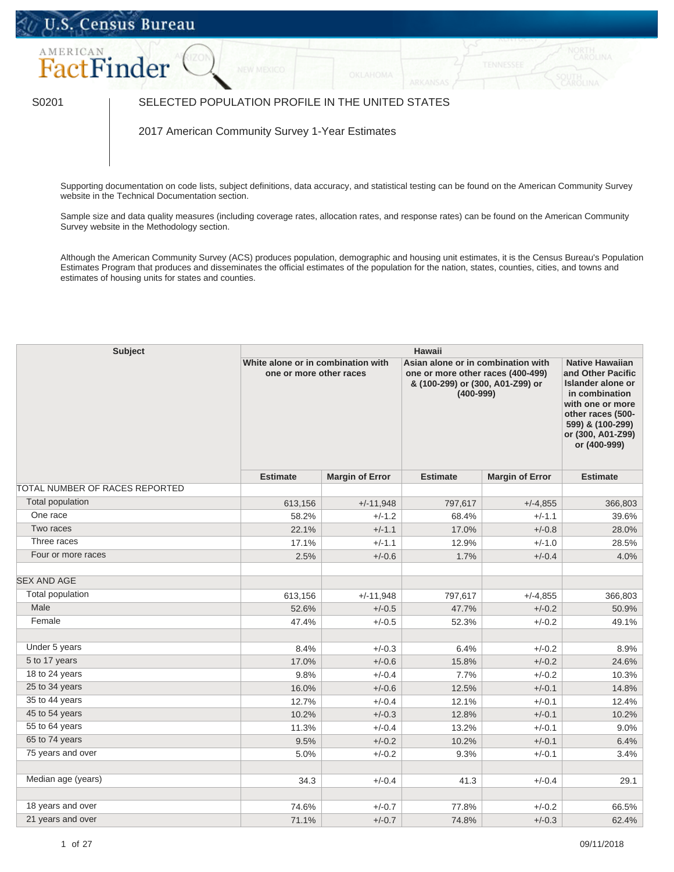## U.S. Census Bureau



## S0201 SELECTED POPULATION PROFILE IN THE UNITED STATES

2017 American Community Survey 1-Year Estimates

Supporting documentation on code lists, subject definitions, data accuracy, and statistical testing can be found on the American Community Survey website in the [Technical Documentation](https://www.census.gov/programs-surveys/acs/technical-documentation/code-lists.html) section.

Sample size and data quality measures (including coverage rates, allocation rates, and response rates) can be found on the American Community Survey website in the [Methodology](https://www.census.gov/acs/www/methodology/sample_size_and_data_quality/) section.

Although the American Community Survey (ACS) produces population, demographic and housing unit estimates, it is the Census Bureau's Population Estimates Program that produces and disseminates the official estimates of the population for the nation, states, counties, cities, and towns and estimates of housing units for states and counties.

| <b>Subject</b>                 | <b>Hawaii</b>                                                 |                        |                                                                                                                              |                        |                                                                                                                                                                                             |  |  |
|--------------------------------|---------------------------------------------------------------|------------------------|------------------------------------------------------------------------------------------------------------------------------|------------------------|---------------------------------------------------------------------------------------------------------------------------------------------------------------------------------------------|--|--|
|                                | White alone or in combination with<br>one or more other races |                        | Asian alone or in combination with<br>one or more other races (400-499)<br>& (100-299) or (300, A01-Z99) or<br>$(400 - 999)$ |                        | <b>Native Hawaiian</b><br>and Other Pacific<br><b>Islander alone or</b><br>in combination<br>with one or more<br>other races (500-<br>599) & (100-299)<br>or (300, A01-Z99)<br>or (400-999) |  |  |
|                                | <b>Estimate</b>                                               | <b>Margin of Error</b> | <b>Estimate</b>                                                                                                              | <b>Margin of Error</b> | <b>Estimate</b>                                                                                                                                                                             |  |  |
| TOTAL NUMBER OF RACES REPORTED |                                                               |                        |                                                                                                                              |                        |                                                                                                                                                                                             |  |  |
| <b>Total population</b>        | 613,156                                                       | $+/-11,948$            | 797,617                                                                                                                      | $+/-4,855$             | 366,803                                                                                                                                                                                     |  |  |
| One race                       | 58.2%                                                         | $+/-1.2$               | 68.4%                                                                                                                        | $+/-1.1$               | 39.6%                                                                                                                                                                                       |  |  |
| Two races                      | 22.1%                                                         | $+/-1.1$               | 17.0%                                                                                                                        | $+/-0.8$               | 28.0%                                                                                                                                                                                       |  |  |
| Three races                    | 17.1%                                                         | $+/-1.1$               | 12.9%                                                                                                                        | $+/-1.0$               | 28.5%                                                                                                                                                                                       |  |  |
| Four or more races             | 2.5%                                                          | $+/-0.6$               | 1.7%                                                                                                                         | $+/-0.4$               | 4.0%                                                                                                                                                                                        |  |  |
| <b>SEX AND AGE</b>             |                                                               |                        |                                                                                                                              |                        |                                                                                                                                                                                             |  |  |
| Total population               | 613,156                                                       | $+/-11,948$            | 797,617                                                                                                                      | $+/-4,855$             | 366,803                                                                                                                                                                                     |  |  |
| Male                           | 52.6%                                                         | $+/-0.5$               | 47.7%                                                                                                                        | $+/-0.2$               | 50.9%                                                                                                                                                                                       |  |  |
| Female                         | 47.4%                                                         | $+/-0.5$               | 52.3%                                                                                                                        | $+/-0.2$               | 49.1%                                                                                                                                                                                       |  |  |
|                                |                                                               |                        |                                                                                                                              |                        |                                                                                                                                                                                             |  |  |
| Under 5 years                  | 8.4%                                                          | $+/-0.3$               | 6.4%                                                                                                                         | $+/-0.2$               | 8.9%                                                                                                                                                                                        |  |  |
| 5 to 17 years                  | 17.0%                                                         | $+/-0.6$               | 15.8%                                                                                                                        | $+/-0.2$               | 24.6%                                                                                                                                                                                       |  |  |
| 18 to 24 years                 | 9.8%                                                          | $+/-0.4$               | 7.7%                                                                                                                         | $+/-0.2$               | 10.3%                                                                                                                                                                                       |  |  |
| 25 to 34 years                 | 16.0%                                                         | $+/-0.6$               | 12.5%                                                                                                                        | $+/-0.1$               | 14.8%                                                                                                                                                                                       |  |  |
| 35 to 44 years                 | 12.7%                                                         | $+/-0.4$               | 12.1%                                                                                                                        | $+/-0.1$               | 12.4%                                                                                                                                                                                       |  |  |
| 45 to 54 years                 | 10.2%                                                         | $+/-0.3$               | 12.8%                                                                                                                        | $+/-0.1$               | 10.2%                                                                                                                                                                                       |  |  |
| 55 to 64 years                 | 11.3%                                                         | $+/-0.4$               | 13.2%                                                                                                                        | $+/-0.1$               | 9.0%                                                                                                                                                                                        |  |  |
| 65 to 74 years                 | 9.5%                                                          | $+/-0.2$               | 10.2%                                                                                                                        | $+/-0.1$               | 6.4%                                                                                                                                                                                        |  |  |
| 75 years and over              | 5.0%                                                          | $+/-0.2$               | 9.3%                                                                                                                         | $+/-0.1$               | 3.4%                                                                                                                                                                                        |  |  |
| Median age (years)             | 34.3                                                          | $+/-0.4$               | 41.3                                                                                                                         | $+/-0.4$               | 29.1                                                                                                                                                                                        |  |  |
|                                |                                                               |                        |                                                                                                                              |                        |                                                                                                                                                                                             |  |  |
| 18 years and over              | 74.6%                                                         | $+/-0.7$               | 77.8%                                                                                                                        | $+/-0.2$               | 66.5%                                                                                                                                                                                       |  |  |
| 21 years and over              | 71.1%                                                         | $+/-0.7$               | 74.8%                                                                                                                        | $+/-0.3$               | 62.4%                                                                                                                                                                                       |  |  |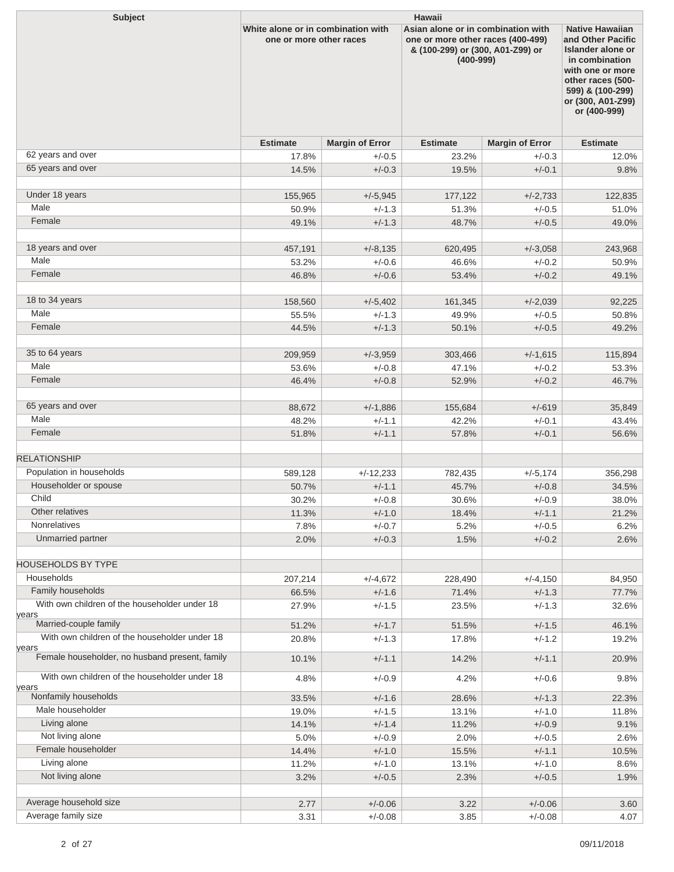| <b>Subject</b>                                 | <b>Hawaii</b>                                                 |                        |                                                                                                                              |                        |                                                                                                                                                                                             |  |  |
|------------------------------------------------|---------------------------------------------------------------|------------------------|------------------------------------------------------------------------------------------------------------------------------|------------------------|---------------------------------------------------------------------------------------------------------------------------------------------------------------------------------------------|--|--|
|                                                | White alone or in combination with<br>one or more other races |                        | Asian alone or in combination with<br>one or more other races (400-499)<br>& (100-299) or (300, A01-Z99) or<br>$(400 - 999)$ |                        | <b>Native Hawaiian</b><br>and Other Pacific<br><b>Islander alone or</b><br>in combination<br>with one or more<br>other races (500-<br>599) & (100-299)<br>or (300, A01-Z99)<br>or (400-999) |  |  |
|                                                | <b>Estimate</b>                                               | <b>Margin of Error</b> | <b>Estimate</b>                                                                                                              | <b>Margin of Error</b> | <b>Estimate</b>                                                                                                                                                                             |  |  |
| 62 years and over                              | 17.8%                                                         | $+/-0.5$               | 23.2%                                                                                                                        | $+/-0.3$               | 12.0%                                                                                                                                                                                       |  |  |
| 65 years and over                              | 14.5%                                                         | $+/-0.3$               | 19.5%                                                                                                                        | $+/-0.1$               | 9.8%                                                                                                                                                                                        |  |  |
|                                                |                                                               |                        |                                                                                                                              |                        |                                                                                                                                                                                             |  |  |
| Under 18 years                                 | 155,965                                                       | $+/-5,945$             | 177,122                                                                                                                      | $+/-2,733$             | 122,835                                                                                                                                                                                     |  |  |
| Male                                           | 50.9%                                                         | $+/-1.3$               | 51.3%                                                                                                                        | $+/-0.5$               | 51.0%                                                                                                                                                                                       |  |  |
| Female                                         | 49.1%                                                         | $+/-1.3$               | 48.7%                                                                                                                        | $+/-0.5$               | 49.0%                                                                                                                                                                                       |  |  |
| 18 years and over                              |                                                               |                        |                                                                                                                              |                        |                                                                                                                                                                                             |  |  |
| Male                                           | 457,191                                                       | $+/-8,135$<br>$+/-0.6$ | 620,495                                                                                                                      | $+/-3,058$<br>$+/-0.2$ | 243,968                                                                                                                                                                                     |  |  |
| Female                                         | 53.2%<br>46.8%                                                | $+/-0.6$               | 46.6%<br>53.4%                                                                                                               | $+/-0.2$               | 50.9%<br>49.1%                                                                                                                                                                              |  |  |
|                                                |                                                               |                        |                                                                                                                              |                        |                                                                                                                                                                                             |  |  |
| 18 to 34 years                                 | 158,560                                                       | $+/-5,402$             | 161,345                                                                                                                      | $+/-2,039$             | 92,225                                                                                                                                                                                      |  |  |
| Male                                           | 55.5%                                                         | $+/-1.3$               | 49.9%                                                                                                                        | $+/-0.5$               | 50.8%                                                                                                                                                                                       |  |  |
| Female                                         | 44.5%                                                         | $+/-1.3$               | 50.1%                                                                                                                        | $+/-0.5$               | 49.2%                                                                                                                                                                                       |  |  |
|                                                |                                                               |                        |                                                                                                                              |                        |                                                                                                                                                                                             |  |  |
| 35 to 64 years                                 | 209,959                                                       | $+/-3,959$             | 303,466                                                                                                                      | $+/-1,615$             | 115,894                                                                                                                                                                                     |  |  |
| Male                                           | 53.6%                                                         | $+/-0.8$               | 47.1%                                                                                                                        | $+/-0.2$               | 53.3%                                                                                                                                                                                       |  |  |
| Female                                         | 46.4%                                                         | $+/-0.8$               | 52.9%                                                                                                                        | $+/-0.2$               | 46.7%                                                                                                                                                                                       |  |  |
|                                                |                                                               |                        |                                                                                                                              |                        |                                                                                                                                                                                             |  |  |
| 65 years and over                              | 88,672                                                        | $+/-1,886$             | 155,684                                                                                                                      | $+/-619$               | 35,849                                                                                                                                                                                      |  |  |
| Male                                           | 48.2%                                                         | $+/-1.1$               | 42.2%                                                                                                                        | $+/-0.1$               | 43.4%                                                                                                                                                                                       |  |  |
| Female                                         | 51.8%                                                         | $+/-1.1$               | 57.8%                                                                                                                        | $+/-0.1$               | 56.6%                                                                                                                                                                                       |  |  |
|                                                |                                                               |                        |                                                                                                                              |                        |                                                                                                                                                                                             |  |  |
| <b>RELATIONSHIP</b>                            |                                                               |                        |                                                                                                                              |                        |                                                                                                                                                                                             |  |  |
| Population in households                       | 589,128                                                       | $+/-12,233$            | 782,435                                                                                                                      | $+/-5,174$             | 356,298                                                                                                                                                                                     |  |  |
| Householder or spouse<br>Child                 | 50.7%                                                         | $+/-1.1$               | 45.7%                                                                                                                        | $+/-0.8$               | 34.5%                                                                                                                                                                                       |  |  |
| Other relatives                                | 30.2%                                                         | $+/-0.8$               | 30.6%                                                                                                                        | $+/-0.9$               | 38.0%                                                                                                                                                                                       |  |  |
| Nonrelatives                                   | 11.3%<br>7.8%                                                 | $+/-1.0$<br>$+/-0.7$   | 18.4%<br>5.2%                                                                                                                | $+/-1.1$<br>$+/-0.5$   | 21.2%<br>6.2%                                                                                                                                                                               |  |  |
| Unmarried partner                              | 2.0%                                                          | $+/-0.3$               | 1.5%                                                                                                                         | $+/-0.2$               | 2.6%                                                                                                                                                                                        |  |  |
|                                                |                                                               |                        |                                                                                                                              |                        |                                                                                                                                                                                             |  |  |
| <b>HOUSEHOLDS BY TYPE</b>                      |                                                               |                        |                                                                                                                              |                        |                                                                                                                                                                                             |  |  |
| Households                                     | 207,214                                                       | $+/-4,672$             | 228,490                                                                                                                      | $+/-4,150$             | 84,950                                                                                                                                                                                      |  |  |
| Family households                              | 66.5%                                                         | $+/-1.6$               | 71.4%                                                                                                                        | $+/-1.3$               | 77.7%                                                                                                                                                                                       |  |  |
| With own children of the householder under 18  | 27.9%                                                         | $+/-1.5$               | 23.5%                                                                                                                        | $+/-1.3$               | 32.6%                                                                                                                                                                                       |  |  |
| years<br>Married-couple family                 |                                                               |                        |                                                                                                                              |                        |                                                                                                                                                                                             |  |  |
| With own children of the householder under 18  | 51.2%                                                         | $+/-1.7$               | 51.5%                                                                                                                        | $+/-1.5$               | 46.1%                                                                                                                                                                                       |  |  |
| years                                          | 20.8%                                                         | $+/-1.3$               | 17.8%                                                                                                                        | $+/-1.2$               | 19.2%                                                                                                                                                                                       |  |  |
| Female householder, no husband present, family | 10.1%                                                         | $+/-1.1$               | 14.2%                                                                                                                        | $+/-1.1$               | 20.9%                                                                                                                                                                                       |  |  |
| With own children of the householder under 18  | 4.8%                                                          | $+/-0.9$               | 4.2%                                                                                                                         | $+/-0.6$               | 9.8%                                                                                                                                                                                        |  |  |
| years                                          |                                                               |                        |                                                                                                                              |                        |                                                                                                                                                                                             |  |  |
| Nonfamily households                           | 33.5%                                                         | $+/-1.6$               | 28.6%                                                                                                                        | $+/-1.3$               | 22.3%                                                                                                                                                                                       |  |  |
| Male householder                               | 19.0%                                                         | $+/-1.5$               | 13.1%                                                                                                                        | $+/-1.0$               | 11.8%                                                                                                                                                                                       |  |  |
| Living alone                                   | 14.1%                                                         | $+/-1.4$               | 11.2%                                                                                                                        | $+/-0.9$               | 9.1%                                                                                                                                                                                        |  |  |
| Not living alone<br>Female householder         | 5.0%                                                          | $+/-0.9$               | 2.0%                                                                                                                         | $+/-0.5$               | 2.6%                                                                                                                                                                                        |  |  |
| Living alone                                   | 14.4%<br>11.2%                                                | $+/-1.0$<br>$+/-1.0$   | 15.5%                                                                                                                        | $+/-1.1$<br>$+/-1.0$   | 10.5%                                                                                                                                                                                       |  |  |
| Not living alone                               | 3.2%                                                          | $+/-0.5$               | 13.1%<br>2.3%                                                                                                                | $+/-0.5$               | 8.6%<br>1.9%                                                                                                                                                                                |  |  |
|                                                |                                                               |                        |                                                                                                                              |                        |                                                                                                                                                                                             |  |  |
| Average household size                         | 2.77                                                          | $+/-0.06$              | 3.22                                                                                                                         | $+/-0.06$              | 3.60                                                                                                                                                                                        |  |  |
| Average family size                            | 3.31                                                          | $+/-0.08$              | 3.85                                                                                                                         | $+/-0.08$              | 4.07                                                                                                                                                                                        |  |  |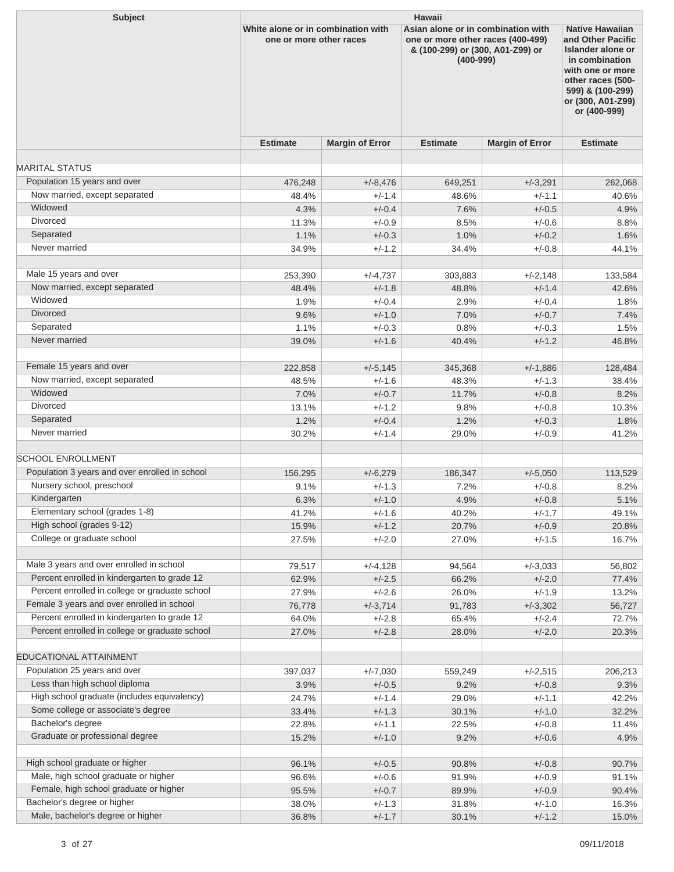| <b>Subject</b>                                 | <b>Hawaii</b>                                                 |                        |                                                                                                                              |                        |                                                                                                                                                                                      |  |  |
|------------------------------------------------|---------------------------------------------------------------|------------------------|------------------------------------------------------------------------------------------------------------------------------|------------------------|--------------------------------------------------------------------------------------------------------------------------------------------------------------------------------------|--|--|
|                                                | White alone or in combination with<br>one or more other races |                        | Asian alone or in combination with<br>one or more other races (400-499)<br>& (100-299) or (300, A01-Z99) or<br>$(400 - 999)$ |                        | <b>Native Hawaiian</b><br>and Other Pacific<br>Islander alone or<br>in combination<br>with one or more<br>other races (500-<br>599) & (100-299)<br>or (300, A01-Z99)<br>or (400-999) |  |  |
|                                                | <b>Estimate</b>                                               | <b>Margin of Error</b> | <b>Estimate</b>                                                                                                              | <b>Margin of Error</b> | <b>Estimate</b>                                                                                                                                                                      |  |  |
| <b>MARITAL STATUS</b>                          |                                                               |                        |                                                                                                                              |                        |                                                                                                                                                                                      |  |  |
| Population 15 years and over                   |                                                               |                        |                                                                                                                              |                        |                                                                                                                                                                                      |  |  |
| Now married, except separated                  | 476,248                                                       | $+/-8,476$             | 649,251                                                                                                                      | $+/-3,291$             | 262,068                                                                                                                                                                              |  |  |
| Widowed                                        | 48.4%<br>4.3%                                                 | $+/-1.4$<br>$+/-0.4$   | 48.6%<br>7.6%                                                                                                                | $+/-1.1$<br>$+/-0.5$   | 40.6%<br>4.9%                                                                                                                                                                        |  |  |
| Divorced                                       | 11.3%                                                         | $+/-0.9$               | 8.5%                                                                                                                         | $+/-0.6$               |                                                                                                                                                                                      |  |  |
| Separated                                      | 1.1%                                                          | $+/-0.3$               | 1.0%                                                                                                                         | $+/-0.2$               | 8.8%<br>1.6%                                                                                                                                                                         |  |  |
| Never married                                  | 34.9%                                                         | $+/-1.2$               | 34.4%                                                                                                                        | $+/-0.8$               | 44.1%                                                                                                                                                                                |  |  |
|                                                |                                                               |                        |                                                                                                                              |                        |                                                                                                                                                                                      |  |  |
| Male 15 years and over                         | 253,390                                                       | +/-4,737               | 303,883                                                                                                                      | $+/-2,148$             | 133,584                                                                                                                                                                              |  |  |
| Now married, except separated                  | 48.4%                                                         | $+/-1.8$               | 48.8%                                                                                                                        | $+/-1.4$               | 42.6%                                                                                                                                                                                |  |  |
| Widowed                                        | 1.9%                                                          | $+/-0.4$               | 2.9%                                                                                                                         | $+/-0.4$               | 1.8%                                                                                                                                                                                 |  |  |
| <b>Divorced</b>                                | 9.6%                                                          | $+/-1.0$               | 7.0%                                                                                                                         | $+/-0.7$               | 7.4%                                                                                                                                                                                 |  |  |
| Separated                                      | 1.1%                                                          | $+/-0.3$               | 0.8%                                                                                                                         | $+/-0.3$               | 1.5%                                                                                                                                                                                 |  |  |
| Never married                                  | 39.0%                                                         | $+/-1.6$               | 40.4%                                                                                                                        | $+/-1.2$               | 46.8%                                                                                                                                                                                |  |  |
| Female 15 years and over                       | 222,858                                                       | $+/-5,145$             | 345,368                                                                                                                      | $+/-1,886$             | 128,484                                                                                                                                                                              |  |  |
| Now married, except separated                  | 48.5%                                                         | $+/-1.6$               | 48.3%                                                                                                                        | $+/-1.3$               | 38.4%                                                                                                                                                                                |  |  |
| Widowed                                        | 7.0%                                                          | $+/-0.7$               | 11.7%                                                                                                                        | $+/-0.8$               | 8.2%                                                                                                                                                                                 |  |  |
| Divorced                                       | 13.1%                                                         | $+/-1.2$               | 9.8%                                                                                                                         | $+/-0.8$               | 10.3%                                                                                                                                                                                |  |  |
| Separated                                      | 1.2%                                                          | $+/-0.4$               | 1.2%                                                                                                                         | $+/-0.3$               | 1.8%                                                                                                                                                                                 |  |  |
| Never married                                  | 30.2%                                                         | $+/-1.4$               | 29.0%                                                                                                                        | $+/-0.9$               | 41.2%                                                                                                                                                                                |  |  |
| <b>SCHOOL ENROLLMENT</b>                       |                                                               |                        |                                                                                                                              |                        |                                                                                                                                                                                      |  |  |
| Population 3 years and over enrolled in school | 156,295                                                       | $+/-6,279$             | 186,347                                                                                                                      | $+/-5,050$             | 113,529                                                                                                                                                                              |  |  |
| Nursery school, preschool                      | 9.1%                                                          | $+/-1.3$               | 7.2%                                                                                                                         | $+/-0.8$               | 8.2%                                                                                                                                                                                 |  |  |
| Kindergarten                                   | 6.3%                                                          | $+/-1.0$               | 4.9%                                                                                                                         | $+/-0.8$               | 5.1%                                                                                                                                                                                 |  |  |
| Elementary school (grades 1-8)                 | 41.2%                                                         | $+/-1.6$               | 40.2%                                                                                                                        | $+/-1.7$               | 49.1%                                                                                                                                                                                |  |  |
| High school (grades 9-12)                      | 15.9%                                                         | $+/-1.2$               | 20.7%                                                                                                                        | $+/-0.9$               | 20.8%                                                                                                                                                                                |  |  |
| College or graduate school                     | 27.5%                                                         | $+/-2.0$               | 27.0%                                                                                                                        | $+/-1.5$               | 16.7%                                                                                                                                                                                |  |  |
| Male 3 years and over enrolled in school       | 79,517                                                        | $+/-4,128$             | 94,564                                                                                                                       | $+/-3,033$             | 56,802                                                                                                                                                                               |  |  |
| Percent enrolled in kindergarten to grade 12   | 62.9%                                                         | $+/-2.5$               | 66.2%                                                                                                                        | $+/-2.0$               | 77.4%                                                                                                                                                                                |  |  |
| Percent enrolled in college or graduate school | 27.9%                                                         | $+/-2.6$               | 26.0%                                                                                                                        | $+/-1.9$               | 13.2%                                                                                                                                                                                |  |  |
| Female 3 years and over enrolled in school     | 76,778                                                        | $+/-3,714$             | 91,783                                                                                                                       | $+/-3,302$             | 56,727                                                                                                                                                                               |  |  |
| Percent enrolled in kindergarten to grade 12   | 64.0%                                                         | $+/-2.8$               | 65.4%                                                                                                                        | $+/-2.4$               | 72.7%                                                                                                                                                                                |  |  |
| Percent enrolled in college or graduate school | 27.0%                                                         | $+/-2.8$               | 28.0%                                                                                                                        | $+/-2.0$               | 20.3%                                                                                                                                                                                |  |  |
| EDUCATIONAL ATTAINMENT                         |                                                               |                        |                                                                                                                              |                        |                                                                                                                                                                                      |  |  |
| Population 25 years and over                   | 397,037                                                       | $+/-7,030$             | 559,249                                                                                                                      | $+/-2,515$             | 206,213                                                                                                                                                                              |  |  |
| Less than high school diploma                  | 3.9%                                                          | $+/-0.5$               | 9.2%                                                                                                                         | $+/-0.8$               | 9.3%                                                                                                                                                                                 |  |  |
| High school graduate (includes equivalency)    | 24.7%                                                         | $+/-1.4$               | 29.0%                                                                                                                        | $+/-1.1$               | 42.2%                                                                                                                                                                                |  |  |
| Some college or associate's degree             | 33.4%                                                         | $+/-1.3$               | 30.1%                                                                                                                        | $+/-1.0$               | 32.2%                                                                                                                                                                                |  |  |
| Bachelor's degree                              | 22.8%                                                         | $+/-1.1$               | 22.5%                                                                                                                        | $+/-0.8$               | 11.4%                                                                                                                                                                                |  |  |
| Graduate or professional degree                | 15.2%                                                         | $+/-1.0$               | 9.2%                                                                                                                         | $+/-0.6$               | 4.9%                                                                                                                                                                                 |  |  |
| High school graduate or higher                 |                                                               |                        |                                                                                                                              |                        |                                                                                                                                                                                      |  |  |
| Male, high school graduate or higher           | 96.1%<br>96.6%                                                | $+/-0.5$<br>$+/-0.6$   | 90.8%<br>91.9%                                                                                                               | $+/-0.8$<br>$+/-0.9$   | 90.7%<br>91.1%                                                                                                                                                                       |  |  |
| Female, high school graduate or higher         | 95.5%                                                         | $+/-0.7$               | 89.9%                                                                                                                        | $+/-0.9$               | 90.4%                                                                                                                                                                                |  |  |
| Bachelor's degree or higher                    | 38.0%                                                         | $+/-1.3$               | 31.8%                                                                                                                        | $+/-1.0$               | 16.3%                                                                                                                                                                                |  |  |
| Male, bachelor's degree or higher              | 36.8%                                                         | $+/-1.7$               | 30.1%                                                                                                                        | $+/-1.2$               | 15.0%                                                                                                                                                                                |  |  |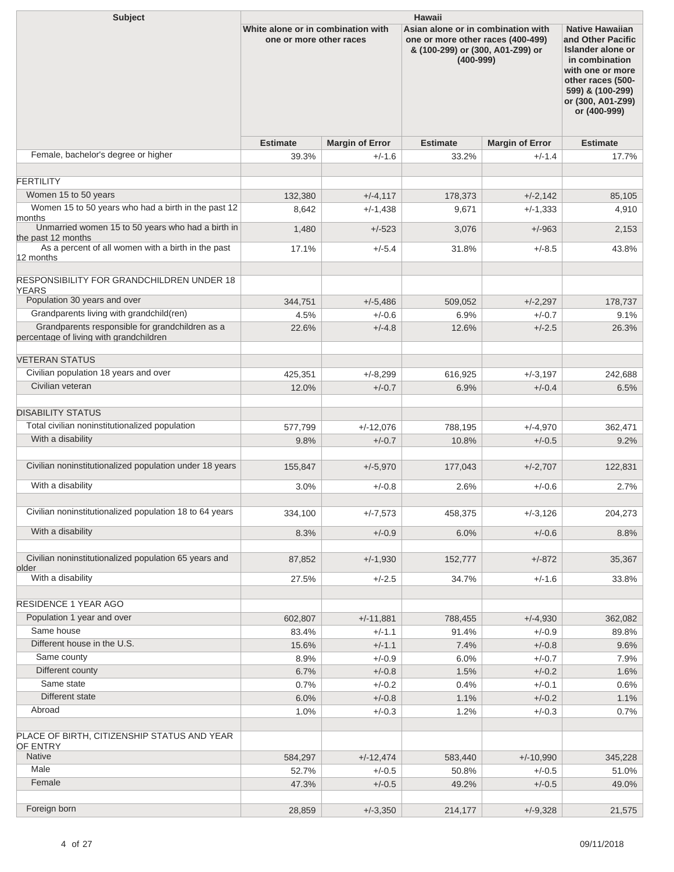| <b>Subject</b>                                                                             | <b>Hawaii</b>                                                 |                        |                                                                                                                              |                        |                                                                                                                                                                                             |  |  |
|--------------------------------------------------------------------------------------------|---------------------------------------------------------------|------------------------|------------------------------------------------------------------------------------------------------------------------------|------------------------|---------------------------------------------------------------------------------------------------------------------------------------------------------------------------------------------|--|--|
|                                                                                            | White alone or in combination with<br>one or more other races |                        | Asian alone or in combination with<br>one or more other races (400-499)<br>& (100-299) or (300, A01-Z99) or<br>$(400 - 999)$ |                        | <b>Native Hawaiian</b><br>and Other Pacific<br><b>Islander alone or</b><br>in combination<br>with one or more<br>other races (500-<br>599) & (100-299)<br>or (300, A01-Z99)<br>or (400-999) |  |  |
|                                                                                            | <b>Estimate</b>                                               | <b>Margin of Error</b> | <b>Estimate</b>                                                                                                              | <b>Margin of Error</b> | <b>Estimate</b>                                                                                                                                                                             |  |  |
| Female, bachelor's degree or higher                                                        | 39.3%                                                         | $+/-1.6$               | 33.2%                                                                                                                        | $+/-1.4$               | 17.7%                                                                                                                                                                                       |  |  |
|                                                                                            |                                                               |                        |                                                                                                                              |                        |                                                                                                                                                                                             |  |  |
| <b>FERTILITY</b>                                                                           |                                                               |                        |                                                                                                                              |                        |                                                                                                                                                                                             |  |  |
| Women 15 to 50 years<br>Women 15 to 50 years who had a birth in the past 12                | 132,380                                                       | $+/-4, 117$            | 178,373                                                                                                                      | $+/-2,142$             | 85,105                                                                                                                                                                                      |  |  |
| months                                                                                     | 8,642                                                         | $+/-1,438$             | 9,671                                                                                                                        | $+/-1,333$             | 4,910                                                                                                                                                                                       |  |  |
| Unmarried women 15 to 50 years who had a birth in<br>the past 12 months                    | 1,480                                                         | $+/-523$               | 3,076                                                                                                                        | $+/-963$               | 2,153                                                                                                                                                                                       |  |  |
| As a percent of all women with a birth in the past<br>12 months                            | 17.1%                                                         | $+/-5.4$               | 31.8%                                                                                                                        | $+/-8.5$               | 43.8%                                                                                                                                                                                       |  |  |
| <b>RESPONSIBILITY FOR GRANDCHILDREN UNDER 18</b><br><b>YEARS</b>                           |                                                               |                        |                                                                                                                              |                        |                                                                                                                                                                                             |  |  |
| Population 30 years and over                                                               | 344,751                                                       | $+/-5,486$             | 509,052                                                                                                                      | $+/-2,297$             | 178,737                                                                                                                                                                                     |  |  |
| Grandparents living with grandchild(ren)                                                   | 4.5%                                                          | $+/-0.6$               | 6.9%                                                                                                                         | $+/-0.7$               | 9.1%                                                                                                                                                                                        |  |  |
| Grandparents responsible for grandchildren as a<br>percentage of living with grandchildren | 22.6%                                                         | $+/-4.8$               | 12.6%                                                                                                                        | $+/-2.5$               | 26.3%                                                                                                                                                                                       |  |  |
| <b>VETERAN STATUS</b>                                                                      |                                                               |                        |                                                                                                                              |                        |                                                                                                                                                                                             |  |  |
| Civilian population 18 years and over                                                      | 425,351                                                       | $+/-8,299$             | 616,925                                                                                                                      | $+/-3,197$             | 242,688                                                                                                                                                                                     |  |  |
| Civilian veteran                                                                           | 12.0%                                                         | $+/-0.7$               | 6.9%                                                                                                                         | $+/-0.4$               | 6.5%                                                                                                                                                                                        |  |  |
| <b>DISABILITY STATUS</b>                                                                   |                                                               |                        |                                                                                                                              |                        |                                                                                                                                                                                             |  |  |
| Total civilian noninstitutionalized population                                             | 577,799                                                       | $+/-12,076$            | 788,195                                                                                                                      | $+/-4,970$             | 362,471                                                                                                                                                                                     |  |  |
| With a disability                                                                          | 9.8%                                                          | $+/-0.7$               | 10.8%                                                                                                                        | $+/-0.5$               | 9.2%                                                                                                                                                                                        |  |  |
|                                                                                            |                                                               |                        |                                                                                                                              |                        |                                                                                                                                                                                             |  |  |
| Civilian noninstitutionalized population under 18 years                                    | 155,847                                                       | $+/-5,970$             | 177,043                                                                                                                      | $+/-2,707$             | 122,831                                                                                                                                                                                     |  |  |
| With a disability                                                                          | 3.0%                                                          | $+/-0.8$               | 2.6%                                                                                                                         | $+/-0.6$               | 2.7%                                                                                                                                                                                        |  |  |
| Civilian noninstitutionalized population 18 to 64 years                                    | 334,100                                                       | $+/-7,573$             | 458,375                                                                                                                      | $+/-3,126$             | 204,273                                                                                                                                                                                     |  |  |
| With a disability                                                                          | 8.3%                                                          | $+/-0.9$               | 6.0%                                                                                                                         | $+/-0.6$               | 8.8%                                                                                                                                                                                        |  |  |
|                                                                                            |                                                               |                        |                                                                                                                              |                        |                                                                                                                                                                                             |  |  |
| Civilian noninstitutionalized population 65 years and<br>older                             | 87,852                                                        | $+/-1,930$             | 152,777                                                                                                                      | $+/-872$               | 35,367                                                                                                                                                                                      |  |  |
| With a disability                                                                          | 27.5%                                                         | $+/-2.5$               | 34.7%                                                                                                                        | $+/-1.6$               | 33.8%                                                                                                                                                                                       |  |  |
| <b>RESIDENCE 1 YEAR AGO</b>                                                                |                                                               |                        |                                                                                                                              |                        |                                                                                                                                                                                             |  |  |
| Population 1 year and over                                                                 | 602,807                                                       | $+/-11,881$            | 788,455                                                                                                                      | $+/-4,930$             | 362,082                                                                                                                                                                                     |  |  |
| Same house                                                                                 | 83.4%                                                         | $+/-1.1$               | 91.4%                                                                                                                        | $+/-0.9$               | 89.8%                                                                                                                                                                                       |  |  |
| Different house in the U.S.                                                                | 15.6%                                                         | $+/-1.1$               | 7.4%                                                                                                                         | $+/-0.8$               | 9.6%                                                                                                                                                                                        |  |  |
| Same county                                                                                | 8.9%                                                          | $+/-0.9$               | 6.0%                                                                                                                         | $+/-0.7$               | 7.9%                                                                                                                                                                                        |  |  |
| Different county                                                                           | 6.7%                                                          | $+/-0.8$               | 1.5%                                                                                                                         | $+/-0.2$               | 1.6%                                                                                                                                                                                        |  |  |
| Same state                                                                                 | 0.7%                                                          | $+/-0.2$               | 0.4%                                                                                                                         | $+/-0.1$               | 0.6%                                                                                                                                                                                        |  |  |
| Different state                                                                            | 6.0%                                                          | $+/-0.8$               | 1.1%                                                                                                                         | $+/-0.2$               | 1.1%                                                                                                                                                                                        |  |  |
| Abroad                                                                                     | 1.0%                                                          | $+/-0.3$               | 1.2%                                                                                                                         | $+/-0.3$               | 0.7%                                                                                                                                                                                        |  |  |
| PLACE OF BIRTH, CITIZENSHIP STATUS AND YEAR<br>OF ENTRY                                    |                                                               |                        |                                                                                                                              |                        |                                                                                                                                                                                             |  |  |
| Native                                                                                     | 584,297                                                       | $+/-12,474$            | 583,440                                                                                                                      | $+/-10,990$            | 345,228                                                                                                                                                                                     |  |  |
| Male                                                                                       | 52.7%                                                         | $+/-0.5$               | 50.8%                                                                                                                        | $+/-0.5$               | 51.0%                                                                                                                                                                                       |  |  |
| Female                                                                                     | 47.3%                                                         | $+/-0.5$               | 49.2%                                                                                                                        | $+/-0.5$               | 49.0%                                                                                                                                                                                       |  |  |
|                                                                                            |                                                               |                        |                                                                                                                              |                        |                                                                                                                                                                                             |  |  |
| Foreign born                                                                               | 28,859                                                        | $+/-3,350$             | 214,177                                                                                                                      | $+/-9,328$             | 21,575                                                                                                                                                                                      |  |  |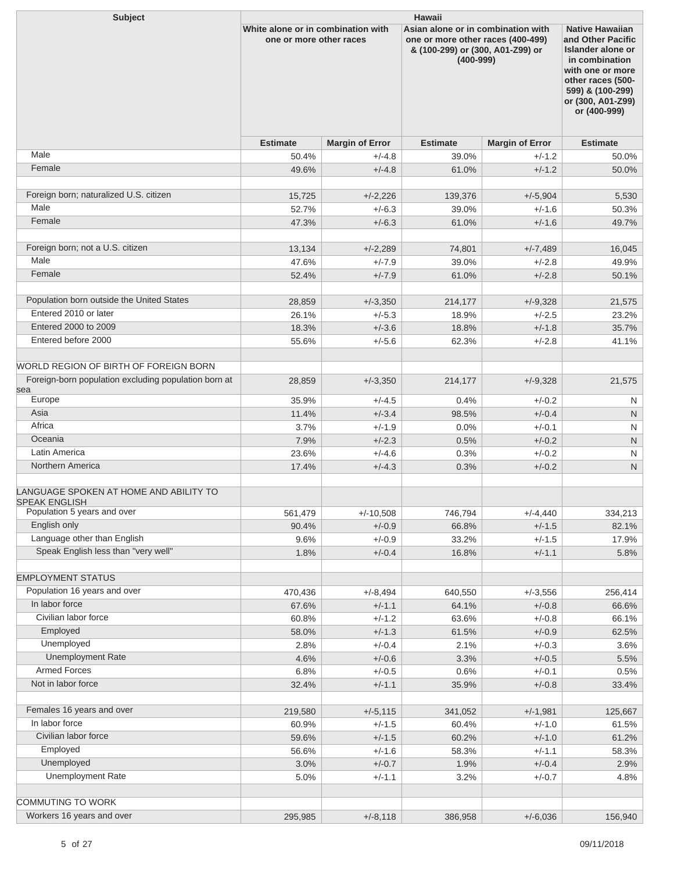| <b>Subject</b>                                                 | Hawaii                                                        |                        |                                                                                                                              |                        |                                                                                                                                                                                             |  |  |
|----------------------------------------------------------------|---------------------------------------------------------------|------------------------|------------------------------------------------------------------------------------------------------------------------------|------------------------|---------------------------------------------------------------------------------------------------------------------------------------------------------------------------------------------|--|--|
|                                                                | White alone or in combination with<br>one or more other races |                        | Asian alone or in combination with<br>one or more other races (400-499)<br>& (100-299) or (300, A01-Z99) or<br>$(400 - 999)$ |                        | <b>Native Hawaiian</b><br>and Other Pacific<br><b>Islander alone or</b><br>in combination<br>with one or more<br>other races (500-<br>599) & (100-299)<br>or (300, A01-Z99)<br>or (400-999) |  |  |
|                                                                | <b>Estimate</b>                                               | <b>Margin of Error</b> | <b>Estimate</b>                                                                                                              | <b>Margin of Error</b> | <b>Estimate</b>                                                                                                                                                                             |  |  |
| Male                                                           | 50.4%                                                         | $+/-4.8$               | 39.0%                                                                                                                        | $+/-1.2$               | 50.0%                                                                                                                                                                                       |  |  |
| Female                                                         | 49.6%                                                         | $+/-4.8$               | 61.0%                                                                                                                        | $+/-1.2$               | 50.0%                                                                                                                                                                                       |  |  |
|                                                                |                                                               |                        |                                                                                                                              |                        |                                                                                                                                                                                             |  |  |
| Foreign born; naturalized U.S. citizen                         | 15,725                                                        | $+/-2,226$             | 139,376                                                                                                                      | $+/-5,904$             | 5,530                                                                                                                                                                                       |  |  |
| Male                                                           | 52.7%                                                         | $+/-6.3$               | 39.0%                                                                                                                        | $+/-1.6$               | 50.3%                                                                                                                                                                                       |  |  |
| Female                                                         | 47.3%                                                         | $+/-6.3$               | 61.0%                                                                                                                        | $+/-1.6$               | 49.7%                                                                                                                                                                                       |  |  |
| Foreign born; not a U.S. citizen                               | 13,134                                                        | $+/-2,289$             | 74,801                                                                                                                       | $+/-7,489$             | 16,045                                                                                                                                                                                      |  |  |
| Male                                                           | 47.6%                                                         | $+/-7.9$               | 39.0%                                                                                                                        | $+/-2.8$               | 49.9%                                                                                                                                                                                       |  |  |
| Female                                                         | 52.4%                                                         | $+/-7.9$               | 61.0%                                                                                                                        | $+/-2.8$               | 50.1%                                                                                                                                                                                       |  |  |
|                                                                |                                                               |                        |                                                                                                                              |                        |                                                                                                                                                                                             |  |  |
| Population born outside the United States                      | 28,859                                                        | $+/-3,350$             | 214,177                                                                                                                      | $+/-9,328$             | 21,575                                                                                                                                                                                      |  |  |
| Entered 2010 or later                                          | 26.1%                                                         | $+/-5.3$               | 18.9%                                                                                                                        | $+/-2.5$               | 23.2%                                                                                                                                                                                       |  |  |
| Entered 2000 to 2009                                           | 18.3%                                                         | $+/-3.6$               | 18.8%                                                                                                                        | $+/-1.8$               | 35.7%                                                                                                                                                                                       |  |  |
| Entered before 2000                                            | 55.6%                                                         | $+/-5.6$               | 62.3%                                                                                                                        | $+/-2.8$               | 41.1%                                                                                                                                                                                       |  |  |
|                                                                |                                                               |                        |                                                                                                                              |                        |                                                                                                                                                                                             |  |  |
| WORLD REGION OF BIRTH OF FOREIGN BORN                          |                                                               |                        |                                                                                                                              |                        |                                                                                                                                                                                             |  |  |
| Foreign-born population excluding population born at           | 28,859                                                        | $+/-3,350$             | 214,177                                                                                                                      | $+/-9,328$             | 21,575                                                                                                                                                                                      |  |  |
| sea                                                            |                                                               |                        |                                                                                                                              |                        |                                                                                                                                                                                             |  |  |
| Europe                                                         | 35.9%                                                         | $+/-4.5$               | 0.4%                                                                                                                         | $+/-0.2$               | N                                                                                                                                                                                           |  |  |
| Asia                                                           | 11.4%                                                         | $+/-3.4$               | 98.5%                                                                                                                        | $+/-0.4$               | $\mathsf{N}$                                                                                                                                                                                |  |  |
| Africa                                                         | 3.7%                                                          | $+/-1.9$               | 0.0%                                                                                                                         | $+/-0.1$               | N                                                                                                                                                                                           |  |  |
| Oceania                                                        | 7.9%                                                          | $+/-2.3$               | 0.5%                                                                                                                         | $+/-0.2$               | $\mathsf{N}$                                                                                                                                                                                |  |  |
| Latin America                                                  | 23.6%                                                         | $+/-4.6$               | 0.3%                                                                                                                         | $+/-0.2$               | N                                                                                                                                                                                           |  |  |
| Northern America                                               | 17.4%                                                         | $+/-4.3$               | 0.3%                                                                                                                         | $+/-0.2$               | $\mathsf{N}$                                                                                                                                                                                |  |  |
| LANGUAGE SPOKEN AT HOME AND ABILITY TO<br><b>SPEAK ENGLISH</b> |                                                               |                        |                                                                                                                              |                        |                                                                                                                                                                                             |  |  |
| Population 5 years and over                                    | 561,479                                                       | $+/-10,508$            | 746,794                                                                                                                      | $+/-4,440$             | 334,213                                                                                                                                                                                     |  |  |
| English only                                                   | 90.4%                                                         | $+/-0.9$               | 66.8%                                                                                                                        | $+/-1.5$               | 82.1%                                                                                                                                                                                       |  |  |
| Language other than English                                    | 9.6%                                                          | $+/-0.9$               | 33.2%                                                                                                                        | $+/-1.5$               | 17.9%                                                                                                                                                                                       |  |  |
| Speak English less than "very well"                            | 1.8%                                                          | $+/-0.4$               | 16.8%                                                                                                                        | $+/-1.1$               | 5.8%                                                                                                                                                                                        |  |  |
|                                                                |                                                               |                        |                                                                                                                              |                        |                                                                                                                                                                                             |  |  |
| <b>EMPLOYMENT STATUS</b>                                       |                                                               |                        |                                                                                                                              |                        |                                                                                                                                                                                             |  |  |
| Population 16 years and over<br>In labor force                 | 470,436                                                       | $+/-8,494$             | 640,550                                                                                                                      | $+/-3,556$             | 256,414                                                                                                                                                                                     |  |  |
| Civilian labor force                                           | 67.6%                                                         | $+/-1.1$               | 64.1%                                                                                                                        | $+/-0.8$               | 66.6%                                                                                                                                                                                       |  |  |
| Employed                                                       | 60.8%                                                         | $+/-1.2$               | 63.6%                                                                                                                        | $+/-0.8$               | 66.1%                                                                                                                                                                                       |  |  |
| Unemployed                                                     | 58.0%                                                         | $+/-1.3$               | 61.5%                                                                                                                        | $+/-0.9$               | 62.5%                                                                                                                                                                                       |  |  |
| <b>Unemployment Rate</b>                                       | 2.8%                                                          | $+/-0.4$               | 2.1%                                                                                                                         | $+/-0.3$               | 3.6%                                                                                                                                                                                        |  |  |
| <b>Armed Forces</b>                                            | 4.6%                                                          | $+/-0.6$               | 3.3%                                                                                                                         | $+/-0.5$               | 5.5%                                                                                                                                                                                        |  |  |
| Not in labor force                                             | 6.8%                                                          | $+/-0.5$               | 0.6%                                                                                                                         | $+/-0.1$               | 0.5%                                                                                                                                                                                        |  |  |
|                                                                | 32.4%                                                         | $+/-1.1$               | 35.9%                                                                                                                        | $+/-0.8$               | 33.4%                                                                                                                                                                                       |  |  |
| Females 16 years and over                                      | 219,580                                                       | $+/-5,115$             | 341,052                                                                                                                      | $+/-1,981$             | 125,667                                                                                                                                                                                     |  |  |
| In labor force                                                 | 60.9%                                                         | $+/-1.5$               | 60.4%                                                                                                                        | $+/-1.0$               | 61.5%                                                                                                                                                                                       |  |  |
| Civilian labor force                                           | 59.6%                                                         | $+/-1.5$               | 60.2%                                                                                                                        | $+/-1.0$               | 61.2%                                                                                                                                                                                       |  |  |
| Employed                                                       | 56.6%                                                         | $+/-1.6$               | 58.3%                                                                                                                        | $+/-1.1$               | 58.3%                                                                                                                                                                                       |  |  |
| Unemployed                                                     | 3.0%                                                          | $+/-0.7$               | 1.9%                                                                                                                         | $+/-0.4$               | 2.9%                                                                                                                                                                                        |  |  |
| <b>Unemployment Rate</b>                                       | 5.0%                                                          | $+/-1.1$               | 3.2%                                                                                                                         | $+/-0.7$               | 4.8%                                                                                                                                                                                        |  |  |
|                                                                |                                                               |                        |                                                                                                                              |                        |                                                                                                                                                                                             |  |  |
| <b>COMMUTING TO WORK</b>                                       |                                                               |                        |                                                                                                                              |                        |                                                                                                                                                                                             |  |  |
| Workers 16 years and over                                      | 295,985                                                       | $+/-8,118$             | 386,958                                                                                                                      | $+/-6,036$             | 156,940                                                                                                                                                                                     |  |  |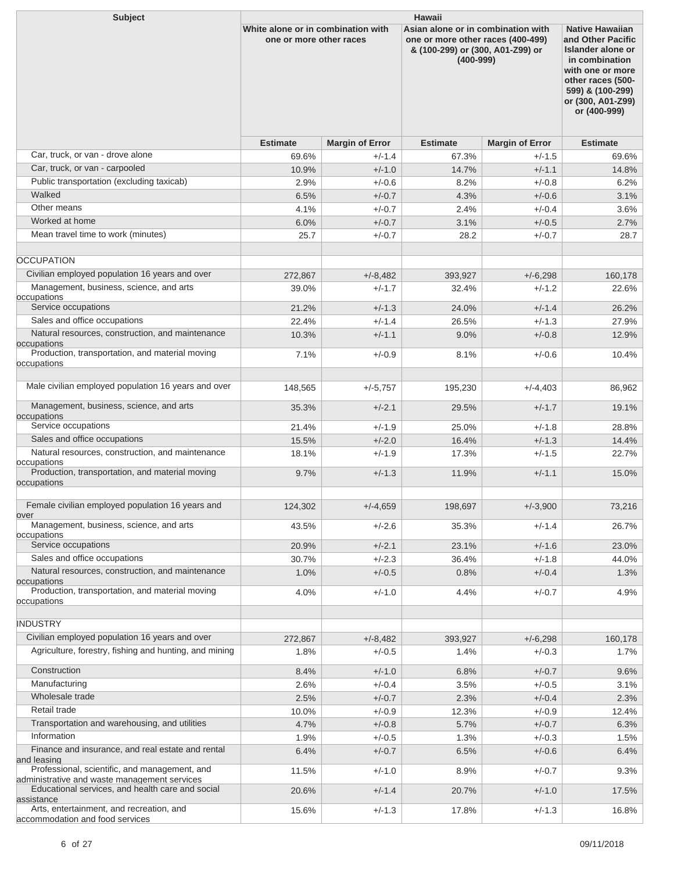| <b>Subject</b>                                                                                | <b>Hawaii</b>                                                 |                        |                                                                                                                              |                        |                                                                                                                                                                                      |  |
|-----------------------------------------------------------------------------------------------|---------------------------------------------------------------|------------------------|------------------------------------------------------------------------------------------------------------------------------|------------------------|--------------------------------------------------------------------------------------------------------------------------------------------------------------------------------------|--|
|                                                                                               | White alone or in combination with<br>one or more other races |                        | Asian alone or in combination with<br>one or more other races (400-499)<br>& (100-299) or (300, A01-Z99) or<br>$(400 - 999)$ |                        | <b>Native Hawaiian</b><br>and Other Pacific<br>Islander alone or<br>in combination<br>with one or more<br>other races (500-<br>599) & (100-299)<br>or (300, A01-Z99)<br>or (400-999) |  |
|                                                                                               | <b>Estimate</b>                                               | <b>Margin of Error</b> | <b>Estimate</b>                                                                                                              | <b>Margin of Error</b> | <b>Estimate</b>                                                                                                                                                                      |  |
| Car, truck, or van - drove alone                                                              | 69.6%                                                         | $+/-1.4$               | 67.3%                                                                                                                        | $+/-1.5$               | 69.6%                                                                                                                                                                                |  |
| Car, truck, or van - carpooled                                                                | 10.9%                                                         | $+/-1.0$               | 14.7%                                                                                                                        | $+/-1.1$               | 14.8%                                                                                                                                                                                |  |
| Public transportation (excluding taxicab)                                                     | 2.9%                                                          | $+/-0.6$               | 8.2%                                                                                                                         | $+/-0.8$               | 6.2%                                                                                                                                                                                 |  |
| Walked                                                                                        | 6.5%                                                          | $+/-0.7$               | 4.3%                                                                                                                         | $+/-0.6$               | 3.1%                                                                                                                                                                                 |  |
| Other means                                                                                   | 4.1%                                                          | $+/-0.7$               | 2.4%                                                                                                                         | $+/-0.4$               | 3.6%                                                                                                                                                                                 |  |
| Worked at home                                                                                | 6.0%                                                          | $+/-0.7$               | 3.1%                                                                                                                         | $+/-0.5$               | 2.7%                                                                                                                                                                                 |  |
| Mean travel time to work (minutes)                                                            | 25.7                                                          | $+/-0.7$               | 28.2                                                                                                                         | $+/-0.7$               | 28.7                                                                                                                                                                                 |  |
| <b>OCCUPATION</b>                                                                             |                                                               |                        |                                                                                                                              |                        |                                                                                                                                                                                      |  |
| Civilian employed population 16 years and over                                                | 272,867                                                       | $+/-8,482$             | 393,927                                                                                                                      | $+/-6,298$             | 160,178                                                                                                                                                                              |  |
| Management, business, science, and arts                                                       | 39.0%                                                         | $+/-1.7$               | 32.4%                                                                                                                        | $+/-1.2$               | 22.6%                                                                                                                                                                                |  |
| occupations<br>Service occupations                                                            |                                                               |                        |                                                                                                                              |                        |                                                                                                                                                                                      |  |
| Sales and office occupations                                                                  | 21.2%                                                         | $+/-1.3$<br>$+/-1.4$   | 24.0%                                                                                                                        | $+/-1.4$<br>$+/-1.3$   | 26.2%                                                                                                                                                                                |  |
| Natural resources, construction, and maintenance                                              | 22.4%<br>10.3%                                                | $+/-1.1$               | 26.5%<br>9.0%                                                                                                                | $+/-0.8$               | 27.9%<br>12.9%                                                                                                                                                                       |  |
| occupations                                                                                   |                                                               |                        |                                                                                                                              |                        |                                                                                                                                                                                      |  |
| Production, transportation, and material moving<br>occupations                                | 7.1%                                                          | $+/-0.9$               | 8.1%                                                                                                                         | $+/-0.6$               | 10.4%                                                                                                                                                                                |  |
| Male civilian employed population 16 years and over                                           | 148,565                                                       | $+/-5,757$             | 195,230                                                                                                                      | $+/-4,403$             | 86,962                                                                                                                                                                               |  |
| Management, business, science, and arts<br>occupations                                        | 35.3%                                                         | $+/-2.1$               | 29.5%                                                                                                                        | $+/-1.7$               | 19.1%                                                                                                                                                                                |  |
| Service occupations                                                                           | 21.4%                                                         | $+/-1.9$               | 25.0%                                                                                                                        | $+/-1.8$               | 28.8%                                                                                                                                                                                |  |
| Sales and office occupations                                                                  | 15.5%                                                         | $+/-2.0$               | 16.4%                                                                                                                        | $+/-1.3$               | 14.4%                                                                                                                                                                                |  |
| Natural resources, construction, and maintenance                                              | 18.1%                                                         | $+/-1.9$               | 17.3%                                                                                                                        | $+/-1.5$               | 22.7%                                                                                                                                                                                |  |
| occupations<br>Production, transportation, and material moving<br>occupations                 | 9.7%                                                          | $+/-1.3$               | 11.9%                                                                                                                        | $+/-1.1$               | 15.0%                                                                                                                                                                                |  |
| Female civilian employed population 16 years and<br>over                                      | 124,302                                                       | $+/-4,659$             | 198,697                                                                                                                      | $+/-3,900$             | 73,216                                                                                                                                                                               |  |
| Management, business, science, and arts                                                       | 43.5%                                                         | $+/-2.6$               | 35.3%                                                                                                                        | $+/-1.4$               | 26.7%                                                                                                                                                                                |  |
| occupations<br>Service occupations                                                            |                                                               |                        |                                                                                                                              |                        |                                                                                                                                                                                      |  |
| Sales and office occupations                                                                  | 20.9%<br>30.7%                                                | $+/-2.1$<br>$+/-2.3$   | 23.1%<br>36.4%                                                                                                               | $+/-1.6$<br>$+/-1.8$   | 23.0%<br>44.0%                                                                                                                                                                       |  |
| Natural resources, construction, and maintenance                                              | 1.0%                                                          | $+/-0.5$               | 0.8%                                                                                                                         | $+/-0.4$               | 1.3%                                                                                                                                                                                 |  |
| occupations                                                                                   |                                                               |                        |                                                                                                                              |                        |                                                                                                                                                                                      |  |
| Production, transportation, and material moving<br>occupations                                | 4.0%                                                          | $+/-1.0$               | 4.4%                                                                                                                         | $+/-0.7$               | 4.9%                                                                                                                                                                                 |  |
| <b>INDUSTRY</b>                                                                               |                                                               |                        |                                                                                                                              |                        |                                                                                                                                                                                      |  |
| Civilian employed population 16 years and over                                                | 272,867                                                       | $+/-8,482$             | 393,927                                                                                                                      | $+/-6,298$             | 160,178                                                                                                                                                                              |  |
| Agriculture, forestry, fishing and hunting, and mining                                        | 1.8%                                                          | $+/-0.5$               | 1.4%                                                                                                                         | $+/-0.3$               | 1.7%                                                                                                                                                                                 |  |
| Construction                                                                                  | 8.4%                                                          | $+/-1.0$               | 6.8%                                                                                                                         | $+/-0.7$               | 9.6%                                                                                                                                                                                 |  |
| Manufacturing                                                                                 | 2.6%                                                          | $+/-0.4$               | 3.5%                                                                                                                         | $+/-0.5$               | 3.1%                                                                                                                                                                                 |  |
| Wholesale trade                                                                               | 2.5%                                                          | $+/-0.7$               | 2.3%                                                                                                                         | $+/-0.4$               | 2.3%                                                                                                                                                                                 |  |
| Retail trade                                                                                  | 10.0%                                                         | $+/-0.9$               | 12.3%                                                                                                                        | $+/-0.9$               | 12.4%                                                                                                                                                                                |  |
| Transportation and warehousing, and utilities                                                 | 4.7%                                                          | $+/-0.8$               | 5.7%                                                                                                                         | $+/-0.7$               | 6.3%                                                                                                                                                                                 |  |
| Information                                                                                   | 1.9%                                                          | $+/-0.5$               | 1.3%                                                                                                                         | $+/-0.3$               | 1.5%                                                                                                                                                                                 |  |
| Finance and insurance, and real estate and rental<br>and leasing                              | 6.4%                                                          | $+/-0.7$               | 6.5%                                                                                                                         | $+/-0.6$               | 6.4%                                                                                                                                                                                 |  |
| Professional, scientific, and management, and<br>administrative and waste management services | 11.5%                                                         | $+/-1.0$               | 8.9%                                                                                                                         | $+/-0.7$               | 9.3%                                                                                                                                                                                 |  |
| Educational services, and health care and social<br>assistance                                | 20.6%                                                         | $+/-1.4$               | 20.7%                                                                                                                        | $+/-1.0$               | 17.5%                                                                                                                                                                                |  |
| Arts, entertainment, and recreation, and<br>accommodation and food services                   | 15.6%                                                         | $+/-1.3$               | 17.8%                                                                                                                        | $+/-1.3$               | 16.8%                                                                                                                                                                                |  |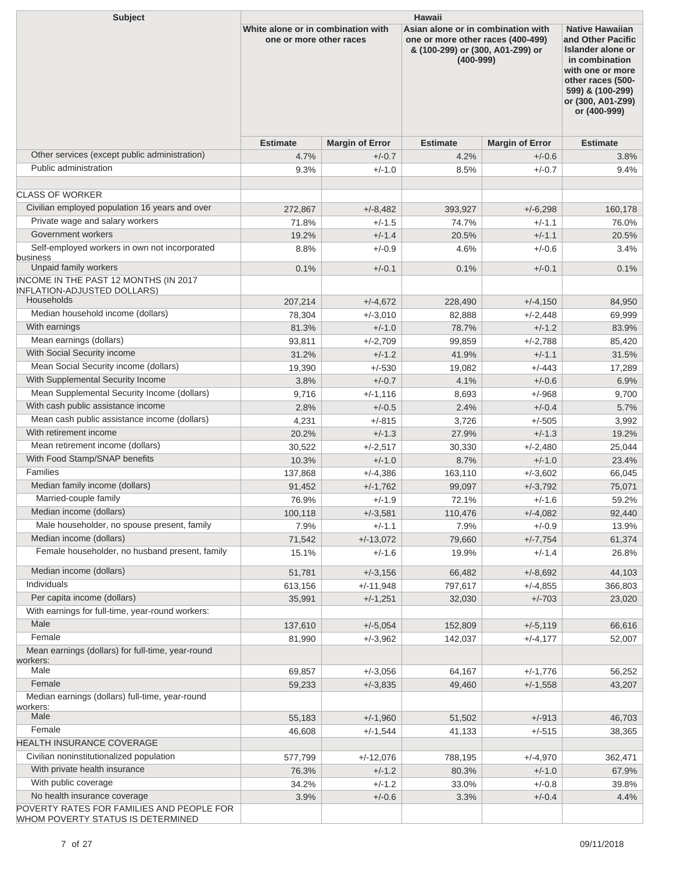| <b>Subject</b>                                                                   | <b>Hawaii</b>                                                 |                        |                                                                                                                              |                        |                                                                                                                                                                                             |  |  |
|----------------------------------------------------------------------------------|---------------------------------------------------------------|------------------------|------------------------------------------------------------------------------------------------------------------------------|------------------------|---------------------------------------------------------------------------------------------------------------------------------------------------------------------------------------------|--|--|
|                                                                                  | White alone or in combination with<br>one or more other races |                        | Asian alone or in combination with<br>one or more other races (400-499)<br>& (100-299) or (300, A01-Z99) or<br>$(400 - 999)$ |                        | <b>Native Hawaiian</b><br>and Other Pacific<br><b>Islander alone or</b><br>in combination<br>with one or more<br>other races (500-<br>599) & (100-299)<br>or (300, A01-Z99)<br>or (400-999) |  |  |
|                                                                                  | <b>Estimate</b>                                               | <b>Margin of Error</b> | <b>Estimate</b>                                                                                                              | <b>Margin of Error</b> | <b>Estimate</b>                                                                                                                                                                             |  |  |
| Other services (except public administration)                                    | 4.7%                                                          | $+/-0.7$               | 4.2%                                                                                                                         | $+/-0.6$               | 3.8%                                                                                                                                                                                        |  |  |
| Public administration                                                            | 9.3%                                                          | $+/-1.0$               | 8.5%                                                                                                                         | $+/-0.7$               | 9.4%                                                                                                                                                                                        |  |  |
|                                                                                  |                                                               |                        |                                                                                                                              |                        |                                                                                                                                                                                             |  |  |
| <b>CLASS OF WORKER</b>                                                           |                                                               |                        |                                                                                                                              |                        |                                                                                                                                                                                             |  |  |
| Civilian employed population 16 years and over                                   | 272,867                                                       | $+/-8,482$             | 393,927                                                                                                                      | $+/-6,298$             | 160,178                                                                                                                                                                                     |  |  |
| Private wage and salary workers                                                  | 71.8%                                                         | $+/-1.5$               | 74.7%                                                                                                                        | $+/-1.1$               | 76.0%                                                                                                                                                                                       |  |  |
| Government workers                                                               | 19.2%                                                         | $+/-1.4$               | 20.5%                                                                                                                        | $+/-1.1$               | 20.5%                                                                                                                                                                                       |  |  |
| Self-employed workers in own not incorporated<br>business                        | 8.8%                                                          | $+/-0.9$               | 4.6%                                                                                                                         | $+/-0.6$               | 3.4%                                                                                                                                                                                        |  |  |
| Unpaid family workers                                                            | 0.1%                                                          | $+/-0.1$               | 0.1%                                                                                                                         | $+/-0.1$               | 0.1%                                                                                                                                                                                        |  |  |
| INCOME IN THE PAST 12 MONTHS (IN 2017<br><b>INFLATION-ADJUSTED DOLLARS)</b>      |                                                               |                        |                                                                                                                              |                        |                                                                                                                                                                                             |  |  |
| Households                                                                       | 207,214                                                       | $+/-4,672$             | 228,490                                                                                                                      | $+/-4,150$             | 84,950                                                                                                                                                                                      |  |  |
| Median household income (dollars)                                                | 78,304                                                        | $+/-3,010$             | 82,888                                                                                                                       | $+/-2.448$             | 69,999                                                                                                                                                                                      |  |  |
| With earnings                                                                    | 81.3%                                                         | $+/-1.0$               | 78.7%                                                                                                                        | $+/-1.2$               | 83.9%                                                                                                                                                                                       |  |  |
| Mean earnings (dollars)                                                          | 93,811                                                        | $+/-2,709$             | 99,859                                                                                                                       | $+/-2,788$             | 85,420                                                                                                                                                                                      |  |  |
| With Social Security income                                                      | 31.2%                                                         | $+/-1.2$               | 41.9%                                                                                                                        | $+/-1.1$               | 31.5%                                                                                                                                                                                       |  |  |
| Mean Social Security income (dollars)                                            | 19,390                                                        | $+/-530$               | 19,082                                                                                                                       | $+/-443$               | 17,289                                                                                                                                                                                      |  |  |
| With Supplemental Security Income<br>Mean Supplemental Security Income (dollars) | 3.8%                                                          | $+/-0.7$               | 4.1%                                                                                                                         | $+/-0.6$               | 6.9%                                                                                                                                                                                        |  |  |
| With cash public assistance income                                               | 9,716                                                         | $+/-1,116$             | 8,693                                                                                                                        | $+/-968$               | 9,700                                                                                                                                                                                       |  |  |
| Mean cash public assistance income (dollars)                                     | 2.8%                                                          | $+/-0.5$               | 2.4%                                                                                                                         | $+/-0.4$               | 5.7%                                                                                                                                                                                        |  |  |
| With retirement income                                                           | 4,231                                                         | $+/-815$               | 3,726                                                                                                                        | $+/-505$               | 3,992                                                                                                                                                                                       |  |  |
| Mean retirement income (dollars)                                                 | 20.2%                                                         | $+/-1.3$               | 27.9%                                                                                                                        | $+/-1.3$               | 19.2%                                                                                                                                                                                       |  |  |
| With Food Stamp/SNAP benefits                                                    | 30,522                                                        | $+/-2,517$<br>$+/-1.0$ | 30,330<br>8.7%                                                                                                               | $+/-2.480$             | 25,044                                                                                                                                                                                      |  |  |
| Families                                                                         | 10.3%<br>137,868                                              | $+/-4,386$             | 163,110                                                                                                                      | $+/-1.0$<br>$+/-3,602$ | 23.4%<br>66,045                                                                                                                                                                             |  |  |
| Median family income (dollars)                                                   | 91,452                                                        | $+/-1,762$             | 99,097                                                                                                                       | $+/-3,792$             | 75,071                                                                                                                                                                                      |  |  |
| Married-couple family                                                            | 76.9%                                                         | $+/-1.9$               | 72.1%                                                                                                                        | $+/-1.6$               | 59.2%                                                                                                                                                                                       |  |  |
| Median income (dollars)                                                          | 100,118                                                       | $+/-3,581$             | 110,476                                                                                                                      | $+/-4,082$             | 92,440                                                                                                                                                                                      |  |  |
| Male householder, no spouse present, family                                      | 7.9%                                                          | $+/-1.1$               | 7.9%                                                                                                                         | $+/-0.9$               | 13.9%                                                                                                                                                                                       |  |  |
| Median income (dollars)                                                          | 71,542                                                        | $+/-13,072$            | 79,660                                                                                                                       | $+/-7,754$             | 61,374                                                                                                                                                                                      |  |  |
| Female householder, no husband present, family                                   | 15.1%                                                         | $+/-1.6$               | 19.9%                                                                                                                        | $+/-1.4$               | 26.8%                                                                                                                                                                                       |  |  |
| Median income (dollars)                                                          | 51,781                                                        | $+/-3,156$             | 66,482                                                                                                                       | $+/-8,692$             | 44,103                                                                                                                                                                                      |  |  |
| Individuals                                                                      | 613,156                                                       | $+/-11,948$            | 797,617                                                                                                                      | $+/-4,855$             | 366,803                                                                                                                                                                                     |  |  |
| Per capita income (dollars)                                                      | 35,991                                                        | $+/-1,251$             | 32,030                                                                                                                       | $+/-703$               | 23,020                                                                                                                                                                                      |  |  |
| With earnings for full-time, year-round workers:                                 |                                                               |                        |                                                                                                                              |                        |                                                                                                                                                                                             |  |  |
| Male                                                                             | 137,610                                                       | $+/-5,054$             | 152,809                                                                                                                      | $+/-5,119$             | 66,616                                                                                                                                                                                      |  |  |
| Female                                                                           | 81,990                                                        | $+/-3,962$             | 142,037                                                                                                                      | $+/-4,177$             | 52,007                                                                                                                                                                                      |  |  |
| Mean earnings (dollars) for full-time, year-round<br>workers:<br>Male            | 69,857                                                        | $+/-3,056$             | 64,167                                                                                                                       | $+/-1,776$             | 56,252                                                                                                                                                                                      |  |  |
| Female                                                                           | 59,233                                                        | $+/-3,835$             | 49,460                                                                                                                       | $+/-1,558$             | 43,207                                                                                                                                                                                      |  |  |
| Median earnings (dollars) full-time, year-round                                  |                                                               |                        |                                                                                                                              |                        |                                                                                                                                                                                             |  |  |
| workers:                                                                         |                                                               |                        |                                                                                                                              |                        |                                                                                                                                                                                             |  |  |
| Male                                                                             | 55,183                                                        | $+/-1,960$             | 51,502                                                                                                                       | $+/-913$               | 46,703                                                                                                                                                                                      |  |  |
| Female                                                                           | 46,608                                                        | $+/-1,544$             | 41,133                                                                                                                       | $+/-515$               | 38,365                                                                                                                                                                                      |  |  |
| HEALTH INSURANCE COVERAGE                                                        |                                                               |                        |                                                                                                                              |                        |                                                                                                                                                                                             |  |  |
| Civilian noninstitutionalized population                                         | 577,799                                                       | $+/-12,076$            | 788,195                                                                                                                      | $+/-4,970$             | 362,471                                                                                                                                                                                     |  |  |
| With private health insurance                                                    | 76.3%                                                         | $+/-1.2$               | 80.3%                                                                                                                        | $+/-1.0$               | 67.9%                                                                                                                                                                                       |  |  |
| With public coverage                                                             | 34.2%                                                         | $+/-1.2$               | 33.0%                                                                                                                        | $+/-0.8$               | 39.8%                                                                                                                                                                                       |  |  |
| No health insurance coverage<br>POVERTY RATES FOR FAMILIES AND PEOPLE FOR        | 3.9%                                                          | $+/-0.6$               | 3.3%                                                                                                                         | $+/-0.4$               | 4.4%                                                                                                                                                                                        |  |  |
| WHOM POVERTY STATUS IS DETERMINED                                                |                                                               |                        |                                                                                                                              |                        |                                                                                                                                                                                             |  |  |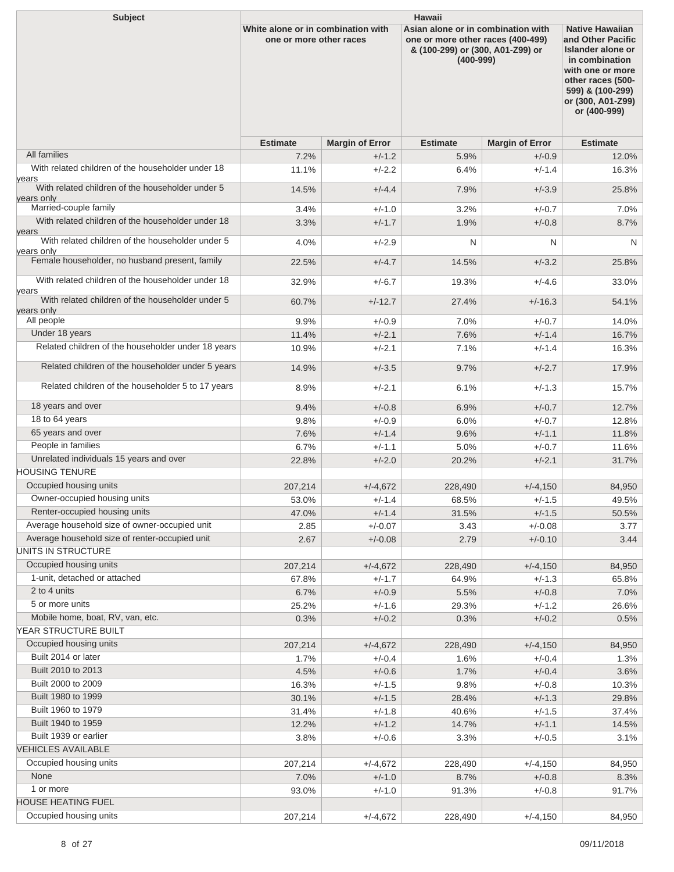| <b>Subject</b>                                            | <b>Hawaii</b>                                                 |                        |                                                                                                                              |                        |                                                                                                                                                                                      |  |  |
|-----------------------------------------------------------|---------------------------------------------------------------|------------------------|------------------------------------------------------------------------------------------------------------------------------|------------------------|--------------------------------------------------------------------------------------------------------------------------------------------------------------------------------------|--|--|
|                                                           | White alone or in combination with<br>one or more other races |                        | Asian alone or in combination with<br>one or more other races (400-499)<br>& (100-299) or (300, A01-Z99) or<br>$(400 - 999)$ |                        | <b>Native Hawaiian</b><br>and Other Pacific<br>Islander alone or<br>in combination<br>with one or more<br>other races (500-<br>599) & (100-299)<br>or (300, A01-Z99)<br>or (400-999) |  |  |
|                                                           | <b>Estimate</b>                                               | <b>Margin of Error</b> | <b>Estimate</b>                                                                                                              | <b>Margin of Error</b> | <b>Estimate</b>                                                                                                                                                                      |  |  |
| All families                                              | 7.2%                                                          | $+/-1.2$               | 5.9%                                                                                                                         | $+/-0.9$               | 12.0%                                                                                                                                                                                |  |  |
| With related children of the householder under 18         | 11.1%                                                         | $+/-2.2$               | 6.4%                                                                                                                         | $+/-1.4$               | 16.3%                                                                                                                                                                                |  |  |
| years<br>With related children of the householder under 5 |                                                               |                        |                                                                                                                              |                        |                                                                                                                                                                                      |  |  |
| years only                                                | 14.5%                                                         | $+/-4.4$               | 7.9%                                                                                                                         | $+/-3.9$               | 25.8%                                                                                                                                                                                |  |  |
| Married-couple family                                     | 3.4%                                                          | $+/-1.0$               | 3.2%                                                                                                                         | $+/-0.7$               | 7.0%                                                                                                                                                                                 |  |  |
| With related children of the householder under 18         | 3.3%                                                          | $+/-1.7$               | 1.9%                                                                                                                         | $+/-0.8$               | 8.7%                                                                                                                                                                                 |  |  |
| years<br>With related children of the householder under 5 |                                                               |                        |                                                                                                                              |                        |                                                                                                                                                                                      |  |  |
| vears only                                                | 4.0%                                                          | $+/-2.9$               | N                                                                                                                            | N                      | N                                                                                                                                                                                    |  |  |
| Female householder, no husband present, family            | 22.5%                                                         | $+/-4.7$               | 14.5%                                                                                                                        | $+/-3.2$               | 25.8%                                                                                                                                                                                |  |  |
| With related children of the householder under 18         |                                                               |                        |                                                                                                                              |                        |                                                                                                                                                                                      |  |  |
| years                                                     | 32.9%                                                         | $+/-6.7$               | 19.3%                                                                                                                        | $+/-4.6$               | 33.0%                                                                                                                                                                                |  |  |
| With related children of the householder under 5          | 60.7%                                                         | $+/-12.7$              | 27.4%                                                                                                                        | $+/-16.3$              | 54.1%                                                                                                                                                                                |  |  |
| years only<br>All people                                  |                                                               |                        |                                                                                                                              |                        |                                                                                                                                                                                      |  |  |
|                                                           | 9.9%                                                          | $+/-0.9$               | 7.0%                                                                                                                         | $+/-0.7$               | 14.0%                                                                                                                                                                                |  |  |
| Under 18 years                                            | 11.4%                                                         | $+/-2.1$               | 7.6%                                                                                                                         | $+/-1.4$               | 16.7%                                                                                                                                                                                |  |  |
| Related children of the householder under 18 years        | 10.9%                                                         | $+/-2.1$               | 7.1%                                                                                                                         | $+/-1.4$               | 16.3%                                                                                                                                                                                |  |  |
| Related children of the householder under 5 years         | 14.9%                                                         | $+/-3.5$               | 9.7%                                                                                                                         | $+/-2.7$               | 17.9%                                                                                                                                                                                |  |  |
| Related children of the householder 5 to 17 years         | 8.9%                                                          | $+/-2.1$               | 6.1%                                                                                                                         | $+/-1.3$               | 15.7%                                                                                                                                                                                |  |  |
| 18 years and over                                         | 9.4%                                                          | $+/-0.8$               | 6.9%                                                                                                                         | $+/-0.7$               | 12.7%                                                                                                                                                                                |  |  |
| 18 to 64 years                                            | 9.8%                                                          | $+/-0.9$               | 6.0%                                                                                                                         | $+/-0.7$               | 12.8%                                                                                                                                                                                |  |  |
| 65 years and over                                         | 7.6%                                                          | $+/-1.4$               | 9.6%                                                                                                                         | $+/-1.1$               | 11.8%                                                                                                                                                                                |  |  |
| People in families                                        | 6.7%                                                          | $+/-1.1$               | 5.0%                                                                                                                         | $+/-0.7$               | 11.6%                                                                                                                                                                                |  |  |
| Unrelated individuals 15 years and over                   | 22.8%                                                         | $+/-2.0$               | 20.2%                                                                                                                        | $+/-2.1$               | 31.7%                                                                                                                                                                                |  |  |
| <b>HOUSING TENURE</b>                                     |                                                               |                        |                                                                                                                              |                        |                                                                                                                                                                                      |  |  |
| Occupied housing units                                    | 207,214                                                       | $+/-4,672$             | 228,490                                                                                                                      | $+/-4,150$             | 84,950                                                                                                                                                                               |  |  |
| Owner-occupied housing units                              | 53.0%                                                         | $+/-1.4$               | 68.5%                                                                                                                        | $+/-1.5$               | 49.5%                                                                                                                                                                                |  |  |
| Renter-occupied housing units                             | 47.0%                                                         | $+/-1.4$               | 31.5%                                                                                                                        | $+/-1.5$               | 50.5%                                                                                                                                                                                |  |  |
| Average household size of owner-occupied unit             | 2.85                                                          | $+/-0.07$              | 3.43                                                                                                                         | $+/-0.08$              | 3.77                                                                                                                                                                                 |  |  |
| Average household size of renter-occupied unit            | 2.67                                                          | $+/-0.08$              | 2.79                                                                                                                         | $+/-0.10$              | 3.44                                                                                                                                                                                 |  |  |
| UNITS IN STRUCTURE                                        |                                                               |                        |                                                                                                                              |                        |                                                                                                                                                                                      |  |  |
| Occupied housing units                                    | 207,214                                                       | $+/-4,672$             | 228,490                                                                                                                      | $+/-4,150$             | 84,950                                                                                                                                                                               |  |  |
| 1-unit, detached or attached                              | 67.8%                                                         | $+/-1.7$               | 64.9%                                                                                                                        | $+/-1.3$               | 65.8%                                                                                                                                                                                |  |  |
| 2 to 4 units                                              | 6.7%                                                          | $+/-0.9$               | 5.5%                                                                                                                         | $+/-0.8$               | 7.0%                                                                                                                                                                                 |  |  |
| 5 or more units                                           | 25.2%                                                         | $+/-1.6$               | 29.3%                                                                                                                        | $+/-1.2$               | 26.6%                                                                                                                                                                                |  |  |
| Mobile home, boat, RV, van, etc.                          | 0.3%                                                          | $+/-0.2$               | 0.3%                                                                                                                         | $+/-0.2$               | 0.5%                                                                                                                                                                                 |  |  |
| YEAR STRUCTURE BUILT                                      |                                                               |                        |                                                                                                                              |                        |                                                                                                                                                                                      |  |  |
| Occupied housing units                                    | 207,214                                                       | $+/-4,672$             | 228,490                                                                                                                      | $+/-4,150$             | 84,950                                                                                                                                                                               |  |  |
| Built 2014 or later                                       | 1.7%                                                          | $+/-0.4$               | 1.6%                                                                                                                         | $+/-0.4$               | 1.3%                                                                                                                                                                                 |  |  |
| Built 2010 to 2013                                        | 4.5%                                                          | $+/-0.6$               | 1.7%                                                                                                                         | $+/-0.4$               | 3.6%                                                                                                                                                                                 |  |  |
| Built 2000 to 2009                                        | 16.3%                                                         | $+/-1.5$               | 9.8%                                                                                                                         | $+/-0.8$               | 10.3%                                                                                                                                                                                |  |  |
| Built 1980 to 1999                                        | 30.1%                                                         | $+/-1.5$               | 28.4%                                                                                                                        | $+/-1.3$               | 29.8%                                                                                                                                                                                |  |  |
| Built 1960 to 1979                                        | 31.4%                                                         | $+/-1.8$               | 40.6%                                                                                                                        | $+/-1.5$               | 37.4%                                                                                                                                                                                |  |  |
| Built 1940 to 1959                                        | 12.2%                                                         | $+/-1.2$               | 14.7%                                                                                                                        | $+/-1.1$               | 14.5%                                                                                                                                                                                |  |  |
| Built 1939 or earlier                                     | 3.8%                                                          | $+/-0.6$               | 3.3%                                                                                                                         | $+/-0.5$               | 3.1%                                                                                                                                                                                 |  |  |
| <b>VEHICLES AVAILABLE</b>                                 |                                                               |                        |                                                                                                                              |                        |                                                                                                                                                                                      |  |  |
| Occupied housing units                                    | 207,214                                                       | $+/-4,672$             | 228,490                                                                                                                      | $+/-4,150$             | 84,950                                                                                                                                                                               |  |  |
| None                                                      | 7.0%                                                          | $+/-1.0$               | 8.7%                                                                                                                         | $+/-0.8$               | 8.3%                                                                                                                                                                                 |  |  |
| 1 or more                                                 | 93.0%                                                         | $+/-1.0$               | 91.3%                                                                                                                        | $+/-0.8$               | 91.7%                                                                                                                                                                                |  |  |
| HOUSE HEATING FUEL                                        |                                                               |                        |                                                                                                                              |                        |                                                                                                                                                                                      |  |  |
| Occupied housing units                                    | 207,214                                                       | $+/-4,672$             | 228,490                                                                                                                      | $+/-4,150$             | 84,950                                                                                                                                                                               |  |  |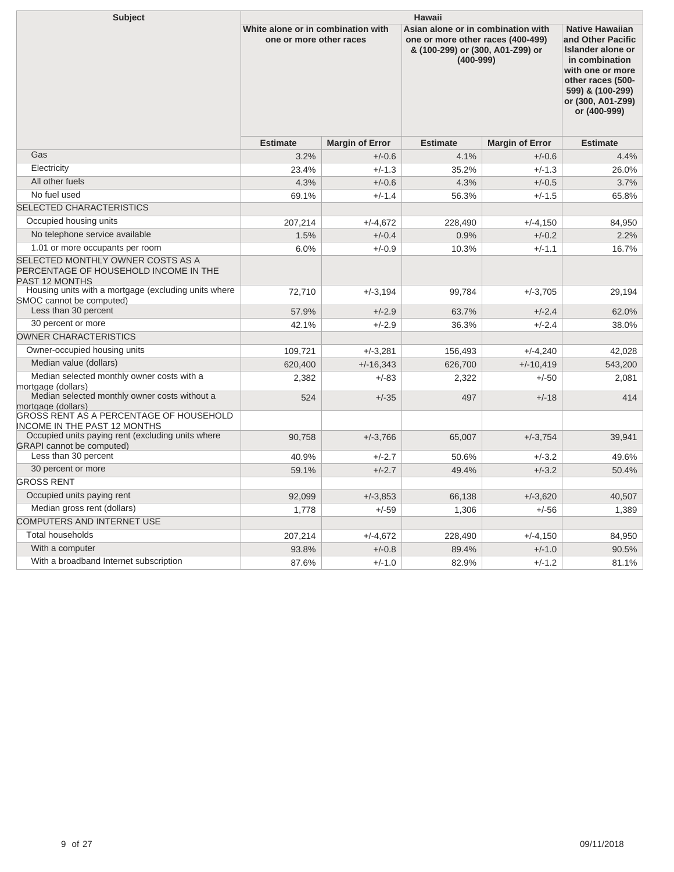| <b>Subject</b>                                                                                      | <b>Hawaii</b>                                                 |                        |                                                                                                                              |                        |                                                                                                                                                                                      |  |  |
|-----------------------------------------------------------------------------------------------------|---------------------------------------------------------------|------------------------|------------------------------------------------------------------------------------------------------------------------------|------------------------|--------------------------------------------------------------------------------------------------------------------------------------------------------------------------------------|--|--|
|                                                                                                     | White alone or in combination with<br>one or more other races |                        | Asian alone or in combination with<br>one or more other races (400-499)<br>& (100-299) or (300, A01-Z99) or<br>$(400 - 999)$ |                        | <b>Native Hawaiian</b><br>and Other Pacific<br>Islander alone or<br>in combination<br>with one or more<br>other races (500-<br>599) & (100-299)<br>or (300, A01-Z99)<br>or (400-999) |  |  |
|                                                                                                     | <b>Estimate</b>                                               | <b>Margin of Error</b> | <b>Estimate</b>                                                                                                              | <b>Margin of Error</b> | <b>Estimate</b>                                                                                                                                                                      |  |  |
| Gas                                                                                                 | 3.2%                                                          | $+/-0.6$               | 4.1%                                                                                                                         | $+/-0.6$               | 4.4%                                                                                                                                                                                 |  |  |
| Electricity                                                                                         | 23.4%                                                         | $+/-1.3$               | 35.2%                                                                                                                        | $+/-1.3$               | 26.0%                                                                                                                                                                                |  |  |
| All other fuels                                                                                     | 4.3%                                                          | $+/-0.6$               | 4.3%                                                                                                                         | $+/-0.5$               | 3.7%                                                                                                                                                                                 |  |  |
| No fuel used                                                                                        | 69.1%                                                         | $+/-1.4$               | 56.3%                                                                                                                        | $+/-1.5$               | 65.8%                                                                                                                                                                                |  |  |
| <b>SELECTED CHARACTERISTICS</b>                                                                     |                                                               |                        |                                                                                                                              |                        |                                                                                                                                                                                      |  |  |
| Occupied housing units                                                                              | 207,214                                                       | $+/-4.672$             | 228,490                                                                                                                      | $+/-4,150$             | 84,950                                                                                                                                                                               |  |  |
| No telephone service available                                                                      | 1.5%                                                          | $+/-0.4$               | 0.9%                                                                                                                         | $+/-0.2$               | 2.2%                                                                                                                                                                                 |  |  |
| 1.01 or more occupants per room                                                                     | 6.0%                                                          | $+/-0.9$               | 10.3%                                                                                                                        | $+/-1.1$               | 16.7%                                                                                                                                                                                |  |  |
| SELECTED MONTHLY OWNER COSTS AS A<br>PERCENTAGE OF HOUSEHOLD INCOME IN THE<br><b>PAST 12 MONTHS</b> |                                                               |                        |                                                                                                                              |                        |                                                                                                                                                                                      |  |  |
| Housing units with a mortgage (excluding units where<br>SMOC cannot be computed)                    | 72,710                                                        | $+/-3.194$             | 99,784                                                                                                                       | $+/-3,705$             | 29,194                                                                                                                                                                               |  |  |
| Less than 30 percent                                                                                | 57.9%                                                         | $+/-2.9$               | 63.7%                                                                                                                        | $+/-2.4$               | 62.0%                                                                                                                                                                                |  |  |
| 30 percent or more                                                                                  | 42.1%                                                         | $+/-2.9$               | 36.3%                                                                                                                        | $+/-2.4$               | 38.0%                                                                                                                                                                                |  |  |
| OWNER CHARACTERISTICS                                                                               |                                                               |                        |                                                                                                                              |                        |                                                                                                                                                                                      |  |  |
| Owner-occupied housing units                                                                        | 109,721                                                       | $+/-3,281$             | 156,493                                                                                                                      | $+/-4,240$             | 42,028                                                                                                                                                                               |  |  |
| Median value (dollars)                                                                              | 620,400                                                       | $+/-16,343$            | 626,700                                                                                                                      | $+/-10,419$            | 543,200                                                                                                                                                                              |  |  |
| Median selected monthly owner costs with a<br>mortgage (dollars)                                    | 2,382                                                         | $+/-83$                | 2,322                                                                                                                        | $+/-50$                | 2,081                                                                                                                                                                                |  |  |
| Median selected monthly owner costs without a<br>mortgage (dollars)                                 | 524                                                           | $+/-35$                | 497                                                                                                                          | $+/-18$                | 414                                                                                                                                                                                  |  |  |
| GROSS RENT AS A PERCENTAGE OF HOUSEHOLD<br>INCOME IN THE PAST 12 MONTHS                             |                                                               |                        |                                                                                                                              |                        |                                                                                                                                                                                      |  |  |
| Occupied units paying rent (excluding units where<br><b>GRAPI</b> cannot be computed)               | 90,758                                                        | $+/-3,766$             | 65,007                                                                                                                       | $+/-3,754$             | 39,941                                                                                                                                                                               |  |  |
| Less than 30 percent                                                                                | 40.9%                                                         | $+/-2.7$               | 50.6%                                                                                                                        | $+/-3.2$               | 49.6%                                                                                                                                                                                |  |  |
| 30 percent or more                                                                                  | 59.1%                                                         | $+/-2.7$               | 49.4%                                                                                                                        | $+/-3.2$               | 50.4%                                                                                                                                                                                |  |  |
| <b>GROSS RENT</b>                                                                                   |                                                               |                        |                                                                                                                              |                        |                                                                                                                                                                                      |  |  |
| Occupied units paying rent                                                                          | 92,099                                                        | $+/-3.853$             | 66,138                                                                                                                       | $+/-3,620$             | 40,507                                                                                                                                                                               |  |  |
| Median gross rent (dollars)                                                                         | 1,778                                                         | $+/-59$                | 1,306                                                                                                                        | $+/-56$                | 1,389                                                                                                                                                                                |  |  |
| COMPUTERS AND INTERNET USE                                                                          |                                                               |                        |                                                                                                                              |                        |                                                                                                                                                                                      |  |  |
| <b>Total households</b>                                                                             | 207,214                                                       | $+/-4,672$             | 228,490                                                                                                                      | $+/-4,150$             | 84,950                                                                                                                                                                               |  |  |
| With a computer                                                                                     | 93.8%                                                         | $+/-0.8$               | 89.4%                                                                                                                        | $+/-1.0$               | 90.5%                                                                                                                                                                                |  |  |
| With a broadband Internet subscription                                                              | 87.6%                                                         | $+/-1.0$               | 82.9%                                                                                                                        | $+/-1.2$               | 81.1%                                                                                                                                                                                |  |  |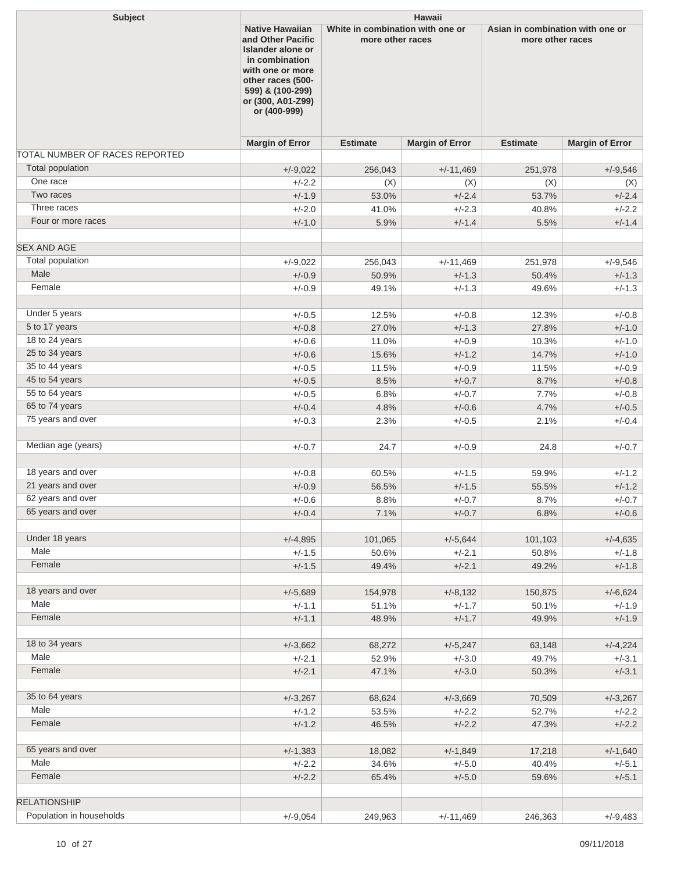| and Other Pacific<br>more other races<br>more other races<br>Islander alone or<br>in combination<br>with one or more<br>other races (500-<br>599) & (100-299)<br>or (300, A01-Z99)<br>or (400-999)<br><b>Margin of Error</b><br><b>Estimate</b><br><b>Margin of Error</b><br><b>Estimate</b><br><b>Margin of Error</b><br>TOTAL NUMBER OF RACES REPORTED<br><b>Total population</b><br>$+/-11,469$<br>$+/-9,546$<br>$+/-9,022$<br>256,043<br>251,978<br>One race<br>$+/-2.2$<br>(X)<br>(X)<br>(X)<br>(X)<br>Two races<br>$+/-1.9$<br>$+/-2.4$<br>$+/-2.4$<br>53.0%<br>53.7%<br>Three races<br>$+/-2.0$<br>41.0%<br>$+/-2.3$<br>$+/-2.2$<br>40.8%<br>Four or more races<br>$+/-1.0$<br>5.9%<br>$+/-1.4$<br>5.5%<br>$+/-1.4$<br>Total population<br>$+/-9,546$<br>$+/-9,022$<br>256,043<br>$+/-11,469$<br>251,978<br>Male<br>$+/-0.9$<br>$+/-1.3$<br>$+/-1.3$<br>50.9%<br>50.4%<br>Female<br>$+/-0.9$<br>49.1%<br>$+/-1.3$<br>$+/-1.3$<br>49.6%<br>Under 5 years<br>$+/-0.5$<br>12.5%<br>$+/-0.8$<br>12.3%<br>$+/-0.8$<br>5 to 17 years<br>$+/-0.8$<br>27.0%<br>$+/-1.3$<br>$+/-1.0$<br>27.8%<br>18 to 24 years<br>$+/-0.6$<br>11.0%<br>$+/-0.9$<br>$+/-1.0$<br>10.3%<br>25 to 34 years<br>$+/-1.2$<br>$+/-0.6$<br>15.6%<br>14.7%<br>$+/-1.0$<br>35 to 44 years<br>$+/-0.5$<br>11.5%<br>$+/-0.9$<br>11.5%<br>$+/-0.9$<br>45 to 54 years<br>8.7%<br>$+/-0.5$<br>8.5%<br>$+/-0.7$<br>$+/-0.8$<br>55 to 64 years<br>$+/-0.5$<br>6.8%<br>$+/-0.7$<br>7.7%<br>$+/-0.8$<br>65 to 74 years<br>$+/-0.4$<br>4.8%<br>$+/-0.6$<br>4.7%<br>$+/-0.5$<br>75 years and over<br>$+/-0.3$<br>2.3%<br>$+/-0.5$<br>2.1%<br>$+/-0.4$<br>Median age (years)<br>$+/-0.7$<br>24.7<br>$+/-0.9$<br>24.8<br>$+/-0.7$<br>18 years and over<br>$+/-0.8$<br>60.5%<br>$+/-1.5$<br>59.9%<br>$+/-1.2$<br>21 years and over<br>$+/-1.5$<br>$+/-0.9$<br>56.5%<br>55.5%<br>$+/-1.2$<br>62 years and over<br>$+/-0.6$<br>8.8%<br>$+/-0.7$<br>8.7%<br>$+/-0.7$<br>65 years and over<br>$+/-0.4$<br>7.1%<br>$+/-0.7$<br>$+/-0.6$<br>6.8%<br>Under 18 years<br>$+/-4,895$<br>$+/-5,644$<br>$+/-4,635$<br>101,065<br>101,103<br>Male<br>$+/-1.5$<br>50.6%<br>$+/-2.1$<br>$+/-1.8$<br>50.8%<br>Female<br>$+/-1.5$<br>$+/-2.1$<br>49.4%<br>49.2%<br>$+/-1.8$<br>18 years and over<br>$+/-5,689$<br>$+/-6,624$<br>154,978<br>$+/-8,132$<br>150,875<br>Male<br>$+/-1.1$<br>51.1%<br>$+/-1.7$<br>50.1%<br>$+/-1.9$<br>Female<br>$+/-1.1$<br>$+/-1.7$<br>48.9%<br>49.9%<br>$+/-1.9$<br>18 to 34 years<br>$+/-3,662$<br>$+/-4,224$<br>68,272<br>$+/-5,247$<br>63,148<br>Male<br>$+/-2.1$<br>52.9%<br>$+/-3.0$<br>49.7%<br>$+/-3.1$<br>Female<br>$+/-2.1$<br>47.1%<br>$+/-3.0$<br>$+/-3.1$<br>50.3%<br>35 to 64 years<br>$+/-3,267$<br>$+/-3,669$<br>$+/-3,267$<br>68,624<br>70,509<br>Male<br>$+/-1.2$<br>53.5%<br>$+/-2.2$<br>52.7%<br>$+/-2.2$<br>Female<br>$+/-1.2$<br>46.5%<br>$+/-2.2$<br>$+/-2.2$<br>47.3%<br>65 years and over<br>$+/-1,383$<br>$+/-1,849$<br>$+/-1,640$<br>18,082<br>17,218<br>Male<br>$+/-2.2$<br>34.6%<br>$+/-5.0$<br>40.4%<br>$+/-5.1$<br>Female<br>$+/-2.2$<br>65.4%<br>$+/-5.0$<br>$+/-5.1$<br>59.6%<br><b>RELATIONSHIP</b><br>Population in households<br>$+/-9,054$<br>249,963<br>$+/-11,469$<br>246,363<br>$+/-9,483$ | <b>Subject</b>     | <b>Hawaii</b> |                                                            |  |  |                                  |  |  |
|------------------------------------------------------------------------------------------------------------------------------------------------------------------------------------------------------------------------------------------------------------------------------------------------------------------------------------------------------------------------------------------------------------------------------------------------------------------------------------------------------------------------------------------------------------------------------------------------------------------------------------------------------------------------------------------------------------------------------------------------------------------------------------------------------------------------------------------------------------------------------------------------------------------------------------------------------------------------------------------------------------------------------------------------------------------------------------------------------------------------------------------------------------------------------------------------------------------------------------------------------------------------------------------------------------------------------------------------------------------------------------------------------------------------------------------------------------------------------------------------------------------------------------------------------------------------------------------------------------------------------------------------------------------------------------------------------------------------------------------------------------------------------------------------------------------------------------------------------------------------------------------------------------------------------------------------------------------------------------------------------------------------------------------------------------------------------------------------------------------------------------------------------------------------------------------------------------------------------------------------------------------------------------------------------------------------------------------------------------------------------------------------------------------------------------------------------------------------------------------------------------------------------------------------------------------------------------------------------------------------------------------------------------------------------------------------------------------------------------------------------------------------------------------------------------------------------------------------------------------------------------------------------------------------------------------------------------------------------------------------------------------------------------------------------------------------------------------------------------------------------------------------------------------------------------------------------|--------------------|---------------|------------------------------------------------------------|--|--|----------------------------------|--|--|
|                                                                                                                                                                                                                                                                                                                                                                                                                                                                                                                                                                                                                                                                                                                                                                                                                                                                                                                                                                                                                                                                                                                                                                                                                                                                                                                                                                                                                                                                                                                                                                                                                                                                                                                                                                                                                                                                                                                                                                                                                                                                                                                                                                                                                                                                                                                                                                                                                                                                                                                                                                                                                                                                                                                                                                                                                                                                                                                                                                                                                                                                                                                                                                                                      |                    |               | <b>Native Hawaiian</b><br>White in combination with one or |  |  | Asian in combination with one or |  |  |
|                                                                                                                                                                                                                                                                                                                                                                                                                                                                                                                                                                                                                                                                                                                                                                                                                                                                                                                                                                                                                                                                                                                                                                                                                                                                                                                                                                                                                                                                                                                                                                                                                                                                                                                                                                                                                                                                                                                                                                                                                                                                                                                                                                                                                                                                                                                                                                                                                                                                                                                                                                                                                                                                                                                                                                                                                                                                                                                                                                                                                                                                                                                                                                                                      |                    |               |                                                            |  |  |                                  |  |  |
|                                                                                                                                                                                                                                                                                                                                                                                                                                                                                                                                                                                                                                                                                                                                                                                                                                                                                                                                                                                                                                                                                                                                                                                                                                                                                                                                                                                                                                                                                                                                                                                                                                                                                                                                                                                                                                                                                                                                                                                                                                                                                                                                                                                                                                                                                                                                                                                                                                                                                                                                                                                                                                                                                                                                                                                                                                                                                                                                                                                                                                                                                                                                                                                                      |                    |               |                                                            |  |  |                                  |  |  |
|                                                                                                                                                                                                                                                                                                                                                                                                                                                                                                                                                                                                                                                                                                                                                                                                                                                                                                                                                                                                                                                                                                                                                                                                                                                                                                                                                                                                                                                                                                                                                                                                                                                                                                                                                                                                                                                                                                                                                                                                                                                                                                                                                                                                                                                                                                                                                                                                                                                                                                                                                                                                                                                                                                                                                                                                                                                                                                                                                                                                                                                                                                                                                                                                      |                    |               |                                                            |  |  |                                  |  |  |
|                                                                                                                                                                                                                                                                                                                                                                                                                                                                                                                                                                                                                                                                                                                                                                                                                                                                                                                                                                                                                                                                                                                                                                                                                                                                                                                                                                                                                                                                                                                                                                                                                                                                                                                                                                                                                                                                                                                                                                                                                                                                                                                                                                                                                                                                                                                                                                                                                                                                                                                                                                                                                                                                                                                                                                                                                                                                                                                                                                                                                                                                                                                                                                                                      |                    |               |                                                            |  |  |                                  |  |  |
|                                                                                                                                                                                                                                                                                                                                                                                                                                                                                                                                                                                                                                                                                                                                                                                                                                                                                                                                                                                                                                                                                                                                                                                                                                                                                                                                                                                                                                                                                                                                                                                                                                                                                                                                                                                                                                                                                                                                                                                                                                                                                                                                                                                                                                                                                                                                                                                                                                                                                                                                                                                                                                                                                                                                                                                                                                                                                                                                                                                                                                                                                                                                                                                                      |                    |               |                                                            |  |  |                                  |  |  |
|                                                                                                                                                                                                                                                                                                                                                                                                                                                                                                                                                                                                                                                                                                                                                                                                                                                                                                                                                                                                                                                                                                                                                                                                                                                                                                                                                                                                                                                                                                                                                                                                                                                                                                                                                                                                                                                                                                                                                                                                                                                                                                                                                                                                                                                                                                                                                                                                                                                                                                                                                                                                                                                                                                                                                                                                                                                                                                                                                                                                                                                                                                                                                                                                      |                    |               |                                                            |  |  |                                  |  |  |
|                                                                                                                                                                                                                                                                                                                                                                                                                                                                                                                                                                                                                                                                                                                                                                                                                                                                                                                                                                                                                                                                                                                                                                                                                                                                                                                                                                                                                                                                                                                                                                                                                                                                                                                                                                                                                                                                                                                                                                                                                                                                                                                                                                                                                                                                                                                                                                                                                                                                                                                                                                                                                                                                                                                                                                                                                                                                                                                                                                                                                                                                                                                                                                                                      |                    |               |                                                            |  |  |                                  |  |  |
|                                                                                                                                                                                                                                                                                                                                                                                                                                                                                                                                                                                                                                                                                                                                                                                                                                                                                                                                                                                                                                                                                                                                                                                                                                                                                                                                                                                                                                                                                                                                                                                                                                                                                                                                                                                                                                                                                                                                                                                                                                                                                                                                                                                                                                                                                                                                                                                                                                                                                                                                                                                                                                                                                                                                                                                                                                                                                                                                                                                                                                                                                                                                                                                                      | <b>SEX AND AGE</b> |               |                                                            |  |  |                                  |  |  |
|                                                                                                                                                                                                                                                                                                                                                                                                                                                                                                                                                                                                                                                                                                                                                                                                                                                                                                                                                                                                                                                                                                                                                                                                                                                                                                                                                                                                                                                                                                                                                                                                                                                                                                                                                                                                                                                                                                                                                                                                                                                                                                                                                                                                                                                                                                                                                                                                                                                                                                                                                                                                                                                                                                                                                                                                                                                                                                                                                                                                                                                                                                                                                                                                      |                    |               |                                                            |  |  |                                  |  |  |
|                                                                                                                                                                                                                                                                                                                                                                                                                                                                                                                                                                                                                                                                                                                                                                                                                                                                                                                                                                                                                                                                                                                                                                                                                                                                                                                                                                                                                                                                                                                                                                                                                                                                                                                                                                                                                                                                                                                                                                                                                                                                                                                                                                                                                                                                                                                                                                                                                                                                                                                                                                                                                                                                                                                                                                                                                                                                                                                                                                                                                                                                                                                                                                                                      |                    |               |                                                            |  |  |                                  |  |  |
|                                                                                                                                                                                                                                                                                                                                                                                                                                                                                                                                                                                                                                                                                                                                                                                                                                                                                                                                                                                                                                                                                                                                                                                                                                                                                                                                                                                                                                                                                                                                                                                                                                                                                                                                                                                                                                                                                                                                                                                                                                                                                                                                                                                                                                                                                                                                                                                                                                                                                                                                                                                                                                                                                                                                                                                                                                                                                                                                                                                                                                                                                                                                                                                                      |                    |               |                                                            |  |  |                                  |  |  |
|                                                                                                                                                                                                                                                                                                                                                                                                                                                                                                                                                                                                                                                                                                                                                                                                                                                                                                                                                                                                                                                                                                                                                                                                                                                                                                                                                                                                                                                                                                                                                                                                                                                                                                                                                                                                                                                                                                                                                                                                                                                                                                                                                                                                                                                                                                                                                                                                                                                                                                                                                                                                                                                                                                                                                                                                                                                                                                                                                                                                                                                                                                                                                                                                      |                    |               |                                                            |  |  |                                  |  |  |
|                                                                                                                                                                                                                                                                                                                                                                                                                                                                                                                                                                                                                                                                                                                                                                                                                                                                                                                                                                                                                                                                                                                                                                                                                                                                                                                                                                                                                                                                                                                                                                                                                                                                                                                                                                                                                                                                                                                                                                                                                                                                                                                                                                                                                                                                                                                                                                                                                                                                                                                                                                                                                                                                                                                                                                                                                                                                                                                                                                                                                                                                                                                                                                                                      |                    |               |                                                            |  |  |                                  |  |  |
|                                                                                                                                                                                                                                                                                                                                                                                                                                                                                                                                                                                                                                                                                                                                                                                                                                                                                                                                                                                                                                                                                                                                                                                                                                                                                                                                                                                                                                                                                                                                                                                                                                                                                                                                                                                                                                                                                                                                                                                                                                                                                                                                                                                                                                                                                                                                                                                                                                                                                                                                                                                                                                                                                                                                                                                                                                                                                                                                                                                                                                                                                                                                                                                                      |                    |               |                                                            |  |  |                                  |  |  |
|                                                                                                                                                                                                                                                                                                                                                                                                                                                                                                                                                                                                                                                                                                                                                                                                                                                                                                                                                                                                                                                                                                                                                                                                                                                                                                                                                                                                                                                                                                                                                                                                                                                                                                                                                                                                                                                                                                                                                                                                                                                                                                                                                                                                                                                                                                                                                                                                                                                                                                                                                                                                                                                                                                                                                                                                                                                                                                                                                                                                                                                                                                                                                                                                      |                    |               |                                                            |  |  |                                  |  |  |
|                                                                                                                                                                                                                                                                                                                                                                                                                                                                                                                                                                                                                                                                                                                                                                                                                                                                                                                                                                                                                                                                                                                                                                                                                                                                                                                                                                                                                                                                                                                                                                                                                                                                                                                                                                                                                                                                                                                                                                                                                                                                                                                                                                                                                                                                                                                                                                                                                                                                                                                                                                                                                                                                                                                                                                                                                                                                                                                                                                                                                                                                                                                                                                                                      |                    |               |                                                            |  |  |                                  |  |  |
|                                                                                                                                                                                                                                                                                                                                                                                                                                                                                                                                                                                                                                                                                                                                                                                                                                                                                                                                                                                                                                                                                                                                                                                                                                                                                                                                                                                                                                                                                                                                                                                                                                                                                                                                                                                                                                                                                                                                                                                                                                                                                                                                                                                                                                                                                                                                                                                                                                                                                                                                                                                                                                                                                                                                                                                                                                                                                                                                                                                                                                                                                                                                                                                                      |                    |               |                                                            |  |  |                                  |  |  |
|                                                                                                                                                                                                                                                                                                                                                                                                                                                                                                                                                                                                                                                                                                                                                                                                                                                                                                                                                                                                                                                                                                                                                                                                                                                                                                                                                                                                                                                                                                                                                                                                                                                                                                                                                                                                                                                                                                                                                                                                                                                                                                                                                                                                                                                                                                                                                                                                                                                                                                                                                                                                                                                                                                                                                                                                                                                                                                                                                                                                                                                                                                                                                                                                      |                    |               |                                                            |  |  |                                  |  |  |
|                                                                                                                                                                                                                                                                                                                                                                                                                                                                                                                                                                                                                                                                                                                                                                                                                                                                                                                                                                                                                                                                                                                                                                                                                                                                                                                                                                                                                                                                                                                                                                                                                                                                                                                                                                                                                                                                                                                                                                                                                                                                                                                                                                                                                                                                                                                                                                                                                                                                                                                                                                                                                                                                                                                                                                                                                                                                                                                                                                                                                                                                                                                                                                                                      |                    |               |                                                            |  |  |                                  |  |  |
|                                                                                                                                                                                                                                                                                                                                                                                                                                                                                                                                                                                                                                                                                                                                                                                                                                                                                                                                                                                                                                                                                                                                                                                                                                                                                                                                                                                                                                                                                                                                                                                                                                                                                                                                                                                                                                                                                                                                                                                                                                                                                                                                                                                                                                                                                                                                                                                                                                                                                                                                                                                                                                                                                                                                                                                                                                                                                                                                                                                                                                                                                                                                                                                                      |                    |               |                                                            |  |  |                                  |  |  |
|                                                                                                                                                                                                                                                                                                                                                                                                                                                                                                                                                                                                                                                                                                                                                                                                                                                                                                                                                                                                                                                                                                                                                                                                                                                                                                                                                                                                                                                                                                                                                                                                                                                                                                                                                                                                                                                                                                                                                                                                                                                                                                                                                                                                                                                                                                                                                                                                                                                                                                                                                                                                                                                                                                                                                                                                                                                                                                                                                                                                                                                                                                                                                                                                      |                    |               |                                                            |  |  |                                  |  |  |
|                                                                                                                                                                                                                                                                                                                                                                                                                                                                                                                                                                                                                                                                                                                                                                                                                                                                                                                                                                                                                                                                                                                                                                                                                                                                                                                                                                                                                                                                                                                                                                                                                                                                                                                                                                                                                                                                                                                                                                                                                                                                                                                                                                                                                                                                                                                                                                                                                                                                                                                                                                                                                                                                                                                                                                                                                                                                                                                                                                                                                                                                                                                                                                                                      |                    |               |                                                            |  |  |                                  |  |  |
|                                                                                                                                                                                                                                                                                                                                                                                                                                                                                                                                                                                                                                                                                                                                                                                                                                                                                                                                                                                                                                                                                                                                                                                                                                                                                                                                                                                                                                                                                                                                                                                                                                                                                                                                                                                                                                                                                                                                                                                                                                                                                                                                                                                                                                                                                                                                                                                                                                                                                                                                                                                                                                                                                                                                                                                                                                                                                                                                                                                                                                                                                                                                                                                                      |                    |               |                                                            |  |  |                                  |  |  |
|                                                                                                                                                                                                                                                                                                                                                                                                                                                                                                                                                                                                                                                                                                                                                                                                                                                                                                                                                                                                                                                                                                                                                                                                                                                                                                                                                                                                                                                                                                                                                                                                                                                                                                                                                                                                                                                                                                                                                                                                                                                                                                                                                                                                                                                                                                                                                                                                                                                                                                                                                                                                                                                                                                                                                                                                                                                                                                                                                                                                                                                                                                                                                                                                      |                    |               |                                                            |  |  |                                  |  |  |
|                                                                                                                                                                                                                                                                                                                                                                                                                                                                                                                                                                                                                                                                                                                                                                                                                                                                                                                                                                                                                                                                                                                                                                                                                                                                                                                                                                                                                                                                                                                                                                                                                                                                                                                                                                                                                                                                                                                                                                                                                                                                                                                                                                                                                                                                                                                                                                                                                                                                                                                                                                                                                                                                                                                                                                                                                                                                                                                                                                                                                                                                                                                                                                                                      |                    |               |                                                            |  |  |                                  |  |  |
|                                                                                                                                                                                                                                                                                                                                                                                                                                                                                                                                                                                                                                                                                                                                                                                                                                                                                                                                                                                                                                                                                                                                                                                                                                                                                                                                                                                                                                                                                                                                                                                                                                                                                                                                                                                                                                                                                                                                                                                                                                                                                                                                                                                                                                                                                                                                                                                                                                                                                                                                                                                                                                                                                                                                                                                                                                                                                                                                                                                                                                                                                                                                                                                                      |                    |               |                                                            |  |  |                                  |  |  |
|                                                                                                                                                                                                                                                                                                                                                                                                                                                                                                                                                                                                                                                                                                                                                                                                                                                                                                                                                                                                                                                                                                                                                                                                                                                                                                                                                                                                                                                                                                                                                                                                                                                                                                                                                                                                                                                                                                                                                                                                                                                                                                                                                                                                                                                                                                                                                                                                                                                                                                                                                                                                                                                                                                                                                                                                                                                                                                                                                                                                                                                                                                                                                                                                      |                    |               |                                                            |  |  |                                  |  |  |
|                                                                                                                                                                                                                                                                                                                                                                                                                                                                                                                                                                                                                                                                                                                                                                                                                                                                                                                                                                                                                                                                                                                                                                                                                                                                                                                                                                                                                                                                                                                                                                                                                                                                                                                                                                                                                                                                                                                                                                                                                                                                                                                                                                                                                                                                                                                                                                                                                                                                                                                                                                                                                                                                                                                                                                                                                                                                                                                                                                                                                                                                                                                                                                                                      |                    |               |                                                            |  |  |                                  |  |  |
|                                                                                                                                                                                                                                                                                                                                                                                                                                                                                                                                                                                                                                                                                                                                                                                                                                                                                                                                                                                                                                                                                                                                                                                                                                                                                                                                                                                                                                                                                                                                                                                                                                                                                                                                                                                                                                                                                                                                                                                                                                                                                                                                                                                                                                                                                                                                                                                                                                                                                                                                                                                                                                                                                                                                                                                                                                                                                                                                                                                                                                                                                                                                                                                                      |                    |               |                                                            |  |  |                                  |  |  |
|                                                                                                                                                                                                                                                                                                                                                                                                                                                                                                                                                                                                                                                                                                                                                                                                                                                                                                                                                                                                                                                                                                                                                                                                                                                                                                                                                                                                                                                                                                                                                                                                                                                                                                                                                                                                                                                                                                                                                                                                                                                                                                                                                                                                                                                                                                                                                                                                                                                                                                                                                                                                                                                                                                                                                                                                                                                                                                                                                                                                                                                                                                                                                                                                      |                    |               |                                                            |  |  |                                  |  |  |
|                                                                                                                                                                                                                                                                                                                                                                                                                                                                                                                                                                                                                                                                                                                                                                                                                                                                                                                                                                                                                                                                                                                                                                                                                                                                                                                                                                                                                                                                                                                                                                                                                                                                                                                                                                                                                                                                                                                                                                                                                                                                                                                                                                                                                                                                                                                                                                                                                                                                                                                                                                                                                                                                                                                                                                                                                                                                                                                                                                                                                                                                                                                                                                                                      |                    |               |                                                            |  |  |                                  |  |  |
|                                                                                                                                                                                                                                                                                                                                                                                                                                                                                                                                                                                                                                                                                                                                                                                                                                                                                                                                                                                                                                                                                                                                                                                                                                                                                                                                                                                                                                                                                                                                                                                                                                                                                                                                                                                                                                                                                                                                                                                                                                                                                                                                                                                                                                                                                                                                                                                                                                                                                                                                                                                                                                                                                                                                                                                                                                                                                                                                                                                                                                                                                                                                                                                                      |                    |               |                                                            |  |  |                                  |  |  |
|                                                                                                                                                                                                                                                                                                                                                                                                                                                                                                                                                                                                                                                                                                                                                                                                                                                                                                                                                                                                                                                                                                                                                                                                                                                                                                                                                                                                                                                                                                                                                                                                                                                                                                                                                                                                                                                                                                                                                                                                                                                                                                                                                                                                                                                                                                                                                                                                                                                                                                                                                                                                                                                                                                                                                                                                                                                                                                                                                                                                                                                                                                                                                                                                      |                    |               |                                                            |  |  |                                  |  |  |
|                                                                                                                                                                                                                                                                                                                                                                                                                                                                                                                                                                                                                                                                                                                                                                                                                                                                                                                                                                                                                                                                                                                                                                                                                                                                                                                                                                                                                                                                                                                                                                                                                                                                                                                                                                                                                                                                                                                                                                                                                                                                                                                                                                                                                                                                                                                                                                                                                                                                                                                                                                                                                                                                                                                                                                                                                                                                                                                                                                                                                                                                                                                                                                                                      |                    |               |                                                            |  |  |                                  |  |  |
|                                                                                                                                                                                                                                                                                                                                                                                                                                                                                                                                                                                                                                                                                                                                                                                                                                                                                                                                                                                                                                                                                                                                                                                                                                                                                                                                                                                                                                                                                                                                                                                                                                                                                                                                                                                                                                                                                                                                                                                                                                                                                                                                                                                                                                                                                                                                                                                                                                                                                                                                                                                                                                                                                                                                                                                                                                                                                                                                                                                                                                                                                                                                                                                                      |                    |               |                                                            |  |  |                                  |  |  |
|                                                                                                                                                                                                                                                                                                                                                                                                                                                                                                                                                                                                                                                                                                                                                                                                                                                                                                                                                                                                                                                                                                                                                                                                                                                                                                                                                                                                                                                                                                                                                                                                                                                                                                                                                                                                                                                                                                                                                                                                                                                                                                                                                                                                                                                                                                                                                                                                                                                                                                                                                                                                                                                                                                                                                                                                                                                                                                                                                                                                                                                                                                                                                                                                      |                    |               |                                                            |  |  |                                  |  |  |
|                                                                                                                                                                                                                                                                                                                                                                                                                                                                                                                                                                                                                                                                                                                                                                                                                                                                                                                                                                                                                                                                                                                                                                                                                                                                                                                                                                                                                                                                                                                                                                                                                                                                                                                                                                                                                                                                                                                                                                                                                                                                                                                                                                                                                                                                                                                                                                                                                                                                                                                                                                                                                                                                                                                                                                                                                                                                                                                                                                                                                                                                                                                                                                                                      |                    |               |                                                            |  |  |                                  |  |  |
|                                                                                                                                                                                                                                                                                                                                                                                                                                                                                                                                                                                                                                                                                                                                                                                                                                                                                                                                                                                                                                                                                                                                                                                                                                                                                                                                                                                                                                                                                                                                                                                                                                                                                                                                                                                                                                                                                                                                                                                                                                                                                                                                                                                                                                                                                                                                                                                                                                                                                                                                                                                                                                                                                                                                                                                                                                                                                                                                                                                                                                                                                                                                                                                                      |                    |               |                                                            |  |  |                                  |  |  |
|                                                                                                                                                                                                                                                                                                                                                                                                                                                                                                                                                                                                                                                                                                                                                                                                                                                                                                                                                                                                                                                                                                                                                                                                                                                                                                                                                                                                                                                                                                                                                                                                                                                                                                                                                                                                                                                                                                                                                                                                                                                                                                                                                                                                                                                                                                                                                                                                                                                                                                                                                                                                                                                                                                                                                                                                                                                                                                                                                                                                                                                                                                                                                                                                      |                    |               |                                                            |  |  |                                  |  |  |
|                                                                                                                                                                                                                                                                                                                                                                                                                                                                                                                                                                                                                                                                                                                                                                                                                                                                                                                                                                                                                                                                                                                                                                                                                                                                                                                                                                                                                                                                                                                                                                                                                                                                                                                                                                                                                                                                                                                                                                                                                                                                                                                                                                                                                                                                                                                                                                                                                                                                                                                                                                                                                                                                                                                                                                                                                                                                                                                                                                                                                                                                                                                                                                                                      |                    |               |                                                            |  |  |                                  |  |  |
|                                                                                                                                                                                                                                                                                                                                                                                                                                                                                                                                                                                                                                                                                                                                                                                                                                                                                                                                                                                                                                                                                                                                                                                                                                                                                                                                                                                                                                                                                                                                                                                                                                                                                                                                                                                                                                                                                                                                                                                                                                                                                                                                                                                                                                                                                                                                                                                                                                                                                                                                                                                                                                                                                                                                                                                                                                                                                                                                                                                                                                                                                                                                                                                                      |                    |               |                                                            |  |  |                                  |  |  |
|                                                                                                                                                                                                                                                                                                                                                                                                                                                                                                                                                                                                                                                                                                                                                                                                                                                                                                                                                                                                                                                                                                                                                                                                                                                                                                                                                                                                                                                                                                                                                                                                                                                                                                                                                                                                                                                                                                                                                                                                                                                                                                                                                                                                                                                                                                                                                                                                                                                                                                                                                                                                                                                                                                                                                                                                                                                                                                                                                                                                                                                                                                                                                                                                      |                    |               |                                                            |  |  |                                  |  |  |
|                                                                                                                                                                                                                                                                                                                                                                                                                                                                                                                                                                                                                                                                                                                                                                                                                                                                                                                                                                                                                                                                                                                                                                                                                                                                                                                                                                                                                                                                                                                                                                                                                                                                                                                                                                                                                                                                                                                                                                                                                                                                                                                                                                                                                                                                                                                                                                                                                                                                                                                                                                                                                                                                                                                                                                                                                                                                                                                                                                                                                                                                                                                                                                                                      |                    |               |                                                            |  |  |                                  |  |  |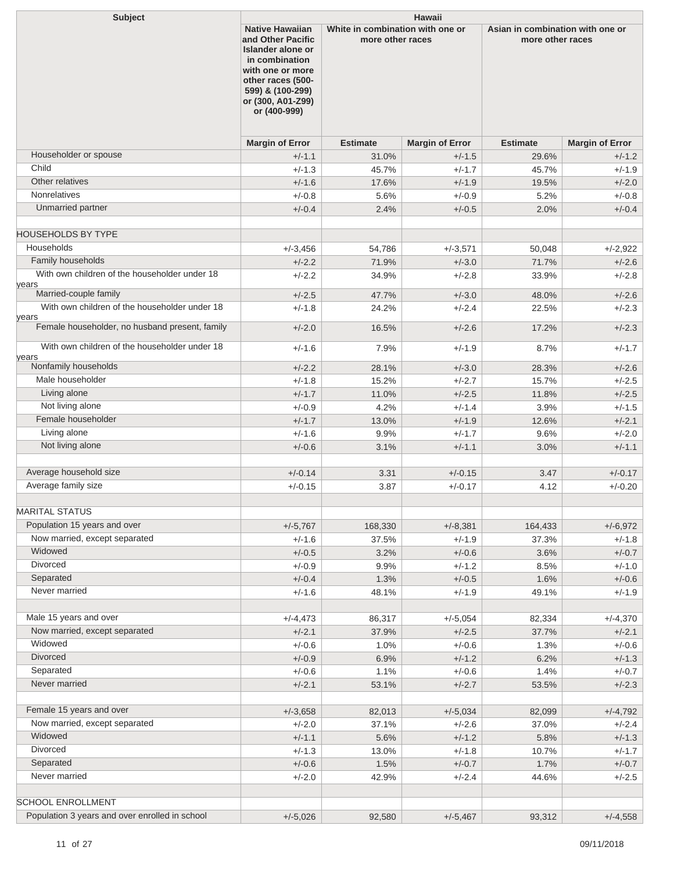| and Other Pacific<br>more other races<br>more other races<br>Islander alone or<br>in combination<br>with one or more<br>other races (500-<br>599) & (100-299)<br>or (300, A01-Z99)<br>or (400-999)<br><b>Margin of Error</b><br><b>Estimate</b><br><b>Margin of Error</b><br><b>Estimate</b><br><b>Margin of Error</b><br>Householder or spouse<br>$+/-1.1$<br>$+/-1.5$<br>$+/-1.2$<br>31.0%<br>29.6%<br>Child<br>$+/-1.3$<br>$+/-1.7$<br>$+/-1.9$<br>45.7%<br>45.7%<br>Other relatives<br>$+/-1.9$<br>$+/-1.6$<br>$+/-2.0$<br>17.6%<br>19.5%<br><b>Nonrelatives</b><br>$+/-0.8$<br>5.6%<br>$+/-0.9$<br>5.2%<br>$+/-0.8$<br>Unmarried partner<br>$+/-0.4$<br>$+/-0.5$<br>$+/-0.4$<br>2.4%<br>2.0%<br>Households<br>$+/-2.922$<br>$+/-3.456$<br>54,786<br>$+/-3,571$<br>50,048<br>Family households<br>$+/-2.2$<br>71.9%<br>$+/-3.0$<br>71.7%<br>$+/-2.6$<br>With own children of the householder under 18<br>$+/-2.8$<br>$+/-2.2$<br>34.9%<br>$+/-2.8$<br>33.9%<br>years<br>Married-couple family<br>$+/-2.5$<br>$+/-3.0$<br>$+/-2.6$<br>47.7%<br>48.0%<br>With own children of the householder under 18<br>$+/-1.8$<br>$+/-2.4$<br>$+/-2.3$<br>24.2%<br>22.5%<br>years<br>Female householder, no husband present, family<br>$+/-2.0$<br>$+/-2.3$<br>16.5%<br>$+/-2.6$<br>17.2%<br>With own children of the householder under 18<br>$+/-1.6$<br>$+/-1.9$<br>7.9%<br>8.7%<br>$+/-1.7$<br>years<br>Nonfamily households<br>$+/-2.2$<br>$+/-3.0$<br>28.1%<br>28.3%<br>$+/-2.6$<br>Male householder<br>$+/-1.8$<br>15.2%<br>$+/-2.7$<br>15.7%<br>$+/-2.5$<br>Living alone<br>$+/-1.7$<br>$+/-2.5$<br>$+/-2.5$<br>11.0%<br>11.8%<br>Not living alone<br>$+/-0.9$<br>4.2%<br>$+/-1.4$<br>3.9%<br>$+/-1.5$<br>Female householder<br>$+/-1.9$<br>$+/-1.7$<br>$+/-2.1$<br>13.0%<br>12.6%<br>Living alone<br>$+/-1.6$<br>9.9%<br>$+/-1.7$<br>9.6%<br>$+/-2.0$<br>Not living alone<br>$+/-1.1$<br>$+/-1.1$<br>$+/-0.6$<br>3.1%<br>3.0%<br>Average household size<br>$+/-0.15$<br>$+/-0.14$<br>3.31<br>3.47<br>$+/-0.17$<br>Average family size<br>$+/-0.15$<br>$+/-0.17$<br>4.12<br>3.87<br>$+/-0.20$<br>Population 15 years and over<br>$+/-5,767$<br>$+/-8,381$<br>$+/-6,972$<br>168,330<br>164,433<br>Now married, except separated<br>$+/-1.6$<br>37.5%<br>$+/-1.9$<br>$+/-1.8$<br>37.3%<br>Widowed<br>$+/-0.5$<br>$+/-0.6$<br>3.2%<br>3.6%<br>$+/-0.7$<br>Divorced<br>$+/-0.9$<br>$+/-1.2$<br>9.9%<br>8.5%<br>$+/-1.0$<br>Separated<br>$+/-0.4$<br>1.3%<br>$+/-0.5$<br>1.6%<br>$+/-0.6$<br>Never married<br>$+/-1.6$<br>$+/-1.9$<br>48.1%<br>49.1%<br>$+/-1.9$<br>Male 15 years and over<br>$+/-4,473$<br>86,317<br>$+/-5,054$<br>82,334<br>$+/-4,370$<br>Now married, except separated<br>$+/-2.1$<br>37.9%<br>$+/-2.5$<br>37.7%<br>$+/-2.1$<br>Widowed<br>$+/-0.6$<br>$+/-0.6$<br>1.0%<br>1.3%<br>$+/-0.6$<br>Divorced<br>$+/-0.9$<br>$+/-1.2$<br>6.9%<br>6.2%<br>$+/-1.3$<br>Separated<br>$+/-0.6$<br>1.1%<br>$+/-0.6$<br>1.4%<br>$+/-0.7$<br>Never married<br>$+/-2.1$<br>$+/-2.7$<br>53.1%<br>$+/-2.3$<br>53.5%<br>Female 15 years and over<br>$+/-4,792$<br>$+/-3,658$<br>82,013<br>$+/-5,034$<br>82,099<br>Now married, except separated<br>$+/-2.0$<br>37.1%<br>$+/-2.6$<br>$+/-2.4$<br>37.0%<br>Widowed<br>$+/-1.1$<br>$+/-1.2$<br>5.6%<br>5.8%<br>$+/-1.3$<br>Divorced<br>$+/-1.3$<br>$+/-1.8$<br>13.0%<br>10.7%<br>$+/-1.7$<br>Separated<br>$+/-0.6$<br>1.5%<br>$+/-0.7$<br>1.7%<br>$+/-0.7$<br>Never married<br>$+/-2.4$<br>$+/-2.0$<br>42.9%<br>44.6%<br>$+/-2.5$<br><b>SCHOOL ENROLLMENT</b><br>Population 3 years and over enrolled in school<br>$+/-5,026$<br>92,580<br>$+/-5,467$<br>93,312<br>$+/-4,558$ | <b>Subject</b>            | <b>Hawaii</b>                                              |  |  |                                  |  |  |
|----------------------------------------------------------------------------------------------------------------------------------------------------------------------------------------------------------------------------------------------------------------------------------------------------------------------------------------------------------------------------------------------------------------------------------------------------------------------------------------------------------------------------------------------------------------------------------------------------------------------------------------------------------------------------------------------------------------------------------------------------------------------------------------------------------------------------------------------------------------------------------------------------------------------------------------------------------------------------------------------------------------------------------------------------------------------------------------------------------------------------------------------------------------------------------------------------------------------------------------------------------------------------------------------------------------------------------------------------------------------------------------------------------------------------------------------------------------------------------------------------------------------------------------------------------------------------------------------------------------------------------------------------------------------------------------------------------------------------------------------------------------------------------------------------------------------------------------------------------------------------------------------------------------------------------------------------------------------------------------------------------------------------------------------------------------------------------------------------------------------------------------------------------------------------------------------------------------------------------------------------------------------------------------------------------------------------------------------------------------------------------------------------------------------------------------------------------------------------------------------------------------------------------------------------------------------------------------------------------------------------------------------------------------------------------------------------------------------------------------------------------------------------------------------------------------------------------------------------------------------------------------------------------------------------------------------------------------------------------------------------------------------------------------------------------------------------------------------------------------------------------------------------------------------------------------------------------------------------------------------------------------------------------------------------------------------------------------------------------------------------------------------------------------------------------------------------------------------------------------------------------------------------------------------------------------------------------------------------------------------|---------------------------|------------------------------------------------------------|--|--|----------------------------------|--|--|
|                                                                                                                                                                                                                                                                                                                                                                                                                                                                                                                                                                                                                                                                                                                                                                                                                                                                                                                                                                                                                                                                                                                                                                                                                                                                                                                                                                                                                                                                                                                                                                                                                                                                                                                                                                                                                                                                                                                                                                                                                                                                                                                                                                                                                                                                                                                                                                                                                                                                                                                                                                                                                                                                                                                                                                                                                                                                                                                                                                                                                                                                                                                                                                                                                                                                                                                                                                                                                                                                                                                                                                                                                      |                           | <b>Native Hawaiian</b><br>White in combination with one or |  |  | Asian in combination with one or |  |  |
|                                                                                                                                                                                                                                                                                                                                                                                                                                                                                                                                                                                                                                                                                                                                                                                                                                                                                                                                                                                                                                                                                                                                                                                                                                                                                                                                                                                                                                                                                                                                                                                                                                                                                                                                                                                                                                                                                                                                                                                                                                                                                                                                                                                                                                                                                                                                                                                                                                                                                                                                                                                                                                                                                                                                                                                                                                                                                                                                                                                                                                                                                                                                                                                                                                                                                                                                                                                                                                                                                                                                                                                                                      |                           |                                                            |  |  |                                  |  |  |
|                                                                                                                                                                                                                                                                                                                                                                                                                                                                                                                                                                                                                                                                                                                                                                                                                                                                                                                                                                                                                                                                                                                                                                                                                                                                                                                                                                                                                                                                                                                                                                                                                                                                                                                                                                                                                                                                                                                                                                                                                                                                                                                                                                                                                                                                                                                                                                                                                                                                                                                                                                                                                                                                                                                                                                                                                                                                                                                                                                                                                                                                                                                                                                                                                                                                                                                                                                                                                                                                                                                                                                                                                      |                           |                                                            |  |  |                                  |  |  |
|                                                                                                                                                                                                                                                                                                                                                                                                                                                                                                                                                                                                                                                                                                                                                                                                                                                                                                                                                                                                                                                                                                                                                                                                                                                                                                                                                                                                                                                                                                                                                                                                                                                                                                                                                                                                                                                                                                                                                                                                                                                                                                                                                                                                                                                                                                                                                                                                                                                                                                                                                                                                                                                                                                                                                                                                                                                                                                                                                                                                                                                                                                                                                                                                                                                                                                                                                                                                                                                                                                                                                                                                                      |                           |                                                            |  |  |                                  |  |  |
|                                                                                                                                                                                                                                                                                                                                                                                                                                                                                                                                                                                                                                                                                                                                                                                                                                                                                                                                                                                                                                                                                                                                                                                                                                                                                                                                                                                                                                                                                                                                                                                                                                                                                                                                                                                                                                                                                                                                                                                                                                                                                                                                                                                                                                                                                                                                                                                                                                                                                                                                                                                                                                                                                                                                                                                                                                                                                                                                                                                                                                                                                                                                                                                                                                                                                                                                                                                                                                                                                                                                                                                                                      |                           |                                                            |  |  |                                  |  |  |
|                                                                                                                                                                                                                                                                                                                                                                                                                                                                                                                                                                                                                                                                                                                                                                                                                                                                                                                                                                                                                                                                                                                                                                                                                                                                                                                                                                                                                                                                                                                                                                                                                                                                                                                                                                                                                                                                                                                                                                                                                                                                                                                                                                                                                                                                                                                                                                                                                                                                                                                                                                                                                                                                                                                                                                                                                                                                                                                                                                                                                                                                                                                                                                                                                                                                                                                                                                                                                                                                                                                                                                                                                      |                           |                                                            |  |  |                                  |  |  |
|                                                                                                                                                                                                                                                                                                                                                                                                                                                                                                                                                                                                                                                                                                                                                                                                                                                                                                                                                                                                                                                                                                                                                                                                                                                                                                                                                                                                                                                                                                                                                                                                                                                                                                                                                                                                                                                                                                                                                                                                                                                                                                                                                                                                                                                                                                                                                                                                                                                                                                                                                                                                                                                                                                                                                                                                                                                                                                                                                                                                                                                                                                                                                                                                                                                                                                                                                                                                                                                                                                                                                                                                                      |                           |                                                            |  |  |                                  |  |  |
|                                                                                                                                                                                                                                                                                                                                                                                                                                                                                                                                                                                                                                                                                                                                                                                                                                                                                                                                                                                                                                                                                                                                                                                                                                                                                                                                                                                                                                                                                                                                                                                                                                                                                                                                                                                                                                                                                                                                                                                                                                                                                                                                                                                                                                                                                                                                                                                                                                                                                                                                                                                                                                                                                                                                                                                                                                                                                                                                                                                                                                                                                                                                                                                                                                                                                                                                                                                                                                                                                                                                                                                                                      | <b>HOUSEHOLDS BY TYPE</b> |                                                            |  |  |                                  |  |  |
|                                                                                                                                                                                                                                                                                                                                                                                                                                                                                                                                                                                                                                                                                                                                                                                                                                                                                                                                                                                                                                                                                                                                                                                                                                                                                                                                                                                                                                                                                                                                                                                                                                                                                                                                                                                                                                                                                                                                                                                                                                                                                                                                                                                                                                                                                                                                                                                                                                                                                                                                                                                                                                                                                                                                                                                                                                                                                                                                                                                                                                                                                                                                                                                                                                                                                                                                                                                                                                                                                                                                                                                                                      |                           |                                                            |  |  |                                  |  |  |
|                                                                                                                                                                                                                                                                                                                                                                                                                                                                                                                                                                                                                                                                                                                                                                                                                                                                                                                                                                                                                                                                                                                                                                                                                                                                                                                                                                                                                                                                                                                                                                                                                                                                                                                                                                                                                                                                                                                                                                                                                                                                                                                                                                                                                                                                                                                                                                                                                                                                                                                                                                                                                                                                                                                                                                                                                                                                                                                                                                                                                                                                                                                                                                                                                                                                                                                                                                                                                                                                                                                                                                                                                      |                           |                                                            |  |  |                                  |  |  |
|                                                                                                                                                                                                                                                                                                                                                                                                                                                                                                                                                                                                                                                                                                                                                                                                                                                                                                                                                                                                                                                                                                                                                                                                                                                                                                                                                                                                                                                                                                                                                                                                                                                                                                                                                                                                                                                                                                                                                                                                                                                                                                                                                                                                                                                                                                                                                                                                                                                                                                                                                                                                                                                                                                                                                                                                                                                                                                                                                                                                                                                                                                                                                                                                                                                                                                                                                                                                                                                                                                                                                                                                                      |                           |                                                            |  |  |                                  |  |  |
|                                                                                                                                                                                                                                                                                                                                                                                                                                                                                                                                                                                                                                                                                                                                                                                                                                                                                                                                                                                                                                                                                                                                                                                                                                                                                                                                                                                                                                                                                                                                                                                                                                                                                                                                                                                                                                                                                                                                                                                                                                                                                                                                                                                                                                                                                                                                                                                                                                                                                                                                                                                                                                                                                                                                                                                                                                                                                                                                                                                                                                                                                                                                                                                                                                                                                                                                                                                                                                                                                                                                                                                                                      |                           |                                                            |  |  |                                  |  |  |
|                                                                                                                                                                                                                                                                                                                                                                                                                                                                                                                                                                                                                                                                                                                                                                                                                                                                                                                                                                                                                                                                                                                                                                                                                                                                                                                                                                                                                                                                                                                                                                                                                                                                                                                                                                                                                                                                                                                                                                                                                                                                                                                                                                                                                                                                                                                                                                                                                                                                                                                                                                                                                                                                                                                                                                                                                                                                                                                                                                                                                                                                                                                                                                                                                                                                                                                                                                                                                                                                                                                                                                                                                      |                           |                                                            |  |  |                                  |  |  |
|                                                                                                                                                                                                                                                                                                                                                                                                                                                                                                                                                                                                                                                                                                                                                                                                                                                                                                                                                                                                                                                                                                                                                                                                                                                                                                                                                                                                                                                                                                                                                                                                                                                                                                                                                                                                                                                                                                                                                                                                                                                                                                                                                                                                                                                                                                                                                                                                                                                                                                                                                                                                                                                                                                                                                                                                                                                                                                                                                                                                                                                                                                                                                                                                                                                                                                                                                                                                                                                                                                                                                                                                                      |                           |                                                            |  |  |                                  |  |  |
|                                                                                                                                                                                                                                                                                                                                                                                                                                                                                                                                                                                                                                                                                                                                                                                                                                                                                                                                                                                                                                                                                                                                                                                                                                                                                                                                                                                                                                                                                                                                                                                                                                                                                                                                                                                                                                                                                                                                                                                                                                                                                                                                                                                                                                                                                                                                                                                                                                                                                                                                                                                                                                                                                                                                                                                                                                                                                                                                                                                                                                                                                                                                                                                                                                                                                                                                                                                                                                                                                                                                                                                                                      |                           |                                                            |  |  |                                  |  |  |
|                                                                                                                                                                                                                                                                                                                                                                                                                                                                                                                                                                                                                                                                                                                                                                                                                                                                                                                                                                                                                                                                                                                                                                                                                                                                                                                                                                                                                                                                                                                                                                                                                                                                                                                                                                                                                                                                                                                                                                                                                                                                                                                                                                                                                                                                                                                                                                                                                                                                                                                                                                                                                                                                                                                                                                                                                                                                                                                                                                                                                                                                                                                                                                                                                                                                                                                                                                                                                                                                                                                                                                                                                      |                           |                                                            |  |  |                                  |  |  |
|                                                                                                                                                                                                                                                                                                                                                                                                                                                                                                                                                                                                                                                                                                                                                                                                                                                                                                                                                                                                                                                                                                                                                                                                                                                                                                                                                                                                                                                                                                                                                                                                                                                                                                                                                                                                                                                                                                                                                                                                                                                                                                                                                                                                                                                                                                                                                                                                                                                                                                                                                                                                                                                                                                                                                                                                                                                                                                                                                                                                                                                                                                                                                                                                                                                                                                                                                                                                                                                                                                                                                                                                                      |                           |                                                            |  |  |                                  |  |  |
|                                                                                                                                                                                                                                                                                                                                                                                                                                                                                                                                                                                                                                                                                                                                                                                                                                                                                                                                                                                                                                                                                                                                                                                                                                                                                                                                                                                                                                                                                                                                                                                                                                                                                                                                                                                                                                                                                                                                                                                                                                                                                                                                                                                                                                                                                                                                                                                                                                                                                                                                                                                                                                                                                                                                                                                                                                                                                                                                                                                                                                                                                                                                                                                                                                                                                                                                                                                                                                                                                                                                                                                                                      |                           |                                                            |  |  |                                  |  |  |
|                                                                                                                                                                                                                                                                                                                                                                                                                                                                                                                                                                                                                                                                                                                                                                                                                                                                                                                                                                                                                                                                                                                                                                                                                                                                                                                                                                                                                                                                                                                                                                                                                                                                                                                                                                                                                                                                                                                                                                                                                                                                                                                                                                                                                                                                                                                                                                                                                                                                                                                                                                                                                                                                                                                                                                                                                                                                                                                                                                                                                                                                                                                                                                                                                                                                                                                                                                                                                                                                                                                                                                                                                      |                           |                                                            |  |  |                                  |  |  |
|                                                                                                                                                                                                                                                                                                                                                                                                                                                                                                                                                                                                                                                                                                                                                                                                                                                                                                                                                                                                                                                                                                                                                                                                                                                                                                                                                                                                                                                                                                                                                                                                                                                                                                                                                                                                                                                                                                                                                                                                                                                                                                                                                                                                                                                                                                                                                                                                                                                                                                                                                                                                                                                                                                                                                                                                                                                                                                                                                                                                                                                                                                                                                                                                                                                                                                                                                                                                                                                                                                                                                                                                                      |                           |                                                            |  |  |                                  |  |  |
|                                                                                                                                                                                                                                                                                                                                                                                                                                                                                                                                                                                                                                                                                                                                                                                                                                                                                                                                                                                                                                                                                                                                                                                                                                                                                                                                                                                                                                                                                                                                                                                                                                                                                                                                                                                                                                                                                                                                                                                                                                                                                                                                                                                                                                                                                                                                                                                                                                                                                                                                                                                                                                                                                                                                                                                                                                                                                                                                                                                                                                                                                                                                                                                                                                                                                                                                                                                                                                                                                                                                                                                                                      |                           |                                                            |  |  |                                  |  |  |
|                                                                                                                                                                                                                                                                                                                                                                                                                                                                                                                                                                                                                                                                                                                                                                                                                                                                                                                                                                                                                                                                                                                                                                                                                                                                                                                                                                                                                                                                                                                                                                                                                                                                                                                                                                                                                                                                                                                                                                                                                                                                                                                                                                                                                                                                                                                                                                                                                                                                                                                                                                                                                                                                                                                                                                                                                                                                                                                                                                                                                                                                                                                                                                                                                                                                                                                                                                                                                                                                                                                                                                                                                      |                           |                                                            |  |  |                                  |  |  |
|                                                                                                                                                                                                                                                                                                                                                                                                                                                                                                                                                                                                                                                                                                                                                                                                                                                                                                                                                                                                                                                                                                                                                                                                                                                                                                                                                                                                                                                                                                                                                                                                                                                                                                                                                                                                                                                                                                                                                                                                                                                                                                                                                                                                                                                                                                                                                                                                                                                                                                                                                                                                                                                                                                                                                                                                                                                                                                                                                                                                                                                                                                                                                                                                                                                                                                                                                                                                                                                                                                                                                                                                                      |                           |                                                            |  |  |                                  |  |  |
|                                                                                                                                                                                                                                                                                                                                                                                                                                                                                                                                                                                                                                                                                                                                                                                                                                                                                                                                                                                                                                                                                                                                                                                                                                                                                                                                                                                                                                                                                                                                                                                                                                                                                                                                                                                                                                                                                                                                                                                                                                                                                                                                                                                                                                                                                                                                                                                                                                                                                                                                                                                                                                                                                                                                                                                                                                                                                                                                                                                                                                                                                                                                                                                                                                                                                                                                                                                                                                                                                                                                                                                                                      |                           |                                                            |  |  |                                  |  |  |
|                                                                                                                                                                                                                                                                                                                                                                                                                                                                                                                                                                                                                                                                                                                                                                                                                                                                                                                                                                                                                                                                                                                                                                                                                                                                                                                                                                                                                                                                                                                                                                                                                                                                                                                                                                                                                                                                                                                                                                                                                                                                                                                                                                                                                                                                                                                                                                                                                                                                                                                                                                                                                                                                                                                                                                                                                                                                                                                                                                                                                                                                                                                                                                                                                                                                                                                                                                                                                                                                                                                                                                                                                      |                           |                                                            |  |  |                                  |  |  |
|                                                                                                                                                                                                                                                                                                                                                                                                                                                                                                                                                                                                                                                                                                                                                                                                                                                                                                                                                                                                                                                                                                                                                                                                                                                                                                                                                                                                                                                                                                                                                                                                                                                                                                                                                                                                                                                                                                                                                                                                                                                                                                                                                                                                                                                                                                                                                                                                                                                                                                                                                                                                                                                                                                                                                                                                                                                                                                                                                                                                                                                                                                                                                                                                                                                                                                                                                                                                                                                                                                                                                                                                                      | <b>MARITAL STATUS</b>     |                                                            |  |  |                                  |  |  |
|                                                                                                                                                                                                                                                                                                                                                                                                                                                                                                                                                                                                                                                                                                                                                                                                                                                                                                                                                                                                                                                                                                                                                                                                                                                                                                                                                                                                                                                                                                                                                                                                                                                                                                                                                                                                                                                                                                                                                                                                                                                                                                                                                                                                                                                                                                                                                                                                                                                                                                                                                                                                                                                                                                                                                                                                                                                                                                                                                                                                                                                                                                                                                                                                                                                                                                                                                                                                                                                                                                                                                                                                                      |                           |                                                            |  |  |                                  |  |  |
|                                                                                                                                                                                                                                                                                                                                                                                                                                                                                                                                                                                                                                                                                                                                                                                                                                                                                                                                                                                                                                                                                                                                                                                                                                                                                                                                                                                                                                                                                                                                                                                                                                                                                                                                                                                                                                                                                                                                                                                                                                                                                                                                                                                                                                                                                                                                                                                                                                                                                                                                                                                                                                                                                                                                                                                                                                                                                                                                                                                                                                                                                                                                                                                                                                                                                                                                                                                                                                                                                                                                                                                                                      |                           |                                                            |  |  |                                  |  |  |
|                                                                                                                                                                                                                                                                                                                                                                                                                                                                                                                                                                                                                                                                                                                                                                                                                                                                                                                                                                                                                                                                                                                                                                                                                                                                                                                                                                                                                                                                                                                                                                                                                                                                                                                                                                                                                                                                                                                                                                                                                                                                                                                                                                                                                                                                                                                                                                                                                                                                                                                                                                                                                                                                                                                                                                                                                                                                                                                                                                                                                                                                                                                                                                                                                                                                                                                                                                                                                                                                                                                                                                                                                      |                           |                                                            |  |  |                                  |  |  |
|                                                                                                                                                                                                                                                                                                                                                                                                                                                                                                                                                                                                                                                                                                                                                                                                                                                                                                                                                                                                                                                                                                                                                                                                                                                                                                                                                                                                                                                                                                                                                                                                                                                                                                                                                                                                                                                                                                                                                                                                                                                                                                                                                                                                                                                                                                                                                                                                                                                                                                                                                                                                                                                                                                                                                                                                                                                                                                                                                                                                                                                                                                                                                                                                                                                                                                                                                                                                                                                                                                                                                                                                                      |                           |                                                            |  |  |                                  |  |  |
|                                                                                                                                                                                                                                                                                                                                                                                                                                                                                                                                                                                                                                                                                                                                                                                                                                                                                                                                                                                                                                                                                                                                                                                                                                                                                                                                                                                                                                                                                                                                                                                                                                                                                                                                                                                                                                                                                                                                                                                                                                                                                                                                                                                                                                                                                                                                                                                                                                                                                                                                                                                                                                                                                                                                                                                                                                                                                                                                                                                                                                                                                                                                                                                                                                                                                                                                                                                                                                                                                                                                                                                                                      |                           |                                                            |  |  |                                  |  |  |
|                                                                                                                                                                                                                                                                                                                                                                                                                                                                                                                                                                                                                                                                                                                                                                                                                                                                                                                                                                                                                                                                                                                                                                                                                                                                                                                                                                                                                                                                                                                                                                                                                                                                                                                                                                                                                                                                                                                                                                                                                                                                                                                                                                                                                                                                                                                                                                                                                                                                                                                                                                                                                                                                                                                                                                                                                                                                                                                                                                                                                                                                                                                                                                                                                                                                                                                                                                                                                                                                                                                                                                                                                      |                           |                                                            |  |  |                                  |  |  |
|                                                                                                                                                                                                                                                                                                                                                                                                                                                                                                                                                                                                                                                                                                                                                                                                                                                                                                                                                                                                                                                                                                                                                                                                                                                                                                                                                                                                                                                                                                                                                                                                                                                                                                                                                                                                                                                                                                                                                                                                                                                                                                                                                                                                                                                                                                                                                                                                                                                                                                                                                                                                                                                                                                                                                                                                                                                                                                                                                                                                                                                                                                                                                                                                                                                                                                                                                                                                                                                                                                                                                                                                                      |                           |                                                            |  |  |                                  |  |  |
|                                                                                                                                                                                                                                                                                                                                                                                                                                                                                                                                                                                                                                                                                                                                                                                                                                                                                                                                                                                                                                                                                                                                                                                                                                                                                                                                                                                                                                                                                                                                                                                                                                                                                                                                                                                                                                                                                                                                                                                                                                                                                                                                                                                                                                                                                                                                                                                                                                                                                                                                                                                                                                                                                                                                                                                                                                                                                                                                                                                                                                                                                                                                                                                                                                                                                                                                                                                                                                                                                                                                                                                                                      |                           |                                                            |  |  |                                  |  |  |
|                                                                                                                                                                                                                                                                                                                                                                                                                                                                                                                                                                                                                                                                                                                                                                                                                                                                                                                                                                                                                                                                                                                                                                                                                                                                                                                                                                                                                                                                                                                                                                                                                                                                                                                                                                                                                                                                                                                                                                                                                                                                                                                                                                                                                                                                                                                                                                                                                                                                                                                                                                                                                                                                                                                                                                                                                                                                                                                                                                                                                                                                                                                                                                                                                                                                                                                                                                                                                                                                                                                                                                                                                      |                           |                                                            |  |  |                                  |  |  |
|                                                                                                                                                                                                                                                                                                                                                                                                                                                                                                                                                                                                                                                                                                                                                                                                                                                                                                                                                                                                                                                                                                                                                                                                                                                                                                                                                                                                                                                                                                                                                                                                                                                                                                                                                                                                                                                                                                                                                                                                                                                                                                                                                                                                                                                                                                                                                                                                                                                                                                                                                                                                                                                                                                                                                                                                                                                                                                                                                                                                                                                                                                                                                                                                                                                                                                                                                                                                                                                                                                                                                                                                                      |                           |                                                            |  |  |                                  |  |  |
|                                                                                                                                                                                                                                                                                                                                                                                                                                                                                                                                                                                                                                                                                                                                                                                                                                                                                                                                                                                                                                                                                                                                                                                                                                                                                                                                                                                                                                                                                                                                                                                                                                                                                                                                                                                                                                                                                                                                                                                                                                                                                                                                                                                                                                                                                                                                                                                                                                                                                                                                                                                                                                                                                                                                                                                                                                                                                                                                                                                                                                                                                                                                                                                                                                                                                                                                                                                                                                                                                                                                                                                                                      |                           |                                                            |  |  |                                  |  |  |
|                                                                                                                                                                                                                                                                                                                                                                                                                                                                                                                                                                                                                                                                                                                                                                                                                                                                                                                                                                                                                                                                                                                                                                                                                                                                                                                                                                                                                                                                                                                                                                                                                                                                                                                                                                                                                                                                                                                                                                                                                                                                                                                                                                                                                                                                                                                                                                                                                                                                                                                                                                                                                                                                                                                                                                                                                                                                                                                                                                                                                                                                                                                                                                                                                                                                                                                                                                                                                                                                                                                                                                                                                      |                           |                                                            |  |  |                                  |  |  |
|                                                                                                                                                                                                                                                                                                                                                                                                                                                                                                                                                                                                                                                                                                                                                                                                                                                                                                                                                                                                                                                                                                                                                                                                                                                                                                                                                                                                                                                                                                                                                                                                                                                                                                                                                                                                                                                                                                                                                                                                                                                                                                                                                                                                                                                                                                                                                                                                                                                                                                                                                                                                                                                                                                                                                                                                                                                                                                                                                                                                                                                                                                                                                                                                                                                                                                                                                                                                                                                                                                                                                                                                                      |                           |                                                            |  |  |                                  |  |  |
|                                                                                                                                                                                                                                                                                                                                                                                                                                                                                                                                                                                                                                                                                                                                                                                                                                                                                                                                                                                                                                                                                                                                                                                                                                                                                                                                                                                                                                                                                                                                                                                                                                                                                                                                                                                                                                                                                                                                                                                                                                                                                                                                                                                                                                                                                                                                                                                                                                                                                                                                                                                                                                                                                                                                                                                                                                                                                                                                                                                                                                                                                                                                                                                                                                                                                                                                                                                                                                                                                                                                                                                                                      |                           |                                                            |  |  |                                  |  |  |
|                                                                                                                                                                                                                                                                                                                                                                                                                                                                                                                                                                                                                                                                                                                                                                                                                                                                                                                                                                                                                                                                                                                                                                                                                                                                                                                                                                                                                                                                                                                                                                                                                                                                                                                                                                                                                                                                                                                                                                                                                                                                                                                                                                                                                                                                                                                                                                                                                                                                                                                                                                                                                                                                                                                                                                                                                                                                                                                                                                                                                                                                                                                                                                                                                                                                                                                                                                                                                                                                                                                                                                                                                      |                           |                                                            |  |  |                                  |  |  |
|                                                                                                                                                                                                                                                                                                                                                                                                                                                                                                                                                                                                                                                                                                                                                                                                                                                                                                                                                                                                                                                                                                                                                                                                                                                                                                                                                                                                                                                                                                                                                                                                                                                                                                                                                                                                                                                                                                                                                                                                                                                                                                                                                                                                                                                                                                                                                                                                                                                                                                                                                                                                                                                                                                                                                                                                                                                                                                                                                                                                                                                                                                                                                                                                                                                                                                                                                                                                                                                                                                                                                                                                                      |                           |                                                            |  |  |                                  |  |  |
|                                                                                                                                                                                                                                                                                                                                                                                                                                                                                                                                                                                                                                                                                                                                                                                                                                                                                                                                                                                                                                                                                                                                                                                                                                                                                                                                                                                                                                                                                                                                                                                                                                                                                                                                                                                                                                                                                                                                                                                                                                                                                                                                                                                                                                                                                                                                                                                                                                                                                                                                                                                                                                                                                                                                                                                                                                                                                                                                                                                                                                                                                                                                                                                                                                                                                                                                                                                                                                                                                                                                                                                                                      |                           |                                                            |  |  |                                  |  |  |
|                                                                                                                                                                                                                                                                                                                                                                                                                                                                                                                                                                                                                                                                                                                                                                                                                                                                                                                                                                                                                                                                                                                                                                                                                                                                                                                                                                                                                                                                                                                                                                                                                                                                                                                                                                                                                                                                                                                                                                                                                                                                                                                                                                                                                                                                                                                                                                                                                                                                                                                                                                                                                                                                                                                                                                                                                                                                                                                                                                                                                                                                                                                                                                                                                                                                                                                                                                                                                                                                                                                                                                                                                      |                           |                                                            |  |  |                                  |  |  |
|                                                                                                                                                                                                                                                                                                                                                                                                                                                                                                                                                                                                                                                                                                                                                                                                                                                                                                                                                                                                                                                                                                                                                                                                                                                                                                                                                                                                                                                                                                                                                                                                                                                                                                                                                                                                                                                                                                                                                                                                                                                                                                                                                                                                                                                                                                                                                                                                                                                                                                                                                                                                                                                                                                                                                                                                                                                                                                                                                                                                                                                                                                                                                                                                                                                                                                                                                                                                                                                                                                                                                                                                                      |                           |                                                            |  |  |                                  |  |  |
|                                                                                                                                                                                                                                                                                                                                                                                                                                                                                                                                                                                                                                                                                                                                                                                                                                                                                                                                                                                                                                                                                                                                                                                                                                                                                                                                                                                                                                                                                                                                                                                                                                                                                                                                                                                                                                                                                                                                                                                                                                                                                                                                                                                                                                                                                                                                                                                                                                                                                                                                                                                                                                                                                                                                                                                                                                                                                                                                                                                                                                                                                                                                                                                                                                                                                                                                                                                                                                                                                                                                                                                                                      |                           |                                                            |  |  |                                  |  |  |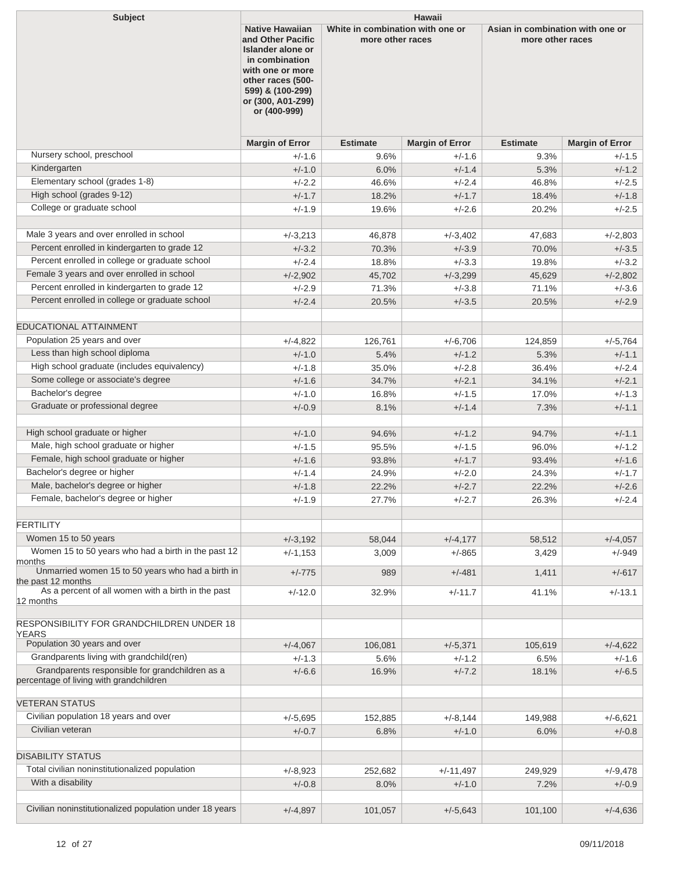| <b>Subject</b>                                                                             | Hawaii                                                                                                                                                                                                                                       |                 |                        |                                                      |                        |  |
|--------------------------------------------------------------------------------------------|----------------------------------------------------------------------------------------------------------------------------------------------------------------------------------------------------------------------------------------------|-----------------|------------------------|------------------------------------------------------|------------------------|--|
|                                                                                            | <b>Native Hawaiian</b><br>White in combination with one or<br>and Other Pacific<br>more other races<br>Islander alone or<br>in combination<br>with one or more<br>other races (500-<br>599) & (100-299)<br>or (300, A01-Z99)<br>or (400-999) |                 |                        | Asian in combination with one or<br>more other races |                        |  |
|                                                                                            | <b>Margin of Error</b>                                                                                                                                                                                                                       | <b>Estimate</b> | <b>Margin of Error</b> | <b>Estimate</b>                                      | <b>Margin of Error</b> |  |
| Nursery school, preschool                                                                  | $+/-1.6$                                                                                                                                                                                                                                     | 9.6%            | $+/-1.6$               | 9.3%                                                 | $+/-1.5$               |  |
| Kindergarten                                                                               | $+/-1.0$                                                                                                                                                                                                                                     | 6.0%            | $+/-1.4$               | 5.3%                                                 | $+/-1.2$               |  |
| Elementary school (grades 1-8)                                                             | $+/-2.2$                                                                                                                                                                                                                                     | 46.6%           | $+/-2.4$               | 46.8%                                                | $+/-2.5$               |  |
| High school (grades 9-12)                                                                  | $+/-1.7$                                                                                                                                                                                                                                     | 18.2%           | $+/-1.7$               | 18.4%                                                | $+/-1.8$               |  |
| College or graduate school                                                                 | $+/-1.9$                                                                                                                                                                                                                                     | 19.6%           | $+/-2.6$               | 20.2%                                                | $+/-2.5$               |  |
|                                                                                            |                                                                                                                                                                                                                                              |                 |                        |                                                      |                        |  |
| Male 3 years and over enrolled in school                                                   | $+/-3,213$                                                                                                                                                                                                                                   | 46,878          | $+/-3,402$             | 47,683                                               | $+/-2,803$             |  |
| Percent enrolled in kindergarten to grade 12                                               | $+/-3.2$                                                                                                                                                                                                                                     | 70.3%           | $+/-3.9$               | 70.0%                                                | $+/-3.5$               |  |
| Percent enrolled in college or graduate school                                             | $+/-2.4$                                                                                                                                                                                                                                     | 18.8%           | $+/-3.3$               | 19.8%                                                | $+/-3.2$               |  |
| Female 3 years and over enrolled in school                                                 | $+/-2,902$                                                                                                                                                                                                                                   | 45,702          | $+/-3,299$             | 45,629                                               | $+/-2,802$             |  |
| Percent enrolled in kindergarten to grade 12                                               | $+/-2.9$                                                                                                                                                                                                                                     | 71.3%           | $+/-3.8$               | 71.1%                                                | $+/-3.6$               |  |
| Percent enrolled in college or graduate school                                             | $+/-2.4$                                                                                                                                                                                                                                     | 20.5%           | $+/-3.5$               | 20.5%                                                | $+/-2.9$               |  |
|                                                                                            |                                                                                                                                                                                                                                              |                 |                        |                                                      |                        |  |
| <b>EDUCATIONAL ATTAINMENT</b>                                                              |                                                                                                                                                                                                                                              |                 |                        |                                                      |                        |  |
| Population 25 years and over                                                               | $+/-4,822$                                                                                                                                                                                                                                   | 126,761         | $+/-6,706$             | 124,859                                              | $+/-5,764$             |  |
| Less than high school diploma                                                              | $+/-1.0$                                                                                                                                                                                                                                     | 5.4%            | $+/-1.2$               | 5.3%                                                 | $+/-1.1$               |  |
| High school graduate (includes equivalency)<br>Some college or associate's degree          | $+/-1.8$                                                                                                                                                                                                                                     | 35.0%           | $+/-2.8$               | 36.4%                                                | $+/-2.4$               |  |
| Bachelor's degree                                                                          | $+/-1.6$                                                                                                                                                                                                                                     | 34.7%           | $+/-2.1$               | 34.1%                                                | $+/-2.1$               |  |
| Graduate or professional degree                                                            | $+/-1.0$                                                                                                                                                                                                                                     | 16.8%           | $+/-1.5$               | 17.0%                                                | $+/-1.3$               |  |
|                                                                                            | $+/-0.9$                                                                                                                                                                                                                                     | 8.1%            | $+/-1.4$               | 7.3%                                                 | $+/-1.1$               |  |
| High school graduate or higher                                                             | $+/-1.0$                                                                                                                                                                                                                                     | 94.6%           | $+/-1.2$               | 94.7%                                                | $+/-1.1$               |  |
| Male, high school graduate or higher                                                       | $+/-1.5$                                                                                                                                                                                                                                     | 95.5%           | $+/-1.5$               | 96.0%                                                | $+/-1.2$               |  |
| Female, high school graduate or higher                                                     | $+/-1.6$                                                                                                                                                                                                                                     |                 | $+/-1.7$               |                                                      | $+/-1.6$               |  |
| Bachelor's degree or higher                                                                | $+/-1.4$                                                                                                                                                                                                                                     | 93.8%           | $+/-2.0$               | 93.4%                                                |                        |  |
| Male, bachelor's degree or higher                                                          | $+/-1.8$                                                                                                                                                                                                                                     | 24.9%<br>22.2%  | $+/-2.7$               | 24.3%<br>22.2%                                       | $+/-1.7$<br>$+/-2.6$   |  |
| Female, bachelor's degree or higher                                                        | $+/-1.9$                                                                                                                                                                                                                                     | 27.7%           | $+/-2.7$               | 26.3%                                                | $+/-2.4$               |  |
|                                                                                            |                                                                                                                                                                                                                                              |                 |                        |                                                      |                        |  |
| <b>FERTILITY</b>                                                                           |                                                                                                                                                                                                                                              |                 |                        |                                                      |                        |  |
| Women 15 to 50 years                                                                       | $+/-3,192$                                                                                                                                                                                                                                   | 58,044          | $+/-4,177$             | 58,512                                               | $+/-4,057$             |  |
| Women 15 to 50 years who had a birth in the past 12                                        | $+/-1,153$                                                                                                                                                                                                                                   | 3,009           | $+/-865$               | 3,429                                                | $+/-949$               |  |
| months<br>Unmarried women 15 to 50 years who had a birth in                                |                                                                                                                                                                                                                                              |                 |                        |                                                      |                        |  |
| the past 12 months                                                                         | $+/-775$                                                                                                                                                                                                                                     | 989             | $+/-481$               | 1,411                                                | $+/-617$               |  |
| As a percent of all women with a birth in the past                                         | $+/-12.0$                                                                                                                                                                                                                                    | 32.9%           | $+/-11.7$              | 41.1%                                                | $+/-13.1$              |  |
| 12 months                                                                                  |                                                                                                                                                                                                                                              |                 |                        |                                                      |                        |  |
| <b>RESPONSIBILITY FOR GRANDCHILDREN UNDER 18</b>                                           |                                                                                                                                                                                                                                              |                 |                        |                                                      |                        |  |
| <b>YEARS</b>                                                                               |                                                                                                                                                                                                                                              |                 |                        |                                                      |                        |  |
| Population 30 years and over                                                               | $+/-4,067$                                                                                                                                                                                                                                   | 106,081         | $+/-5,371$             | 105,619                                              | $+/-4,622$             |  |
| Grandparents living with grandchild(ren)                                                   | $+/-1.3$                                                                                                                                                                                                                                     | 5.6%            | $+/-1.2$               | 6.5%                                                 | $+/-1.6$               |  |
| Grandparents responsible for grandchildren as a<br>percentage of living with grandchildren | $+/-6.6$                                                                                                                                                                                                                                     | 16.9%           | $+/-7.2$               | 18.1%                                                | $+/-6.5$               |  |
| <b>VETERAN STATUS</b>                                                                      |                                                                                                                                                                                                                                              |                 |                        |                                                      |                        |  |
| Civilian population 18 years and over                                                      | $+/-5.695$                                                                                                                                                                                                                                   | 152,885         | $+/-8,144$             | 149,988                                              | $+/-6,621$             |  |
| Civilian veteran                                                                           | $+/-0.7$                                                                                                                                                                                                                                     | 6.8%            | $+/-1.0$               | 6.0%                                                 | $+/-0.8$               |  |
|                                                                                            |                                                                                                                                                                                                                                              |                 |                        |                                                      |                        |  |
| <b>DISABILITY STATUS</b>                                                                   |                                                                                                                                                                                                                                              |                 |                        |                                                      |                        |  |
| Total civilian noninstitutionalized population                                             | $+/-8.923$                                                                                                                                                                                                                                   | 252,682         | $+/-11,497$            | 249,929                                              | $+/-9,478$             |  |
| With a disability                                                                          | $+/-0.8$                                                                                                                                                                                                                                     | 8.0%            | $+/-1.0$               | 7.2%                                                 | $+/-0.9$               |  |
|                                                                                            |                                                                                                                                                                                                                                              |                 |                        |                                                      |                        |  |
| Civilian noninstitutionalized population under 18 years                                    | $+/-4,897$                                                                                                                                                                                                                                   | 101,057         | $+/-5,643$             | 101,100                                              | $+/-4,636$             |  |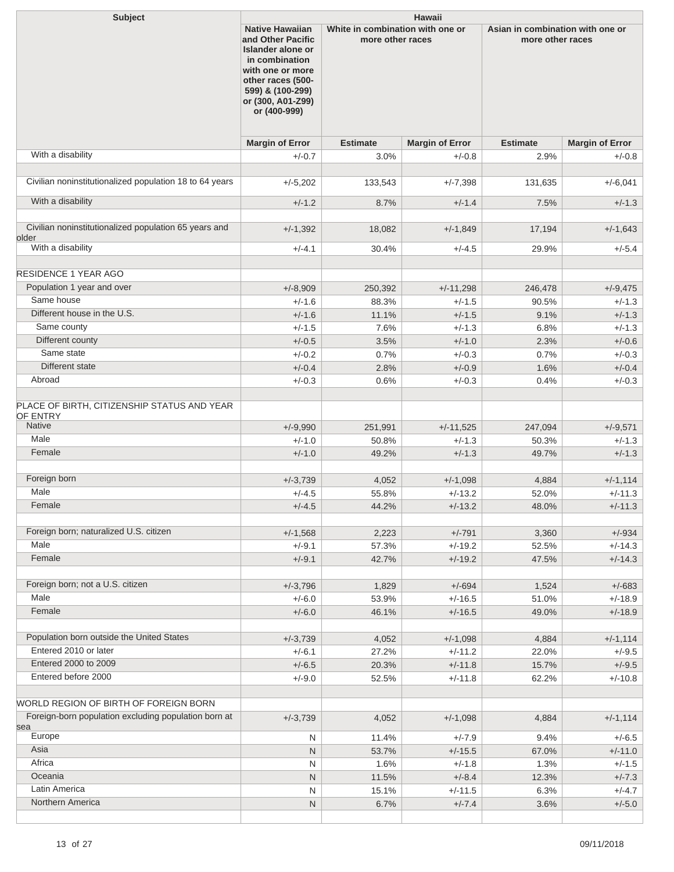| <b>Subject</b>                                          | <b>Hawaii</b><br><b>Native Hawaiian</b><br>White in combination with one or<br>Asian in combination with one or                                            |                                      |                        |                 |                        |
|---------------------------------------------------------|------------------------------------------------------------------------------------------------------------------------------------------------------------|--------------------------------------|------------------------|-----------------|------------------------|
|                                                         | and Other Pacific<br>Islander alone or<br>in combination<br>with one or more<br>other races (500-<br>599) & (100-299)<br>or (300, A01-Z99)<br>or (400-999) | more other races<br>more other races |                        |                 |                        |
|                                                         | <b>Margin of Error</b>                                                                                                                                     | <b>Estimate</b>                      | <b>Margin of Error</b> | <b>Estimate</b> | <b>Margin of Error</b> |
| With a disability                                       | $+/-0.7$                                                                                                                                                   | 3.0%                                 | $+/-0.8$               | 2.9%            | $+/-0.8$               |
| Civilian noninstitutionalized population 18 to 64 years |                                                                                                                                                            |                                      |                        |                 |                        |
|                                                         | $+/-5,202$                                                                                                                                                 | 133,543                              | $+/-7,398$             | 131,635         | $+/-6,041$             |
| With a disability                                       | $+/-1.2$                                                                                                                                                   | 8.7%                                 | $+/-1.4$               | 7.5%            | $+/-1.3$               |
| Civilian noninstitutionalized population 65 years and   |                                                                                                                                                            |                                      |                        |                 |                        |
| older                                                   | $+/-1,392$                                                                                                                                                 | 18,082                               | $+/-1,849$             | 17,194          | $+/-1,643$             |
| With a disability                                       | $+/-4.1$                                                                                                                                                   | 30.4%                                | $+/-4.5$               | 29.9%           | $+/-5.4$               |
| <b>RESIDENCE 1 YEAR AGO</b>                             |                                                                                                                                                            |                                      |                        |                 |                        |
| Population 1 year and over                              | $+/-8,909$                                                                                                                                                 | 250,392                              | $+/-11,298$            | 246,478         | $+/-9,475$             |
| Same house                                              | $+/-1.6$                                                                                                                                                   | 88.3%                                | $+/-1.5$               | 90.5%           | $+/-1.3$               |
| Different house in the U.S.                             | $+/-1.6$                                                                                                                                                   | 11.1%                                | $+/-1.5$               | 9.1%            | $+/-1.3$               |
| Same county                                             | $+/-1.5$                                                                                                                                                   | 7.6%                                 | $+/-1.3$               | 6.8%            | $+/-1.3$               |
| Different county                                        | $+/-0.5$                                                                                                                                                   | 3.5%                                 | $+/-1.0$               | 2.3%            | $+/-0.6$               |
| Same state                                              | $+/-0.2$                                                                                                                                                   | 0.7%                                 | $+/-0.3$               | 0.7%            | $+/-0.3$               |
| Different state                                         | $+/-0.4$                                                                                                                                                   | 2.8%                                 | $+/-0.9$               | 1.6%            | $+/-0.4$               |
| Abroad                                                  | $+/-0.3$                                                                                                                                                   | 0.6%                                 | $+/-0.3$               | 0.4%            | $+/-0.3$               |
| PLACE OF BIRTH, CITIZENSHIP STATUS AND YEAR<br>OF ENTRY |                                                                                                                                                            |                                      |                        |                 |                        |
| <b>Native</b>                                           | $+/-9.990$                                                                                                                                                 | 251,991                              | $+/-11,525$            | 247,094         | $+/-9,571$             |
| Male                                                    | $+/-1.0$                                                                                                                                                   | 50.8%                                | $+/-1.3$               | 50.3%           | $+/-1.3$               |
| Female                                                  | $+/-1.0$                                                                                                                                                   | 49.2%                                | $+/-1.3$               | 49.7%           | $+/-1.3$               |
| Foreign born                                            | $+/-3,739$                                                                                                                                                 | 4,052                                | $+/-1,098$             | 4,884           | $+/-1,114$             |
| Male                                                    | $+/-4.5$                                                                                                                                                   | 55.8%                                | $+/-13.2$              | 52.0%           | $+/-11.3$              |
| Female                                                  | $+/-4.5$                                                                                                                                                   | 44.2%                                | $+/-13.2$              | 48.0%           | $+/-11.3$              |
|                                                         |                                                                                                                                                            |                                      |                        |                 |                        |
| Foreign born; naturalized U.S. citizen                  | $+/-1,568$                                                                                                                                                 | 2,223                                | $+/-791$               | 3,360           | $+/-934$               |
| Male                                                    | $+/-9.1$                                                                                                                                                   | 57.3%                                | $+/-19.2$              | 52.5%           | $+/-14.3$              |
| Female                                                  | $+/-9.1$                                                                                                                                                   | 42.7%                                | $+/-19.2$              | 47.5%           | $+/-14.3$              |
|                                                         |                                                                                                                                                            |                                      |                        |                 |                        |
| Foreign born; not a U.S. citizen                        | $+/-3,796$                                                                                                                                                 | 1,829                                | $+/-694$               | 1,524           | $+/-683$               |
| Male                                                    | $+/-6.0$                                                                                                                                                   | 53.9%                                | $+/-16.5$              | 51.0%           | $+/-18.9$              |
| Female                                                  | $+/-6.0$                                                                                                                                                   | 46.1%                                | $+/-16.5$              | 49.0%           | $+/-18.9$              |
| Population born outside the United States               | $+/-3,739$                                                                                                                                                 | 4,052                                | $+/-1,098$             | 4,884           | $+/-1,114$             |
| Entered 2010 or later                                   | $+/-6.1$                                                                                                                                                   | 27.2%                                | $+/-11.2$              | 22.0%           | $+/-9.5$               |
| Entered 2000 to 2009                                    | $+/-6.5$                                                                                                                                                   | 20.3%                                | $+/-11.8$              | 15.7%           | $+/-9.5$               |
| Entered before 2000                                     | $+/-9.0$                                                                                                                                                   | 52.5%                                | $+/-11.8$              | 62.2%           | $+/-10.8$              |
|                                                         |                                                                                                                                                            |                                      |                        |                 |                        |
| WORLD REGION OF BIRTH OF FOREIGN BORN                   |                                                                                                                                                            |                                      |                        |                 |                        |
| Foreign-born population excluding population born at    | $+/-3,739$                                                                                                                                                 | 4,052                                | $+/-1,098$             | 4,884           | $+/-1,114$             |
| sea<br>Europe                                           | N                                                                                                                                                          | 11.4%                                | $+/-7.9$               | 9.4%            | $+/-6.5$               |
| Asia                                                    | $\mathsf{N}$                                                                                                                                               | 53.7%                                | $+/-15.5$              | 67.0%           | $+/-11.0$              |
| Africa                                                  | N                                                                                                                                                          | 1.6%                                 | $+/-1.8$               | 1.3%            | $+/-1.5$               |
| Oceania                                                 | $\mathsf{N}$                                                                                                                                               | 11.5%                                | $+/-8.4$               | 12.3%           | $+/-7.3$               |
| Latin America                                           | N                                                                                                                                                          | 15.1%                                | $+/-11.5$              | 6.3%            | $+/-4.7$               |
| Northern America                                        | ${\sf N}$                                                                                                                                                  | 6.7%                                 | $+/-7.4$               | 3.6%            | $+/-5.0$               |
|                                                         |                                                                                                                                                            |                                      |                        |                 |                        |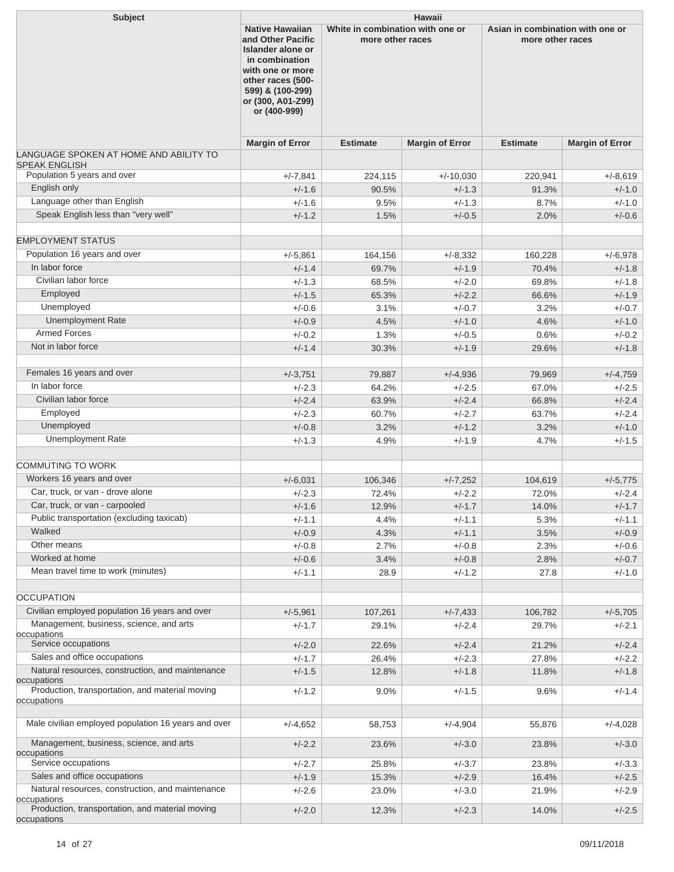| <b>Subject</b>                                                  | <b>Hawaii</b>                                                                                                                                                                                                                                       |                 |                                                      |                 |                        |
|-----------------------------------------------------------------|-----------------------------------------------------------------------------------------------------------------------------------------------------------------------------------------------------------------------------------------------------|-----------------|------------------------------------------------------|-----------------|------------------------|
|                                                                 | <b>Native Hawaiian</b><br>White in combination with one or<br>and Other Pacific<br>more other races<br><b>Islander alone or</b><br>in combination<br>with one or more<br>other races (500-<br>599) & (100-299)<br>or (300, A01-Z99)<br>or (400-999) |                 | Asian in combination with one or<br>more other races |                 |                        |
|                                                                 | <b>Margin of Error</b>                                                                                                                                                                                                                              | <b>Estimate</b> | <b>Margin of Error</b>                               | <b>Estimate</b> | <b>Margin of Error</b> |
| LANGUAGE SPOKEN AT HOME AND ABILITY TO                          |                                                                                                                                                                                                                                                     |                 |                                                      |                 |                        |
| <b>SPEAK ENGLISH</b><br>Population 5 years and over             | $+/-7,841$                                                                                                                                                                                                                                          | 224,115         | $+/-10,030$                                          | 220,941         | $+/-8.619$             |
| English only                                                    | $+/-1.6$                                                                                                                                                                                                                                            | 90.5%           | $+/-1.3$                                             | 91.3%           | $+/-1.0$               |
| Language other than English                                     | $+/-1.6$                                                                                                                                                                                                                                            | 9.5%            | $+/-1.3$                                             | 8.7%            | $+/-1.0$               |
| Speak English less than "very well"                             | $+/-1.2$                                                                                                                                                                                                                                            | 1.5%            | $+/-0.5$                                             | 2.0%            | $+/-0.6$               |
| <b>EMPLOYMENT STATUS</b>                                        |                                                                                                                                                                                                                                                     |                 |                                                      |                 |                        |
| Population 16 years and over                                    | $+/-5,861$                                                                                                                                                                                                                                          | 164,156         | $+/-8,332$                                           | 160,228         | $+/-6,978$             |
| In labor force                                                  | $+/-1.4$                                                                                                                                                                                                                                            | 69.7%           | $+/-1.9$                                             | 70.4%           | $+/-1.8$               |
| Civilian labor force                                            | $+/-1.3$                                                                                                                                                                                                                                            | 68.5%           | $+/-2.0$                                             | 69.8%           | $+/-1.8$               |
| Employed                                                        | $+/-1.5$                                                                                                                                                                                                                                            | 65.3%           | $+/-2.2$                                             | 66.6%           | $+/-1.9$               |
| Unemployed                                                      | $+/-0.6$                                                                                                                                                                                                                                            | 3.1%            | $+/-0.7$                                             | 3.2%            | $+/-0.7$               |
| <b>Unemployment Rate</b>                                        | $+/-0.9$                                                                                                                                                                                                                                            | 4.5%            | $+/-1.0$                                             | 4.6%            | $+/-1.0$               |
| Armed Forces                                                    | $+/-0.2$                                                                                                                                                                                                                                            | 1.3%            | $+/-0.5$                                             | 0.6%            | $+/-0.2$               |
| Not in labor force                                              | $+/-1.4$                                                                                                                                                                                                                                            | 30.3%           | $+/-1.9$                                             | 29.6%           | $+/-1.8$               |
| Females 16 years and over                                       | $+/-3,751$                                                                                                                                                                                                                                          | 79,887          | $+/-4,936$                                           | 79,969          | $+/-4,759$             |
| In labor force                                                  | $+/-2.3$                                                                                                                                                                                                                                            | 64.2%           | $+/-2.5$                                             | 67.0%           | $+/-2.5$               |
| Civilian labor force                                            | $+/-2.4$                                                                                                                                                                                                                                            | 63.9%           | $+/-2.4$                                             | 66.8%           | $+/-2.4$               |
| Employed                                                        | $+/-2.3$                                                                                                                                                                                                                                            | 60.7%           | $+/-2.7$                                             | 63.7%           | $+/-2.4$               |
| Unemployed                                                      | $+/-0.8$                                                                                                                                                                                                                                            | 3.2%            | $+/-1.2$                                             | 3.2%            | $+/-1.0$               |
| <b>Unemployment Rate</b>                                        | $+/-1.3$                                                                                                                                                                                                                                            | 4.9%            | $+/-1.9$                                             | 4.7%            | $+/-1.5$               |
| <b>COMMUTING TO WORK</b>                                        |                                                                                                                                                                                                                                                     |                 |                                                      |                 |                        |
| Workers 16 years and over                                       | $+/-6,031$                                                                                                                                                                                                                                          | 106,346         | $+/-7,252$                                           | 104,619         | $+/-5,775$             |
| Car, truck, or van - drove alone                                | $+/-2.3$                                                                                                                                                                                                                                            | 72.4%           | $+/-2.2$                                             | 72.0%           | $+/-2.4$               |
| Car, truck, or van - carpooled                                  | $+/-1.6$                                                                                                                                                                                                                                            | 12.9%           | $+/-1.7$                                             | 14.0%           | $+/-1.7$               |
| Public transportation (excluding taxicab)                       | $+/-1.1$                                                                                                                                                                                                                                            | 4.4%            | $+/-1.1$                                             | 5.3%            | $+/-1.1$               |
| Walked                                                          | $+/-0.9$                                                                                                                                                                                                                                            | 4.3%            | $+/-1.1$                                             | 3.5%            | $+/-0.9$               |
| Other means                                                     | $+/-0.8$                                                                                                                                                                                                                                            | 2.7%            | $+/-0.8$                                             | 2.3%            | $+/-0.6$               |
| Worked at home                                                  | $+/-0.6$                                                                                                                                                                                                                                            | 3.4%            | $+/-0.8$                                             | 2.8%            | $+/-0.7$               |
| Mean travel time to work (minutes)                              | $+/-1.1$                                                                                                                                                                                                                                            | 28.9            | $+/-1.2$                                             | 27.8            | $+/-1.0$               |
|                                                                 |                                                                                                                                                                                                                                                     |                 |                                                      |                 |                        |
| <b>OCCUPATION</b>                                               |                                                                                                                                                                                                                                                     |                 |                                                      |                 |                        |
| Civilian employed population 16 years and over                  | $+/-5,961$                                                                                                                                                                                                                                          | 107,261         | $+/-7,433$                                           | 106,782         | $+/-5,705$             |
| Management, business, science, and arts<br>occupations          | $+/-1.7$                                                                                                                                                                                                                                            | 29.1%           | $+/-2.4$                                             | 29.7%           | $+/-2.1$               |
| Service occupations                                             | $+/-2.0$                                                                                                                                                                                                                                            | 22.6%           | $+/-2.4$                                             | 21.2%           | $+/-2.4$               |
| Sales and office occupations                                    | $+/-1.7$                                                                                                                                                                                                                                            | 26.4%           | $+/-2.3$                                             | 27.8%           | $+/-2.2$               |
| Natural resources, construction, and maintenance<br>occupations | $+/-1.5$                                                                                                                                                                                                                                            | 12.8%           | $+/-1.8$                                             | 11.8%           | $+/-1.8$               |
| Production, transportation, and material moving<br>occupations  | $+/-1.2$                                                                                                                                                                                                                                            | 9.0%            | $+/-1.5$                                             | 9.6%            | $+/-1.4$               |
| Male civilian employed population 16 years and over             | $+/-4,652$                                                                                                                                                                                                                                          | 58,753          | $+/-4,904$                                           | 55,876          | $+/-4,028$             |
| Management, business, science, and arts                         | $+/-2.2$                                                                                                                                                                                                                                            | 23.6%           | $+/-3.0$                                             | 23.8%           | $+/-3.0$               |
| occupations<br>Service occupations                              | $+/-2.7$                                                                                                                                                                                                                                            | 25.8%           | $+/-3.7$                                             | 23.8%           | $+/-3.3$               |
| Sales and office occupations                                    | $+/-1.9$                                                                                                                                                                                                                                            | 15.3%           | $+/-2.9$                                             | 16.4%           | $+/-2.5$               |
| Natural resources, construction, and maintenance                | $+/-2.6$                                                                                                                                                                                                                                            | 23.0%           | $+/-3.0$                                             | 21.9%           | $+/-2.9$               |
| occupations<br>Production, transportation, and material moving  | $+/-2.0$                                                                                                                                                                                                                                            | 12.3%           | $+/-2.3$                                             | 14.0%           | $+/-2.5$               |
| occupations                                                     |                                                                                                                                                                                                                                                     |                 |                                                      |                 |                        |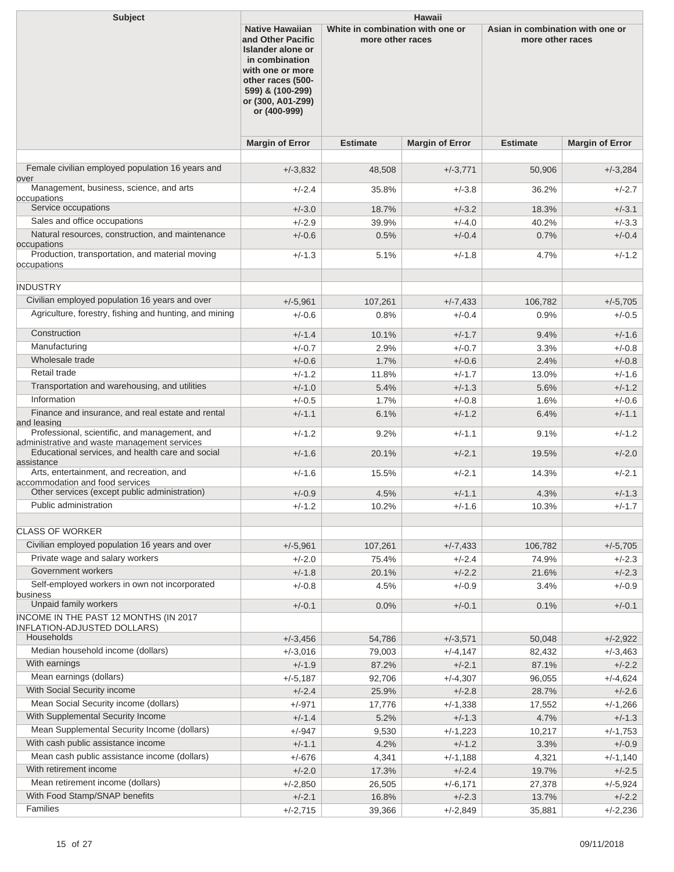| <b>Subject</b>                                                                                | Hawaii                                                                                                                                                                               |                                                                                                              |                        |                 |                        |
|-----------------------------------------------------------------------------------------------|--------------------------------------------------------------------------------------------------------------------------------------------------------------------------------------|--------------------------------------------------------------------------------------------------------------|------------------------|-----------------|------------------------|
|                                                                                               | <b>Native Hawaiian</b><br>and Other Pacific<br>Islander alone or<br>in combination<br>with one or more<br>other races (500-<br>599) & (100-299)<br>or (300, A01-Z99)<br>or (400-999) | White in combination with one or<br>Asian in combination with one or<br>more other races<br>more other races |                        |                 |                        |
|                                                                                               | <b>Margin of Error</b>                                                                                                                                                               | <b>Estimate</b>                                                                                              | <b>Margin of Error</b> | <b>Estimate</b> | <b>Margin of Error</b> |
| Female civilian employed population 16 years and                                              | $+/-3,832$                                                                                                                                                                           | 48,508                                                                                                       | $+/-3,771$             | 50,906          | $+/-3,284$             |
| over<br>Management, business, science, and arts<br>occupations                                | $+/-2.4$                                                                                                                                                                             | 35.8%                                                                                                        | $+/-3.8$               | 36.2%           | +/-2.7                 |
| Service occupations                                                                           | $+/-3.0$                                                                                                                                                                             | 18.7%                                                                                                        | $+/-3.2$               | 18.3%           | $+/-3.1$               |
| Sales and office occupations                                                                  | $+/-2.9$                                                                                                                                                                             | 39.9%                                                                                                        | $+/-4.0$               | 40.2%           | $+/-3.3$               |
| Natural resources, construction, and maintenance                                              | $+/-0.6$                                                                                                                                                                             | 0.5%                                                                                                         | $+/-0.4$               | 0.7%            | $+/-0.4$               |
| occupations                                                                                   |                                                                                                                                                                                      |                                                                                                              |                        |                 |                        |
| Production, transportation, and material moving<br>occupations                                | $+/-1.3$                                                                                                                                                                             | 5.1%                                                                                                         | $+/-1.8$               | 4.7%            | $+/-1.2$               |
|                                                                                               |                                                                                                                                                                                      |                                                                                                              |                        |                 |                        |
| <b>INDUSTRY</b>                                                                               |                                                                                                                                                                                      |                                                                                                              |                        |                 |                        |
| Civilian employed population 16 years and over                                                | $+/-5,961$                                                                                                                                                                           | 107,261                                                                                                      | $+/-7,433$             | 106,782         | $+/-5,705$             |
| Agriculture, forestry, fishing and hunting, and mining                                        | $+/-0.6$                                                                                                                                                                             | 0.8%                                                                                                         | $+/-0.4$               | 0.9%            | $+/-0.5$               |
| Construction                                                                                  | $+/-1.4$                                                                                                                                                                             | 10.1%                                                                                                        | $+/-1.7$               | 9.4%            | $+/-1.6$               |
| Manufacturing                                                                                 | $+/-0.7$                                                                                                                                                                             | 2.9%                                                                                                         | $+/-0.7$               | 3.3%            | $+/-0.8$               |
| Wholesale trade                                                                               | $+/-0.6$                                                                                                                                                                             | 1.7%                                                                                                         | $+/-0.6$               | 2.4%            | $+/-0.8$               |
| Retail trade                                                                                  | $+/-1.2$                                                                                                                                                                             | 11.8%                                                                                                        | $+/-1.7$               | 13.0%           | $+/-1.6$               |
| Transportation and warehousing, and utilities                                                 | $+/-1.0$                                                                                                                                                                             | 5.4%                                                                                                         | $+/-1.3$               | 5.6%            | $+/-1.2$               |
| Information                                                                                   | $+/-0.5$                                                                                                                                                                             | 1.7%                                                                                                         | $+/-0.8$               | 1.6%            | $+/-0.6$               |
| Finance and insurance, and real estate and rental<br>and leasing                              | $+/-1.1$                                                                                                                                                                             | 6.1%                                                                                                         | $+/-1.2$               | 6.4%            | $+/-1.1$               |
| Professional, scientific, and management, and<br>administrative and waste management services | $+/-1.2$                                                                                                                                                                             | 9.2%                                                                                                         | $+/-1.1$               | 9.1%            | $+/-1.2$               |
| Educational services, and health care and social<br>assistance                                | $+/-1.6$                                                                                                                                                                             | 20.1%                                                                                                        | $+/-2.1$               | 19.5%           | $+/-2.0$               |
| Arts, entertainment, and recreation, and                                                      | $+/-1.6$                                                                                                                                                                             | 15.5%                                                                                                        | $+/-2.1$               | 14.3%           | $+/-2.1$               |
| accommodation and food services                                                               |                                                                                                                                                                                      |                                                                                                              |                        |                 |                        |
| Other services (except public administration)                                                 | $+/-0.9$                                                                                                                                                                             | 4.5%                                                                                                         | $+/-1.1$               | 4.3%            | $+/-1.3$               |
| Public administration                                                                         | $+/-1.2$                                                                                                                                                                             | 10.2%                                                                                                        | +/-1.6                 | 10.3%           | $+/-1.7$               |
| <b>CLASS OF WORKER</b>                                                                        |                                                                                                                                                                                      |                                                                                                              |                        |                 |                        |
| Civilian employed population 16 years and over                                                | $+/-5,961$                                                                                                                                                                           | 107,261                                                                                                      | $+/-7,433$             | 106,782         | $+/-5,705$             |
| Private wage and salary workers                                                               | $+/-2.0$                                                                                                                                                                             | 75.4%                                                                                                        | $+/-2.4$               | 74.9%           | $+/-2.3$               |
| Government workers                                                                            | $+/-1.8$                                                                                                                                                                             | 20.1%                                                                                                        | $+/-2.2$               | 21.6%           | $+/-2.3$               |
| Self-employed workers in own not incorporated<br>business                                     | $+/-0.8$                                                                                                                                                                             | 4.5%                                                                                                         | $+/-0.9$               | 3.4%            | $+/-0.9$               |
| Unpaid family workers                                                                         | $+/-0.1$                                                                                                                                                                             | 0.0%                                                                                                         | $+/-0.1$               | 0.1%            | $+/-0.1$               |
| INCOME IN THE PAST 12 MONTHS (IN 2017<br><b>INFLATION-ADJUSTED DOLLARS)</b>                   |                                                                                                                                                                                      |                                                                                                              |                        |                 |                        |
| Households                                                                                    | $+/-3,456$                                                                                                                                                                           | 54,786                                                                                                       | $+/-3,571$             | 50,048          | $+/-2,922$             |
| Median household income (dollars)                                                             | $+/-3,016$                                                                                                                                                                           | 79,003                                                                                                       | $+/-4,147$             | 82,432          | $+/-3,463$             |
| With earnings                                                                                 | $+/-1.9$                                                                                                                                                                             | 87.2%                                                                                                        | $+/-2.1$               | 87.1%           | $+/-2.2$               |
| Mean earnings (dollars)                                                                       | $+/-5,187$                                                                                                                                                                           | 92,706                                                                                                       | $+/-4,307$             | 96,055          | $+/-4,624$             |
| With Social Security income                                                                   | $+/-2.4$                                                                                                                                                                             | 25.9%                                                                                                        | $+/-2.8$               | 28.7%           | $+/-2.6$               |
| Mean Social Security income (dollars)                                                         | $+/-971$                                                                                                                                                                             | 17,776                                                                                                       | $+/-1,338$             | 17,552          | $+/-1,266$             |
| With Supplemental Security Income                                                             | $+/-1.4$                                                                                                                                                                             | 5.2%                                                                                                         | $+/-1.3$               | 4.7%            | $+/-1.3$               |
| Mean Supplemental Security Income (dollars)                                                   | $+/-947$                                                                                                                                                                             | 9,530                                                                                                        | $+/-1,223$             | 10,217          | $+/-1,753$             |
| With cash public assistance income                                                            | $+/-1.1$                                                                                                                                                                             | 4.2%                                                                                                         | $+/-1.2$               | 3.3%            | $+/-0.9$               |
| Mean cash public assistance income (dollars)                                                  | $+/-676$                                                                                                                                                                             | 4,341                                                                                                        | $+/-1,188$             | 4,321           | $+/-1,140$             |
| With retirement income                                                                        | $+/-2.0$                                                                                                                                                                             | 17.3%                                                                                                        | $+/-2.4$               | 19.7%           | $+/-2.5$               |
| Mean retirement income (dollars)                                                              | $+/-2,850$                                                                                                                                                                           | 26,505                                                                                                       | $+/-6,171$             | 27,378          | $+/-5,924$             |
| With Food Stamp/SNAP benefits                                                                 | $+/-2.1$                                                                                                                                                                             | 16.8%                                                                                                        | $+/-2.3$               | 13.7%           | $+/-2.2$               |
| Families                                                                                      | $+/-2,715$                                                                                                                                                                           | 39,366                                                                                                       | $+/-2,849$             | 35,881          | $+/-2,236$             |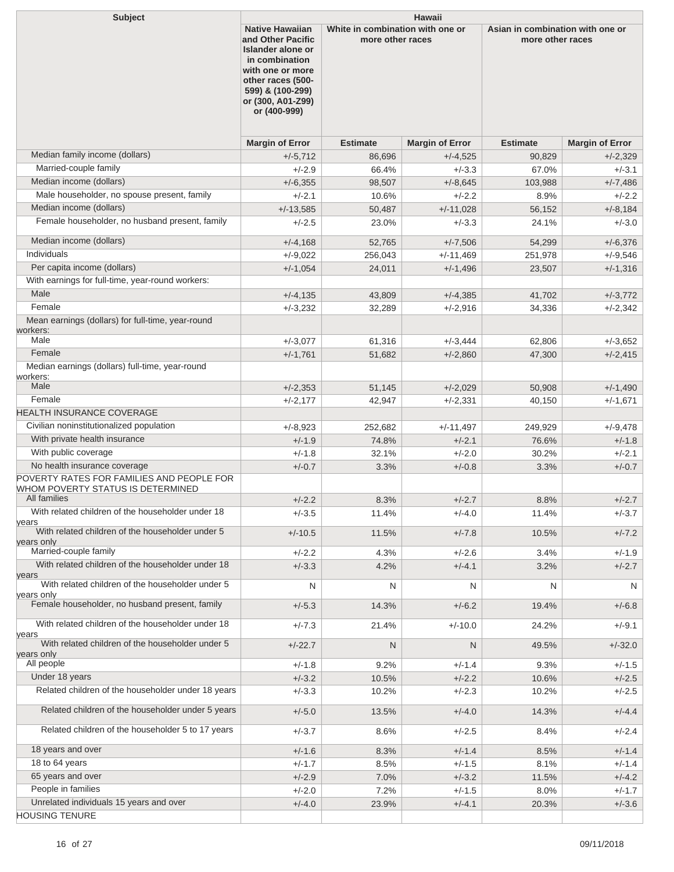| <b>Subject</b>                                                                                                 | <b>Hawaii</b>                                                                                                                                                                                                   |                 |                                  |                                                      |                        |
|----------------------------------------------------------------------------------------------------------------|-----------------------------------------------------------------------------------------------------------------------------------------------------------------------------------------------------------------|-----------------|----------------------------------|------------------------------------------------------|------------------------|
|                                                                                                                | <b>Native Hawaiian</b><br>and Other Pacific<br>more other races<br><b>Islander alone or</b><br>in combination<br>with one or more<br>other races (500-<br>599) & (100-299)<br>or (300, A01-Z99)<br>or (400-999) |                 | White in combination with one or | Asian in combination with one or<br>more other races |                        |
|                                                                                                                | <b>Margin of Error</b>                                                                                                                                                                                          | <b>Estimate</b> | <b>Margin of Error</b>           | <b>Estimate</b>                                      | <b>Margin of Error</b> |
| Median family income (dollars)                                                                                 | $+/-5,712$                                                                                                                                                                                                      | 86,696          | $+/-4,525$                       | 90,829                                               | $+/-2,329$             |
| Married-couple family                                                                                          | $+/-2.9$                                                                                                                                                                                                        | 66.4%           | $+/-3.3$                         | 67.0%                                                | $+/-3.1$               |
| Median income (dollars)                                                                                        | $+/-6,355$                                                                                                                                                                                                      | 98,507          | $+/-8,645$                       | 103,988                                              | $+/-7,486$             |
| Male householder, no spouse present, family                                                                    | $+/-2.1$                                                                                                                                                                                                        | 10.6%           | $+/-2.2$                         | 8.9%                                                 | $+/-2.2$               |
| Median income (dollars)                                                                                        | $+/-13,585$                                                                                                                                                                                                     | 50,487          | $+/-11,028$                      | 56,152                                               | $+/-8,184$             |
| Female householder, no husband present, family                                                                 | $+/-2.5$                                                                                                                                                                                                        | 23.0%           | $+/-3.3$                         | 24.1%                                                | $+/-3.0$               |
| Median income (dollars)                                                                                        | $+/-4,168$                                                                                                                                                                                                      | 52,765          | $+/-7,506$                       | 54,299                                               | $+/-6,376$             |
| Individuals                                                                                                    | $+/-9,022$                                                                                                                                                                                                      | 256,043         | $+/-11,469$                      | 251,978                                              | $+/-9,546$             |
| Per capita income (dollars)<br>With earnings for full-time, year-round workers:                                | $+/-1,054$                                                                                                                                                                                                      | 24,011          | $+/-1,496$                       | 23,507                                               | $+/-1,316$             |
| Male                                                                                                           |                                                                                                                                                                                                                 |                 |                                  |                                                      |                        |
| Female                                                                                                         | $+/-4,135$                                                                                                                                                                                                      | 43,809          | $+/-4,385$                       | 41,702                                               | $+/-3,772$             |
| Mean earnings (dollars) for full-time, year-round<br>workers:                                                  | $+/-3,232$                                                                                                                                                                                                      | 32,289          | $+/-2.916$                       | 34,336                                               | $+/-2,342$             |
| Male                                                                                                           | $+/-3,077$                                                                                                                                                                                                      | 61,316          | $+/-3,444$                       | 62,806                                               | $+/-3,652$             |
| Female                                                                                                         | $+/-1,761$                                                                                                                                                                                                      | 51,682          | $+/-2,860$                       | 47,300                                               | $+/-2,415$             |
| Median earnings (dollars) full-time, year-round<br>workers:                                                    |                                                                                                                                                                                                                 |                 |                                  |                                                      |                        |
| Male                                                                                                           | $+/-2,353$                                                                                                                                                                                                      | 51,145          | $+/-2,029$                       | 50,908                                               | $+/-1,490$             |
| Female                                                                                                         | $+/-2,177$                                                                                                                                                                                                      | 42,947          | $+/-2,331$                       | 40,150                                               | $+/-1,671$             |
| HEALTH INSURANCE COVERAGE                                                                                      |                                                                                                                                                                                                                 |                 |                                  |                                                      |                        |
| Civilian noninstitutionalized population                                                                       | $+/-8,923$                                                                                                                                                                                                      | 252,682         | $+/-11,497$                      | 249,929                                              | $+/-9.478$             |
| With private health insurance                                                                                  | $+/-1.9$                                                                                                                                                                                                        | 74.8%           | $+/-2.1$                         | 76.6%                                                | $+/-1.8$               |
| With public coverage                                                                                           | $+/-1.8$                                                                                                                                                                                                        | 32.1%           | $+/-2.0$                         | 30.2%                                                | $+/-2.1$               |
| No health insurance coverage<br>POVERTY RATES FOR FAMILIES AND PEOPLE FOR<br>WHOM POVERTY STATUS IS DETERMINED | $+/-0.7$                                                                                                                                                                                                        | 3.3%            | $+/-0.8$                         | 3.3%                                                 | $+/-0.7$               |
| All families                                                                                                   | $+/-2.2$                                                                                                                                                                                                        | 8.3%            | $+/-2.7$                         | 8.8%                                                 | $+/-2.7$               |
| With related children of the householder under 18<br>years                                                     | $+/-3.5$                                                                                                                                                                                                        | 11.4%           | $+/-4.0$                         | 11.4%                                                | $+/-3.7$               |
| With related children of the householder under 5<br>years only<br>Married-couple family                        | $+/-10.5$                                                                                                                                                                                                       | 11.5%           | $+/-7.8$                         | 10.5%                                                | $+/-7.2$               |
| With related children of the householder under 18                                                              | $+/-2.2$                                                                                                                                                                                                        | 4.3%            | $+/-2.6$                         | 3.4%                                                 | $+/-1.9$               |
| years<br>With related children of the householder under 5                                                      | $+/-3.3$<br>N                                                                                                                                                                                                   | 4.2%<br>N       | $+/-4.1$<br>N                    | 3.2%<br>N                                            | $+/-2.7$<br>N          |
| years only<br>Female householder, no husband present, family                                                   | $+/-5.3$                                                                                                                                                                                                        | 14.3%           | $+/-6.2$                         | 19.4%                                                | $+/-6.8$               |
| With related children of the householder under 18                                                              | $+/-7.3$                                                                                                                                                                                                        | 21.4%           | $+/-10.0$                        | 24.2%                                                | $+/-9.1$               |
| years<br>With related children of the householder under 5                                                      | $+/-22.7$                                                                                                                                                                                                       | N               | $\mathsf{N}$                     | 49.5%                                                | $+/-32.0$              |
| years only<br>All people                                                                                       | $+/-1.8$                                                                                                                                                                                                        | 9.2%            | $+/-1.4$                         | 9.3%                                                 | $+/-1.5$               |
| Under 18 years                                                                                                 | $+/-3.2$                                                                                                                                                                                                        | 10.5%           | $+/-2.2$                         | 10.6%                                                | $+/-2.5$               |
| Related children of the householder under 18 years                                                             | $+/-3.3$                                                                                                                                                                                                        | 10.2%           | $+/-2.3$                         | 10.2%                                                | $+/-2.5$               |
| Related children of the householder under 5 years                                                              | $+/-5.0$                                                                                                                                                                                                        | 13.5%           | $+/-4.0$                         | 14.3%                                                | $+/-4.4$               |
| Related children of the householder 5 to 17 years                                                              | $+/-3.7$                                                                                                                                                                                                        | 8.6%            | $+/-2.5$                         | 8.4%                                                 | $+/-2.4$               |
| 18 years and over                                                                                              | $+/-1.6$                                                                                                                                                                                                        | 8.3%            | $+/-1.4$                         | 8.5%                                                 | $+/-1.4$               |
| 18 to 64 years                                                                                                 | $+/-1.7$                                                                                                                                                                                                        | 8.5%            | $+/-1.5$                         | 8.1%                                                 | $+/-1.4$               |
| 65 years and over                                                                                              | $+/-2.9$                                                                                                                                                                                                        | 7.0%            | $+/-3.2$                         | 11.5%                                                | $+/-4.2$               |
| People in families                                                                                             | $+/-2.0$                                                                                                                                                                                                        | 7.2%            | $+/-1.5$                         | 8.0%                                                 | $+/-1.7$               |
| Unrelated individuals 15 years and over                                                                        | $+/-4.0$                                                                                                                                                                                                        | 23.9%           | $+/-4.1$                         | 20.3%                                                | $+/-3.6$               |
| <b>HOUSING TENURE</b>                                                                                          |                                                                                                                                                                                                                 |                 |                                  |                                                      |                        |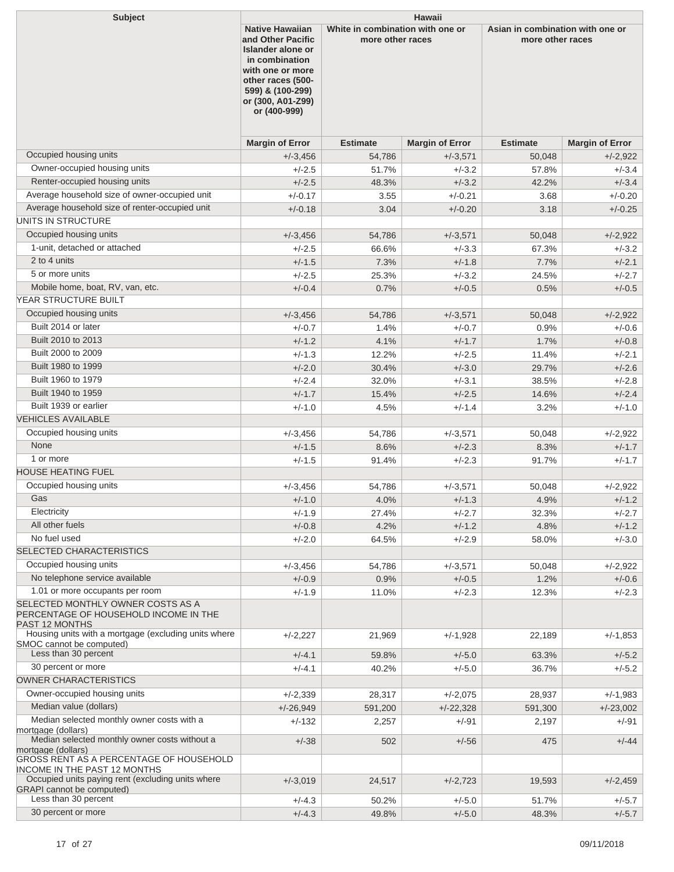| <b>Subject</b>                                                                                                    | <b>Hawaii</b><br>Asian in combination with one or<br><b>Native Hawaiian</b><br>White in combination with one or                                                                                    |                 |                        |                 |                        |
|-------------------------------------------------------------------------------------------------------------------|----------------------------------------------------------------------------------------------------------------------------------------------------------------------------------------------------|-----------------|------------------------|-----------------|------------------------|
|                                                                                                                   | and Other Pacific<br>more other races<br>more other races<br>Islander alone or<br>in combination<br>with one or more<br>other races (500-<br>599) & (100-299)<br>or (300, A01-Z99)<br>or (400-999) |                 |                        |                 |                        |
|                                                                                                                   | <b>Margin of Error</b>                                                                                                                                                                             | <b>Estimate</b> | <b>Margin of Error</b> | <b>Estimate</b> | <b>Margin of Error</b> |
| Occupied housing units                                                                                            | $+/-3,456$                                                                                                                                                                                         | 54,786          | $+/-3,571$             | 50,048          | $+/-2,922$             |
| Owner-occupied housing units                                                                                      | $+/-2.5$                                                                                                                                                                                           | 51.7%           | $+/-3.2$               | 57.8%           | $+/-3.4$               |
| Renter-occupied housing units                                                                                     | $+/-2.5$                                                                                                                                                                                           | 48.3%           | $+/-3.2$               | 42.2%           | $+/-3.4$               |
| Average household size of owner-occupied unit                                                                     | $+/-0.17$                                                                                                                                                                                          | 3.55            | $+/-0.21$              | 3.68            | $+/-0.20$              |
| Average household size of renter-occupied unit                                                                    | $+/-0.18$                                                                                                                                                                                          | 3.04            | $+/-0.20$              | 3.18            | $+/-0.25$              |
| UNITS IN STRUCTURE                                                                                                |                                                                                                                                                                                                    |                 |                        |                 |                        |
| Occupied housing units                                                                                            | $+/-3,456$                                                                                                                                                                                         | 54,786          | $+/-3,571$             | 50,048          | $+/-2,922$             |
| 1-unit, detached or attached                                                                                      | $+/-2.5$                                                                                                                                                                                           | 66.6%           | $+/-3.3$               | 67.3%           | $+/-3.2$               |
| 2 to 4 units                                                                                                      | $+/-1.5$                                                                                                                                                                                           | 7.3%            | $+/-1.8$               | 7.7%            | $+/-2.1$               |
| 5 or more units                                                                                                   | $+/-2.5$                                                                                                                                                                                           | 25.3%           | $+/-3.2$               | 24.5%           | $+/-2.7$               |
| Mobile home, boat, RV, van, etc.                                                                                  | $+/-0.4$                                                                                                                                                                                           | 0.7%            | $+/-0.5$               | 0.5%            | $+/-0.5$               |
| YEAR STRUCTURE BUILT                                                                                              |                                                                                                                                                                                                    |                 |                        |                 |                        |
| Occupied housing units                                                                                            | $+/-3,456$                                                                                                                                                                                         | 54,786          | $+/-3,571$             | 50,048          | $+/-2,922$             |
| Built 2014 or later                                                                                               | $+/-0.7$                                                                                                                                                                                           | 1.4%            | $+/-0.7$               | 0.9%            | +/-0.6                 |
| Built 2010 to 2013                                                                                                | $+/-1.2$                                                                                                                                                                                           | 4.1%            | $+/-1.7$               | 1.7%            | $+/-0.8$               |
| Built 2000 to 2009                                                                                                | $+/-1.3$                                                                                                                                                                                           | 12.2%           | $+/-2.5$               | 11.4%           | $+/-2.1$               |
| Built 1980 to 1999                                                                                                | $+/-2.0$                                                                                                                                                                                           | 30.4%           | $+/-3.0$               | 29.7%           | $+/-2.6$               |
| Built 1960 to 1979                                                                                                | $+/-2.4$                                                                                                                                                                                           | 32.0%           | $+/-3.1$               | 38.5%           | $+/-2.8$               |
| Built 1940 to 1959                                                                                                | $+/-1.7$                                                                                                                                                                                           | 15.4%           | $+/-2.5$               | 14.6%           | $+/-2.4$               |
| Built 1939 or earlier                                                                                             | $+/-1.0$                                                                                                                                                                                           | 4.5%            | $+/-1.4$               | 3.2%            | $+/-1.0$               |
| <b>VEHICLES AVAILABLE</b>                                                                                         |                                                                                                                                                                                                    |                 |                        |                 |                        |
| Occupied housing units                                                                                            | $+/-3,456$                                                                                                                                                                                         | 54,786          | $+/-3,571$             | 50,048          | $+/-2.922$             |
| None                                                                                                              | $+/-1.5$                                                                                                                                                                                           | 8.6%            | $+/-2.3$               | 8.3%            | $+/-1.7$               |
| 1 or more                                                                                                         | $+/-1.5$                                                                                                                                                                                           | 91.4%           | $+/-2.3$               | 91.7%           | $+/-1.7$               |
| <b>HOUSE HEATING FUEL</b>                                                                                         |                                                                                                                                                                                                    |                 |                        |                 |                        |
| Occupied housing units                                                                                            | $+/-3,456$                                                                                                                                                                                         | 54,786          | $+/-3,571$             | 50.048          | $+/-2,922$             |
| Gas                                                                                                               | $+/-1.0$                                                                                                                                                                                           | 4.0%            | $+/-1.3$               | 4.9%            | $+/-1.2$               |
| Electricity                                                                                                       | $+/-1.9$                                                                                                                                                                                           | 27.4%           | $+/-2.7$               | 32.3%           | $+/-2.7$               |
| All other fuels                                                                                                   | $+/-0.8$                                                                                                                                                                                           | 4.2%            | $+/-1.2$               | 4.8%            | $+/-1.2$               |
| No fuel used                                                                                                      | $+/-2.0$                                                                                                                                                                                           | 64.5%           | $+/-2.9$               | 58.0%           | $+/-3.0$               |
| SELECTED CHARACTERISTICS                                                                                          |                                                                                                                                                                                                    |                 |                        |                 |                        |
| Occupied housing units                                                                                            | $+/-3,456$                                                                                                                                                                                         | 54,786          |                        |                 | $+/-2,922$             |
| No telephone service available                                                                                    | $+/-0.9$                                                                                                                                                                                           | 0.9%            | $+/-3,571$<br>$+/-0.5$ | 50,048<br>1.2%  | $+/-0.6$               |
| 1.01 or more occupants per room                                                                                   | $+/-1.9$                                                                                                                                                                                           | 11.0%           | $+/-2.3$               | 12.3%           | $+/-2.3$               |
| SELECTED MONTHLY OWNER COSTS AS A<br>PERCENTAGE OF HOUSEHOLD INCOME IN THE<br><b>PAST 12 MONTHS</b>               |                                                                                                                                                                                                    |                 |                        |                 |                        |
| Housing units with a mortgage (excluding units where<br>SMOC cannot be computed)                                  | $+/-2,227$                                                                                                                                                                                         | 21,969          | $+/-1,928$             | 22,189          | $+/-1,853$             |
| Less than 30 percent                                                                                              | $+/-4.1$                                                                                                                                                                                           | 59.8%           | $+/-5.0$               | 63.3%           | $+/-5.2$               |
| 30 percent or more                                                                                                | $+/-4.1$                                                                                                                                                                                           | 40.2%           | $+/-5.0$               | 36.7%           | $+/-5.2$               |
| <b>OWNER CHARACTERISTICS</b>                                                                                      |                                                                                                                                                                                                    |                 |                        |                 |                        |
| Owner-occupied housing units                                                                                      | $+/-2,339$                                                                                                                                                                                         | 28,317          | $+/-2,075$             | 28,937          | $+/-1,983$             |
| Median value (dollars)                                                                                            | $+/-26,949$                                                                                                                                                                                        | 591,200         | $+/-22,328$            | 591,300         | $+/-23,002$            |
| Median selected monthly owner costs with a<br>mortgage (dollars)<br>Median selected monthly owner costs without a | $+/-132$                                                                                                                                                                                           | 2,257           | +/-91                  | 2,197           | +/-91                  |
| mortgage (dollars)                                                                                                | $+/-38$                                                                                                                                                                                            | 502             | $+/-56$                | 475             | $+/-44$                |
| GROSS RENT AS A PERCENTAGE OF HOUSEHOLD<br><b>INCOME IN THE PAST 12 MONTHS</b>                                    |                                                                                                                                                                                                    |                 |                        |                 |                        |
| Occupied units paying rent (excluding units where<br><b>GRAPI</b> cannot be computed)                             | $+/-3,019$                                                                                                                                                                                         | 24,517          | $+/-2,723$             | 19,593          | $+/-2,459$             |
| Less than 30 percent                                                                                              | $+/-4.3$                                                                                                                                                                                           | 50.2%           | $+/-5.0$               | 51.7%           | $+/-5.7$               |
| 30 percent or more                                                                                                | $+/-4.3$                                                                                                                                                                                           | 49.8%           | $+/-5.0$               | 48.3%           | $+/-5.7$               |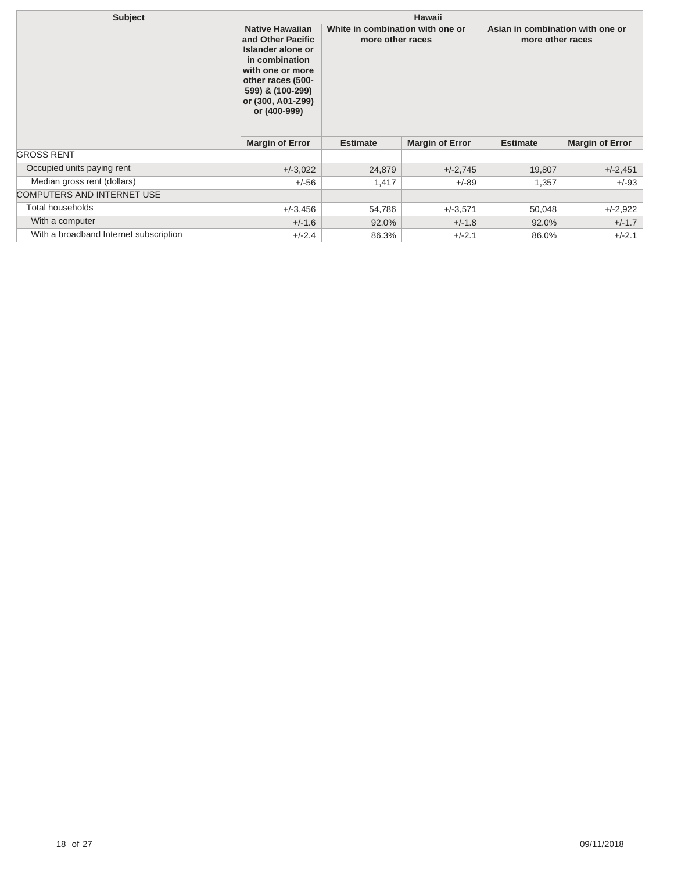| <b>Subject</b>                         |                                                                                                                                                                                      |                                                      | <b>Hawaii</b>          |                                                      |                        |
|----------------------------------------|--------------------------------------------------------------------------------------------------------------------------------------------------------------------------------------|------------------------------------------------------|------------------------|------------------------------------------------------|------------------------|
|                                        | <b>Native Hawaiian</b><br>and Other Pacific<br>Islander alone or<br>in combination<br>with one or more<br>other races (500-<br>599) & (100-299)<br>or (300, A01-Z99)<br>or (400-999) | White in combination with one or<br>more other races |                        | Asian in combination with one or<br>more other races |                        |
|                                        | <b>Margin of Error</b>                                                                                                                                                               | <b>Estimate</b>                                      | <b>Margin of Error</b> | <b>Estimate</b>                                      | <b>Margin of Error</b> |
| <b>GROSS RENT</b>                      |                                                                                                                                                                                      |                                                      |                        |                                                      |                        |
| Occupied units paying rent             | $+/-3,022$                                                                                                                                                                           | 24,879                                               | $+/-2,745$             | 19,807                                               | $+/-2,451$             |
| Median gross rent (dollars)            | $+/-56$                                                                                                                                                                              | 1,417                                                | $+/-89$                | 1,357                                                | $+/-93$                |
| <b>COMPUTERS AND INTERNET USE</b>      |                                                                                                                                                                                      |                                                      |                        |                                                      |                        |
| Total households                       | $+/-3.456$                                                                                                                                                                           | 54,786                                               | $+/-3,571$             | 50,048                                               | $+/-2,922$             |
| With a computer                        | $+/-1.6$                                                                                                                                                                             | 92.0%                                                | $+/-1.8$               | 92.0%                                                | $+/-1.7$               |
| With a broadband Internet subscription | $+/-2.4$                                                                                                                                                                             | 86.3%                                                | $+/-2.1$               | 86.0%                                                | $+/-2.1$               |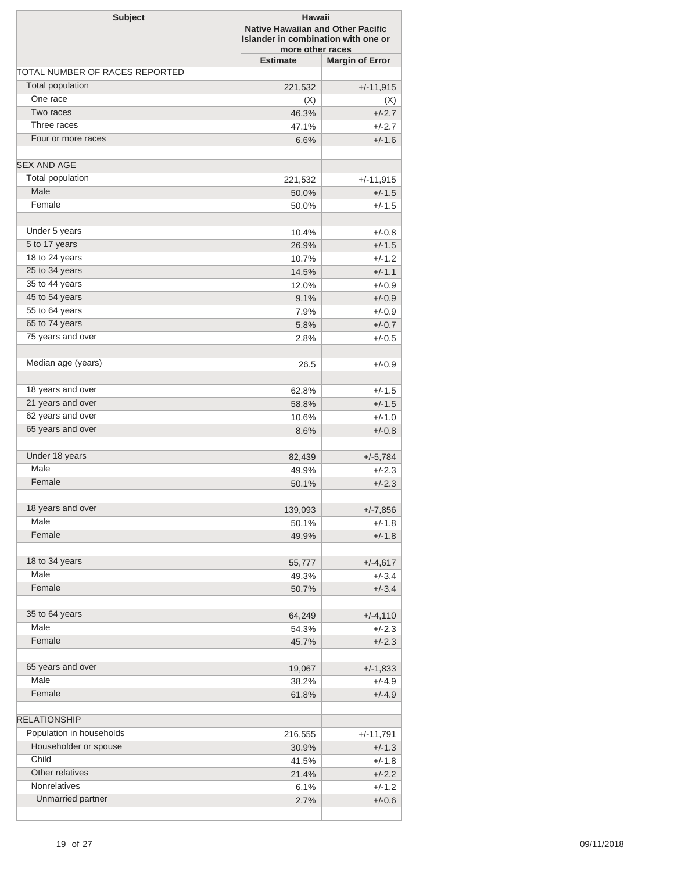| <b>Subject</b>                 |                 | Hawaii<br><b>Native Hawaiian and Other Pacific</b><br>Islander in combination with one or<br>more other races |  |  |
|--------------------------------|-----------------|---------------------------------------------------------------------------------------------------------------|--|--|
|                                | <b>Estimate</b> | <b>Margin of Error</b>                                                                                        |  |  |
| TOTAL NUMBER OF RACES REPORTED |                 |                                                                                                               |  |  |
| <b>Total population</b>        | 221,532         | $+/-11,915$                                                                                                   |  |  |
| One race                       | (X)             | (X)                                                                                                           |  |  |
| Two races                      | 46.3%           | $+/-2.7$                                                                                                      |  |  |
| Three races                    | 47.1%           | $+/-2.7$                                                                                                      |  |  |
| Four or more races             | 6.6%            | $+/-1.6$                                                                                                      |  |  |
| <b>SEX AND AGE</b>             |                 |                                                                                                               |  |  |
| Total population               | 221,532         | $+/-11,915$                                                                                                   |  |  |
| Male                           | 50.0%           | $+/-1.5$                                                                                                      |  |  |
| Female                         | 50.0%           | $+/-1.5$                                                                                                      |  |  |
| Under 5 years                  | 10.4%           | $+/-0.8$                                                                                                      |  |  |
| 5 to 17 years                  | 26.9%           | $+/-1.5$                                                                                                      |  |  |
| 18 to 24 years                 | 10.7%           | $+/-1.2$                                                                                                      |  |  |
| 25 to 34 years                 | 14.5%           | $+/-1.1$                                                                                                      |  |  |
| 35 to 44 years                 | 12.0%           | $+/-0.9$                                                                                                      |  |  |
| 45 to 54 years                 | 9.1%            | $+/-0.9$                                                                                                      |  |  |
| 55 to 64 years                 | 7.9%            | $+/-0.9$                                                                                                      |  |  |
| 65 to 74 years                 | 5.8%            | $+/-0.7$                                                                                                      |  |  |
| 75 years and over              | 2.8%            | $+/-0.5$                                                                                                      |  |  |
|                                |                 |                                                                                                               |  |  |
| Median age (years)             | 26.5            | $+/-0.9$                                                                                                      |  |  |
| 18 years and over              | 62.8%           | $+/-1.5$                                                                                                      |  |  |
| 21 years and over              | 58.8%           | $+/-1.5$                                                                                                      |  |  |
| 62 years and over              | 10.6%           | $+/-1.0$                                                                                                      |  |  |
| 65 years and over              | 8.6%            | $+/-0.8$                                                                                                      |  |  |
| Under 18 years                 | 82,439          | $+/-5,784$                                                                                                    |  |  |
| Male                           | 49.9%           | $+/-2.3$                                                                                                      |  |  |
| Female                         | 50.1%           | $+/-2.3$                                                                                                      |  |  |
| 18 years and over              | 139,093         | $+/-7,856$                                                                                                    |  |  |
| Male                           | 50.1%           | $+/-1.8$                                                                                                      |  |  |
| Female                         | 49.9%           | $+/-1.8$                                                                                                      |  |  |
| 18 to 34 years                 |                 |                                                                                                               |  |  |
| Male                           | 55,777          | $+/-4,617$                                                                                                    |  |  |
| Female                         | 49.3%           | $+/-3.4$                                                                                                      |  |  |
|                                | 50.7%           | $+/-3.4$                                                                                                      |  |  |
| 35 to 64 years                 | 64,249          | $+/-4,110$                                                                                                    |  |  |
| Male                           | 54.3%           | $+/-2.3$                                                                                                      |  |  |
| Female                         | 45.7%           | $+/-2.3$                                                                                                      |  |  |
| 65 years and over              | 19,067          | $+/-1,833$                                                                                                    |  |  |
| Male                           | 38.2%           | $+/-4.9$                                                                                                      |  |  |
| Female                         | 61.8%           | $+/-4.9$                                                                                                      |  |  |
| <b>RELATIONSHIP</b>            |                 |                                                                                                               |  |  |
| Population in households       | 216,555         | $+/-11,791$                                                                                                   |  |  |
| Householder or spouse          | 30.9%           | $+/-1.3$                                                                                                      |  |  |
| Child                          | 41.5%           | $+/-1.8$                                                                                                      |  |  |
| Other relatives                | 21.4%           | $+/-2.2$                                                                                                      |  |  |
| Nonrelatives                   | 6.1%            | $+/-1.2$                                                                                                      |  |  |
| Unmarried partner              | 2.7%            | $+/-0.6$                                                                                                      |  |  |
|                                |                 |                                                                                                               |  |  |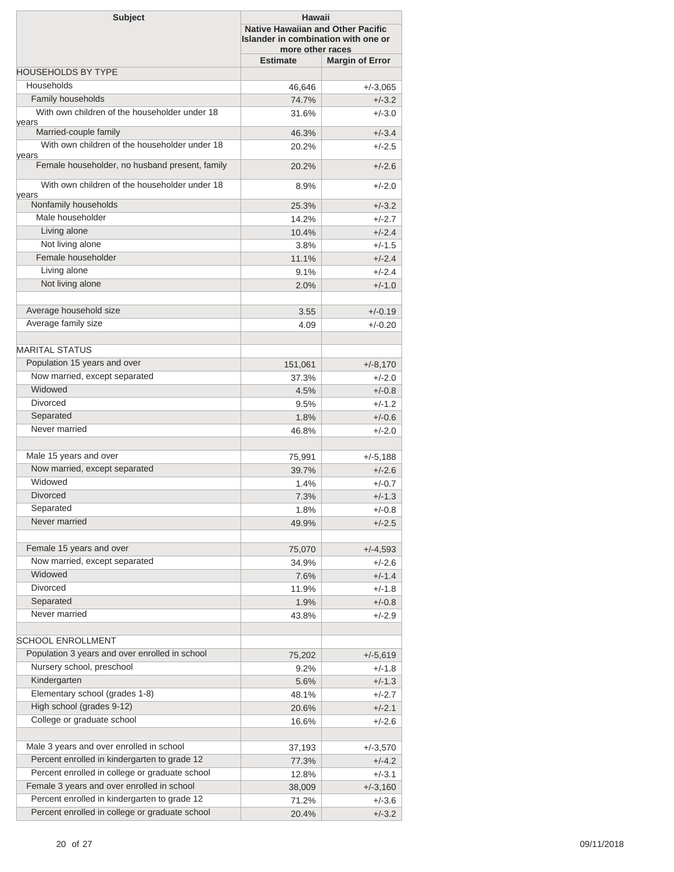| <b>Margin of Error</b><br><b>Estimate</b><br><b>HOUSEHOLDS BY TYPE</b><br>Households<br>46,646<br>$+/-3,065$<br>Family households<br>74.7%<br>$+/-3.2$<br>With own children of the householder under 18<br>$+/-3.0$<br>31.6%<br>years<br>Married-couple family<br>$+/-3.4$<br>46.3%<br>With own children of the householder under 18<br>$+/-2.5$<br>20.2%<br>vears<br>Female householder, no husband present, family<br>$+/-2.6$<br>20.2%<br>With own children of the householder under 18<br>8.9%<br>$+/-2.0$<br>vears<br>Nonfamily households<br>$+/-3.2$<br>25.3%<br>Male householder<br>14.2%<br>$+/-2.7$<br>Living alone<br>$+/-2.4$<br>10.4%<br>Not living alone<br>3.8%<br>$+/-1.5$<br>Female householder<br>11.1%<br>$+/-2.4$<br>Living alone<br>$+/-2.4$<br>9.1%<br>Not living alone<br>2.0%<br>$+/-1.0$<br>Average household size<br>3.55<br>$+/-0.19$<br>Average family size<br>4.09<br>$+/-0.20$<br><b>MARITAL STATUS</b><br>Population 15 years and over<br>151,061<br>$+/-8,170$<br>Now married, except separated<br>37.3%<br>$+/-2.0$<br>Widowed<br>$+/-0.8$<br>4.5%<br>Divorced<br>$+/-1.2$<br>9.5%<br>Separated<br>$+/-0.6$<br>1.8%<br>Never married<br>46.8%<br>$+/-2.0$<br>Male 15 years and over<br>75,991<br>$+/-5,188$<br>Now married, except separated<br>39.7%<br>$+/-2.6$<br>Widowed<br>1.4%<br>$+/-0.7$<br><b>Divorced</b><br>$+/-1.3$<br>7.3%<br>Separated<br>1.8%<br>$+/-0.8$<br>Never married<br>49.9%<br>$+/-2.5$<br>Female 15 years and over<br>75,070<br>$+/-4,593$<br>Now married, except separated<br>34.9%<br>$+/-2.6$<br>Widowed<br>$+/-1.4$<br>7.6%<br><b>Divorced</b><br>11.9%<br>$+/-1.8$<br>Separated<br>1.9%<br>$+/-0.8$<br>Never married<br>43.8%<br>$+/-2.9$<br><b>SCHOOL ENROLLMENT</b><br>Population 3 years and over enrolled in school<br>75,202<br>$+/-5,619$<br>Nursery school, preschool<br>9.2%<br>$+/-1.8$<br>Kindergarten<br>5.6%<br>$+/-1.3$<br>Elementary school (grades 1-8)<br>48.1%<br>$+/-2.7$<br>High school (grades 9-12)<br>20.6%<br>$+/-2.1$<br>College or graduate school<br>$+/-2.6$<br>16.6%<br>Male 3 years and over enrolled in school<br>37,193<br>$+/-3,570$<br>Percent enrolled in kindergarten to grade 12<br>77.3%<br>$+/-4.2$<br>Percent enrolled in college or graduate school<br>$+/-3.1$<br>12.8%<br>Female 3 years and over enrolled in school<br>38,009<br>$+/-3,160$<br>Percent enrolled in kindergarten to grade 12<br>71.2%<br>$+/-3.6$<br>Percent enrolled in college or graduate school<br>$+/-3.2$<br>20.4% | <b>Subject</b> | <b>Hawaii</b><br><b>Native Hawaiian and Other Pacific</b><br>Islander in combination with one or<br>more other races |  |  |
|--------------------------------------------------------------------------------------------------------------------------------------------------------------------------------------------------------------------------------------------------------------------------------------------------------------------------------------------------------------------------------------------------------------------------------------------------------------------------------------------------------------------------------------------------------------------------------------------------------------------------------------------------------------------------------------------------------------------------------------------------------------------------------------------------------------------------------------------------------------------------------------------------------------------------------------------------------------------------------------------------------------------------------------------------------------------------------------------------------------------------------------------------------------------------------------------------------------------------------------------------------------------------------------------------------------------------------------------------------------------------------------------------------------------------------------------------------------------------------------------------------------------------------------------------------------------------------------------------------------------------------------------------------------------------------------------------------------------------------------------------------------------------------------------------------------------------------------------------------------------------------------------------------------------------------------------------------------------------------------------------------------------------------------------------------------------------------------------------------------------------------------------------------------------------------------------------------------------------------------------------------------------------------------------------------------------------------------------------------------------------------------------------------------------------------------------------------------------------------------------------|----------------|----------------------------------------------------------------------------------------------------------------------|--|--|
|                                                                                                                                                                                                                                                                                                                                                                                                                                                                                                                                                                                                                                                                                                                                                                                                                                                                                                                                                                                                                                                                                                                                                                                                                                                                                                                                                                                                                                                                                                                                                                                                                                                                                                                                                                                                                                                                                                                                                                                                                                                                                                                                                                                                                                                                                                                                                                                                                                                                                                  |                |                                                                                                                      |  |  |
|                                                                                                                                                                                                                                                                                                                                                                                                                                                                                                                                                                                                                                                                                                                                                                                                                                                                                                                                                                                                                                                                                                                                                                                                                                                                                                                                                                                                                                                                                                                                                                                                                                                                                                                                                                                                                                                                                                                                                                                                                                                                                                                                                                                                                                                                                                                                                                                                                                                                                                  |                |                                                                                                                      |  |  |
|                                                                                                                                                                                                                                                                                                                                                                                                                                                                                                                                                                                                                                                                                                                                                                                                                                                                                                                                                                                                                                                                                                                                                                                                                                                                                                                                                                                                                                                                                                                                                                                                                                                                                                                                                                                                                                                                                                                                                                                                                                                                                                                                                                                                                                                                                                                                                                                                                                                                                                  |                |                                                                                                                      |  |  |
|                                                                                                                                                                                                                                                                                                                                                                                                                                                                                                                                                                                                                                                                                                                                                                                                                                                                                                                                                                                                                                                                                                                                                                                                                                                                                                                                                                                                                                                                                                                                                                                                                                                                                                                                                                                                                                                                                                                                                                                                                                                                                                                                                                                                                                                                                                                                                                                                                                                                                                  |                |                                                                                                                      |  |  |
|                                                                                                                                                                                                                                                                                                                                                                                                                                                                                                                                                                                                                                                                                                                                                                                                                                                                                                                                                                                                                                                                                                                                                                                                                                                                                                                                                                                                                                                                                                                                                                                                                                                                                                                                                                                                                                                                                                                                                                                                                                                                                                                                                                                                                                                                                                                                                                                                                                                                                                  |                |                                                                                                                      |  |  |
|                                                                                                                                                                                                                                                                                                                                                                                                                                                                                                                                                                                                                                                                                                                                                                                                                                                                                                                                                                                                                                                                                                                                                                                                                                                                                                                                                                                                                                                                                                                                                                                                                                                                                                                                                                                                                                                                                                                                                                                                                                                                                                                                                                                                                                                                                                                                                                                                                                                                                                  |                |                                                                                                                      |  |  |
|                                                                                                                                                                                                                                                                                                                                                                                                                                                                                                                                                                                                                                                                                                                                                                                                                                                                                                                                                                                                                                                                                                                                                                                                                                                                                                                                                                                                                                                                                                                                                                                                                                                                                                                                                                                                                                                                                                                                                                                                                                                                                                                                                                                                                                                                                                                                                                                                                                                                                                  |                |                                                                                                                      |  |  |
|                                                                                                                                                                                                                                                                                                                                                                                                                                                                                                                                                                                                                                                                                                                                                                                                                                                                                                                                                                                                                                                                                                                                                                                                                                                                                                                                                                                                                                                                                                                                                                                                                                                                                                                                                                                                                                                                                                                                                                                                                                                                                                                                                                                                                                                                                                                                                                                                                                                                                                  |                |                                                                                                                      |  |  |
|                                                                                                                                                                                                                                                                                                                                                                                                                                                                                                                                                                                                                                                                                                                                                                                                                                                                                                                                                                                                                                                                                                                                                                                                                                                                                                                                                                                                                                                                                                                                                                                                                                                                                                                                                                                                                                                                                                                                                                                                                                                                                                                                                                                                                                                                                                                                                                                                                                                                                                  |                |                                                                                                                      |  |  |
|                                                                                                                                                                                                                                                                                                                                                                                                                                                                                                                                                                                                                                                                                                                                                                                                                                                                                                                                                                                                                                                                                                                                                                                                                                                                                                                                                                                                                                                                                                                                                                                                                                                                                                                                                                                                                                                                                                                                                                                                                                                                                                                                                                                                                                                                                                                                                                                                                                                                                                  |                |                                                                                                                      |  |  |
|                                                                                                                                                                                                                                                                                                                                                                                                                                                                                                                                                                                                                                                                                                                                                                                                                                                                                                                                                                                                                                                                                                                                                                                                                                                                                                                                                                                                                                                                                                                                                                                                                                                                                                                                                                                                                                                                                                                                                                                                                                                                                                                                                                                                                                                                                                                                                                                                                                                                                                  |                |                                                                                                                      |  |  |
|                                                                                                                                                                                                                                                                                                                                                                                                                                                                                                                                                                                                                                                                                                                                                                                                                                                                                                                                                                                                                                                                                                                                                                                                                                                                                                                                                                                                                                                                                                                                                                                                                                                                                                                                                                                                                                                                                                                                                                                                                                                                                                                                                                                                                                                                                                                                                                                                                                                                                                  |                |                                                                                                                      |  |  |
|                                                                                                                                                                                                                                                                                                                                                                                                                                                                                                                                                                                                                                                                                                                                                                                                                                                                                                                                                                                                                                                                                                                                                                                                                                                                                                                                                                                                                                                                                                                                                                                                                                                                                                                                                                                                                                                                                                                                                                                                                                                                                                                                                                                                                                                                                                                                                                                                                                                                                                  |                |                                                                                                                      |  |  |
|                                                                                                                                                                                                                                                                                                                                                                                                                                                                                                                                                                                                                                                                                                                                                                                                                                                                                                                                                                                                                                                                                                                                                                                                                                                                                                                                                                                                                                                                                                                                                                                                                                                                                                                                                                                                                                                                                                                                                                                                                                                                                                                                                                                                                                                                                                                                                                                                                                                                                                  |                |                                                                                                                      |  |  |
|                                                                                                                                                                                                                                                                                                                                                                                                                                                                                                                                                                                                                                                                                                                                                                                                                                                                                                                                                                                                                                                                                                                                                                                                                                                                                                                                                                                                                                                                                                                                                                                                                                                                                                                                                                                                                                                                                                                                                                                                                                                                                                                                                                                                                                                                                                                                                                                                                                                                                                  |                |                                                                                                                      |  |  |
|                                                                                                                                                                                                                                                                                                                                                                                                                                                                                                                                                                                                                                                                                                                                                                                                                                                                                                                                                                                                                                                                                                                                                                                                                                                                                                                                                                                                                                                                                                                                                                                                                                                                                                                                                                                                                                                                                                                                                                                                                                                                                                                                                                                                                                                                                                                                                                                                                                                                                                  |                |                                                                                                                      |  |  |
|                                                                                                                                                                                                                                                                                                                                                                                                                                                                                                                                                                                                                                                                                                                                                                                                                                                                                                                                                                                                                                                                                                                                                                                                                                                                                                                                                                                                                                                                                                                                                                                                                                                                                                                                                                                                                                                                                                                                                                                                                                                                                                                                                                                                                                                                                                                                                                                                                                                                                                  |                |                                                                                                                      |  |  |
|                                                                                                                                                                                                                                                                                                                                                                                                                                                                                                                                                                                                                                                                                                                                                                                                                                                                                                                                                                                                                                                                                                                                                                                                                                                                                                                                                                                                                                                                                                                                                                                                                                                                                                                                                                                                                                                                                                                                                                                                                                                                                                                                                                                                                                                                                                                                                                                                                                                                                                  |                |                                                                                                                      |  |  |
|                                                                                                                                                                                                                                                                                                                                                                                                                                                                                                                                                                                                                                                                                                                                                                                                                                                                                                                                                                                                                                                                                                                                                                                                                                                                                                                                                                                                                                                                                                                                                                                                                                                                                                                                                                                                                                                                                                                                                                                                                                                                                                                                                                                                                                                                                                                                                                                                                                                                                                  |                |                                                                                                                      |  |  |
|                                                                                                                                                                                                                                                                                                                                                                                                                                                                                                                                                                                                                                                                                                                                                                                                                                                                                                                                                                                                                                                                                                                                                                                                                                                                                                                                                                                                                                                                                                                                                                                                                                                                                                                                                                                                                                                                                                                                                                                                                                                                                                                                                                                                                                                                                                                                                                                                                                                                                                  |                |                                                                                                                      |  |  |
|                                                                                                                                                                                                                                                                                                                                                                                                                                                                                                                                                                                                                                                                                                                                                                                                                                                                                                                                                                                                                                                                                                                                                                                                                                                                                                                                                                                                                                                                                                                                                                                                                                                                                                                                                                                                                                                                                                                                                                                                                                                                                                                                                                                                                                                                                                                                                                                                                                                                                                  |                |                                                                                                                      |  |  |
|                                                                                                                                                                                                                                                                                                                                                                                                                                                                                                                                                                                                                                                                                                                                                                                                                                                                                                                                                                                                                                                                                                                                                                                                                                                                                                                                                                                                                                                                                                                                                                                                                                                                                                                                                                                                                                                                                                                                                                                                                                                                                                                                                                                                                                                                                                                                                                                                                                                                                                  |                |                                                                                                                      |  |  |
|                                                                                                                                                                                                                                                                                                                                                                                                                                                                                                                                                                                                                                                                                                                                                                                                                                                                                                                                                                                                                                                                                                                                                                                                                                                                                                                                                                                                                                                                                                                                                                                                                                                                                                                                                                                                                                                                                                                                                                                                                                                                                                                                                                                                                                                                                                                                                                                                                                                                                                  |                |                                                                                                                      |  |  |
|                                                                                                                                                                                                                                                                                                                                                                                                                                                                                                                                                                                                                                                                                                                                                                                                                                                                                                                                                                                                                                                                                                                                                                                                                                                                                                                                                                                                                                                                                                                                                                                                                                                                                                                                                                                                                                                                                                                                                                                                                                                                                                                                                                                                                                                                                                                                                                                                                                                                                                  |                |                                                                                                                      |  |  |
|                                                                                                                                                                                                                                                                                                                                                                                                                                                                                                                                                                                                                                                                                                                                                                                                                                                                                                                                                                                                                                                                                                                                                                                                                                                                                                                                                                                                                                                                                                                                                                                                                                                                                                                                                                                                                                                                                                                                                                                                                                                                                                                                                                                                                                                                                                                                                                                                                                                                                                  |                |                                                                                                                      |  |  |
|                                                                                                                                                                                                                                                                                                                                                                                                                                                                                                                                                                                                                                                                                                                                                                                                                                                                                                                                                                                                                                                                                                                                                                                                                                                                                                                                                                                                                                                                                                                                                                                                                                                                                                                                                                                                                                                                                                                                                                                                                                                                                                                                                                                                                                                                                                                                                                                                                                                                                                  |                |                                                                                                                      |  |  |
|                                                                                                                                                                                                                                                                                                                                                                                                                                                                                                                                                                                                                                                                                                                                                                                                                                                                                                                                                                                                                                                                                                                                                                                                                                                                                                                                                                                                                                                                                                                                                                                                                                                                                                                                                                                                                                                                                                                                                                                                                                                                                                                                                                                                                                                                                                                                                                                                                                                                                                  |                |                                                                                                                      |  |  |
|                                                                                                                                                                                                                                                                                                                                                                                                                                                                                                                                                                                                                                                                                                                                                                                                                                                                                                                                                                                                                                                                                                                                                                                                                                                                                                                                                                                                                                                                                                                                                                                                                                                                                                                                                                                                                                                                                                                                                                                                                                                                                                                                                                                                                                                                                                                                                                                                                                                                                                  |                |                                                                                                                      |  |  |
|                                                                                                                                                                                                                                                                                                                                                                                                                                                                                                                                                                                                                                                                                                                                                                                                                                                                                                                                                                                                                                                                                                                                                                                                                                                                                                                                                                                                                                                                                                                                                                                                                                                                                                                                                                                                                                                                                                                                                                                                                                                                                                                                                                                                                                                                                                                                                                                                                                                                                                  |                |                                                                                                                      |  |  |
|                                                                                                                                                                                                                                                                                                                                                                                                                                                                                                                                                                                                                                                                                                                                                                                                                                                                                                                                                                                                                                                                                                                                                                                                                                                                                                                                                                                                                                                                                                                                                                                                                                                                                                                                                                                                                                                                                                                                                                                                                                                                                                                                                                                                                                                                                                                                                                                                                                                                                                  |                |                                                                                                                      |  |  |
|                                                                                                                                                                                                                                                                                                                                                                                                                                                                                                                                                                                                                                                                                                                                                                                                                                                                                                                                                                                                                                                                                                                                                                                                                                                                                                                                                                                                                                                                                                                                                                                                                                                                                                                                                                                                                                                                                                                                                                                                                                                                                                                                                                                                                                                                                                                                                                                                                                                                                                  |                |                                                                                                                      |  |  |
|                                                                                                                                                                                                                                                                                                                                                                                                                                                                                                                                                                                                                                                                                                                                                                                                                                                                                                                                                                                                                                                                                                                                                                                                                                                                                                                                                                                                                                                                                                                                                                                                                                                                                                                                                                                                                                                                                                                                                                                                                                                                                                                                                                                                                                                                                                                                                                                                                                                                                                  |                |                                                                                                                      |  |  |
|                                                                                                                                                                                                                                                                                                                                                                                                                                                                                                                                                                                                                                                                                                                                                                                                                                                                                                                                                                                                                                                                                                                                                                                                                                                                                                                                                                                                                                                                                                                                                                                                                                                                                                                                                                                                                                                                                                                                                                                                                                                                                                                                                                                                                                                                                                                                                                                                                                                                                                  |                |                                                                                                                      |  |  |
|                                                                                                                                                                                                                                                                                                                                                                                                                                                                                                                                                                                                                                                                                                                                                                                                                                                                                                                                                                                                                                                                                                                                                                                                                                                                                                                                                                                                                                                                                                                                                                                                                                                                                                                                                                                                                                                                                                                                                                                                                                                                                                                                                                                                                                                                                                                                                                                                                                                                                                  |                |                                                                                                                      |  |  |
|                                                                                                                                                                                                                                                                                                                                                                                                                                                                                                                                                                                                                                                                                                                                                                                                                                                                                                                                                                                                                                                                                                                                                                                                                                                                                                                                                                                                                                                                                                                                                                                                                                                                                                                                                                                                                                                                                                                                                                                                                                                                                                                                                                                                                                                                                                                                                                                                                                                                                                  |                |                                                                                                                      |  |  |
|                                                                                                                                                                                                                                                                                                                                                                                                                                                                                                                                                                                                                                                                                                                                                                                                                                                                                                                                                                                                                                                                                                                                                                                                                                                                                                                                                                                                                                                                                                                                                                                                                                                                                                                                                                                                                                                                                                                                                                                                                                                                                                                                                                                                                                                                                                                                                                                                                                                                                                  |                |                                                                                                                      |  |  |
|                                                                                                                                                                                                                                                                                                                                                                                                                                                                                                                                                                                                                                                                                                                                                                                                                                                                                                                                                                                                                                                                                                                                                                                                                                                                                                                                                                                                                                                                                                                                                                                                                                                                                                                                                                                                                                                                                                                                                                                                                                                                                                                                                                                                                                                                                                                                                                                                                                                                                                  |                |                                                                                                                      |  |  |
|                                                                                                                                                                                                                                                                                                                                                                                                                                                                                                                                                                                                                                                                                                                                                                                                                                                                                                                                                                                                                                                                                                                                                                                                                                                                                                                                                                                                                                                                                                                                                                                                                                                                                                                                                                                                                                                                                                                                                                                                                                                                                                                                                                                                                                                                                                                                                                                                                                                                                                  |                |                                                                                                                      |  |  |
|                                                                                                                                                                                                                                                                                                                                                                                                                                                                                                                                                                                                                                                                                                                                                                                                                                                                                                                                                                                                                                                                                                                                                                                                                                                                                                                                                                                                                                                                                                                                                                                                                                                                                                                                                                                                                                                                                                                                                                                                                                                                                                                                                                                                                                                                                                                                                                                                                                                                                                  |                |                                                                                                                      |  |  |
|                                                                                                                                                                                                                                                                                                                                                                                                                                                                                                                                                                                                                                                                                                                                                                                                                                                                                                                                                                                                                                                                                                                                                                                                                                                                                                                                                                                                                                                                                                                                                                                                                                                                                                                                                                                                                                                                                                                                                                                                                                                                                                                                                                                                                                                                                                                                                                                                                                                                                                  |                |                                                                                                                      |  |  |
|                                                                                                                                                                                                                                                                                                                                                                                                                                                                                                                                                                                                                                                                                                                                                                                                                                                                                                                                                                                                                                                                                                                                                                                                                                                                                                                                                                                                                                                                                                                                                                                                                                                                                                                                                                                                                                                                                                                                                                                                                                                                                                                                                                                                                                                                                                                                                                                                                                                                                                  |                |                                                                                                                      |  |  |
|                                                                                                                                                                                                                                                                                                                                                                                                                                                                                                                                                                                                                                                                                                                                                                                                                                                                                                                                                                                                                                                                                                                                                                                                                                                                                                                                                                                                                                                                                                                                                                                                                                                                                                                                                                                                                                                                                                                                                                                                                                                                                                                                                                                                                                                                                                                                                                                                                                                                                                  |                |                                                                                                                      |  |  |
|                                                                                                                                                                                                                                                                                                                                                                                                                                                                                                                                                                                                                                                                                                                                                                                                                                                                                                                                                                                                                                                                                                                                                                                                                                                                                                                                                                                                                                                                                                                                                                                                                                                                                                                                                                                                                                                                                                                                                                                                                                                                                                                                                                                                                                                                                                                                                                                                                                                                                                  |                |                                                                                                                      |  |  |
|                                                                                                                                                                                                                                                                                                                                                                                                                                                                                                                                                                                                                                                                                                                                                                                                                                                                                                                                                                                                                                                                                                                                                                                                                                                                                                                                                                                                                                                                                                                                                                                                                                                                                                                                                                                                                                                                                                                                                                                                                                                                                                                                                                                                                                                                                                                                                                                                                                                                                                  |                |                                                                                                                      |  |  |
|                                                                                                                                                                                                                                                                                                                                                                                                                                                                                                                                                                                                                                                                                                                                                                                                                                                                                                                                                                                                                                                                                                                                                                                                                                                                                                                                                                                                                                                                                                                                                                                                                                                                                                                                                                                                                                                                                                                                                                                                                                                                                                                                                                                                                                                                                                                                                                                                                                                                                                  |                |                                                                                                                      |  |  |
|                                                                                                                                                                                                                                                                                                                                                                                                                                                                                                                                                                                                                                                                                                                                                                                                                                                                                                                                                                                                                                                                                                                                                                                                                                                                                                                                                                                                                                                                                                                                                                                                                                                                                                                                                                                                                                                                                                                                                                                                                                                                                                                                                                                                                                                                                                                                                                                                                                                                                                  |                |                                                                                                                      |  |  |
|                                                                                                                                                                                                                                                                                                                                                                                                                                                                                                                                                                                                                                                                                                                                                                                                                                                                                                                                                                                                                                                                                                                                                                                                                                                                                                                                                                                                                                                                                                                                                                                                                                                                                                                                                                                                                                                                                                                                                                                                                                                                                                                                                                                                                                                                                                                                                                                                                                                                                                  |                |                                                                                                                      |  |  |
|                                                                                                                                                                                                                                                                                                                                                                                                                                                                                                                                                                                                                                                                                                                                                                                                                                                                                                                                                                                                                                                                                                                                                                                                                                                                                                                                                                                                                                                                                                                                                                                                                                                                                                                                                                                                                                                                                                                                                                                                                                                                                                                                                                                                                                                                                                                                                                                                                                                                                                  |                |                                                                                                                      |  |  |
|                                                                                                                                                                                                                                                                                                                                                                                                                                                                                                                                                                                                                                                                                                                                                                                                                                                                                                                                                                                                                                                                                                                                                                                                                                                                                                                                                                                                                                                                                                                                                                                                                                                                                                                                                                                                                                                                                                                                                                                                                                                                                                                                                                                                                                                                                                                                                                                                                                                                                                  |                |                                                                                                                      |  |  |
|                                                                                                                                                                                                                                                                                                                                                                                                                                                                                                                                                                                                                                                                                                                                                                                                                                                                                                                                                                                                                                                                                                                                                                                                                                                                                                                                                                                                                                                                                                                                                                                                                                                                                                                                                                                                                                                                                                                                                                                                                                                                                                                                                                                                                                                                                                                                                                                                                                                                                                  |                |                                                                                                                      |  |  |
|                                                                                                                                                                                                                                                                                                                                                                                                                                                                                                                                                                                                                                                                                                                                                                                                                                                                                                                                                                                                                                                                                                                                                                                                                                                                                                                                                                                                                                                                                                                                                                                                                                                                                                                                                                                                                                                                                                                                                                                                                                                                                                                                                                                                                                                                                                                                                                                                                                                                                                  |                |                                                                                                                      |  |  |
|                                                                                                                                                                                                                                                                                                                                                                                                                                                                                                                                                                                                                                                                                                                                                                                                                                                                                                                                                                                                                                                                                                                                                                                                                                                                                                                                                                                                                                                                                                                                                                                                                                                                                                                                                                                                                                                                                                                                                                                                                                                                                                                                                                                                                                                                                                                                                                                                                                                                                                  |                |                                                                                                                      |  |  |
|                                                                                                                                                                                                                                                                                                                                                                                                                                                                                                                                                                                                                                                                                                                                                                                                                                                                                                                                                                                                                                                                                                                                                                                                                                                                                                                                                                                                                                                                                                                                                                                                                                                                                                                                                                                                                                                                                                                                                                                                                                                                                                                                                                                                                                                                                                                                                                                                                                                                                                  |                |                                                                                                                      |  |  |
|                                                                                                                                                                                                                                                                                                                                                                                                                                                                                                                                                                                                                                                                                                                                                                                                                                                                                                                                                                                                                                                                                                                                                                                                                                                                                                                                                                                                                                                                                                                                                                                                                                                                                                                                                                                                                                                                                                                                                                                                                                                                                                                                                                                                                                                                                                                                                                                                                                                                                                  |                |                                                                                                                      |  |  |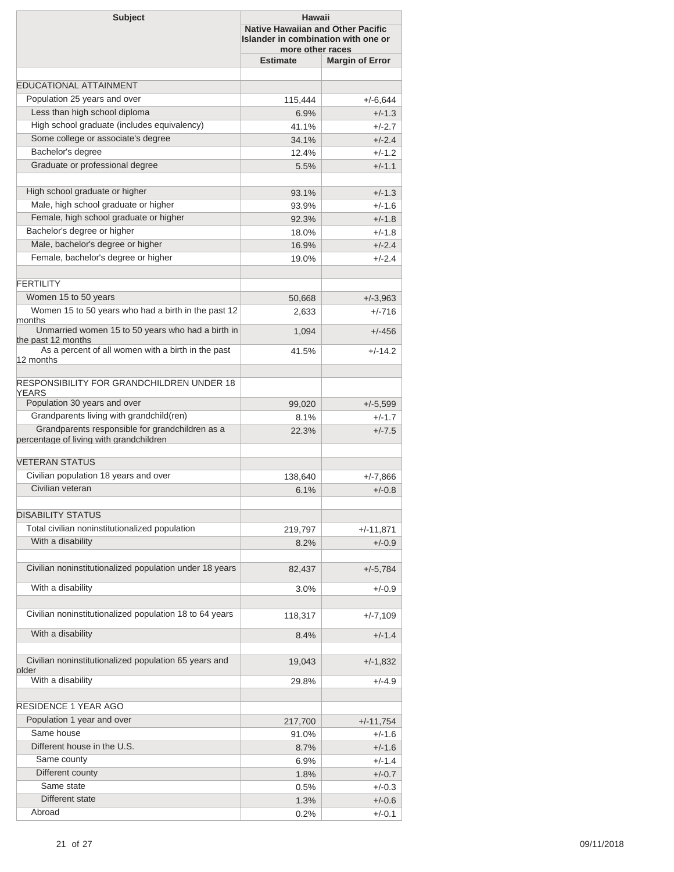| <b>Subject</b>                                                                             | Hawaii<br><b>Native Hawaiian and Other Pacific</b><br>Islander in combination with one or<br>more other races |                        |  |
|--------------------------------------------------------------------------------------------|---------------------------------------------------------------------------------------------------------------|------------------------|--|
|                                                                                            | <b>Estimate</b>                                                                                               | <b>Margin of Error</b> |  |
|                                                                                            |                                                                                                               |                        |  |
| <b>EDUCATIONAL ATTAINMENT</b>                                                              |                                                                                                               |                        |  |
| Population 25 years and over                                                               | 115,444                                                                                                       | $+/-6,644$             |  |
| Less than high school diploma                                                              | 6.9%                                                                                                          | $+/-1.3$               |  |
| High school graduate (includes equivalency)                                                | 41.1%                                                                                                         | $+/-2.7$               |  |
| Some college or associate's degree                                                         | 34.1%                                                                                                         | $+/-2.4$               |  |
| Bachelor's degree<br>Graduate or professional degree                                       | 12.4%                                                                                                         | $+/-1.2$               |  |
|                                                                                            | 5.5%                                                                                                          | $+/-1.1$               |  |
| High school graduate or higher                                                             | 93.1%                                                                                                         | $+/-1.3$               |  |
| Male, high school graduate or higher                                                       | 93.9%                                                                                                         | $+/-1.6$               |  |
| Female, high school graduate or higher                                                     | 92.3%                                                                                                         | $+/-1.8$               |  |
| Bachelor's degree or higher                                                                | 18.0%                                                                                                         | $+/-1.8$               |  |
| Male, bachelor's degree or higher                                                          | 16.9%                                                                                                         | $+/-2.4$               |  |
| Female, bachelor's degree or higher                                                        | 19.0%                                                                                                         | $+/-2.4$               |  |
| <b>FERTILITY</b>                                                                           |                                                                                                               |                        |  |
| Women 15 to 50 years                                                                       | 50,668                                                                                                        | $+/-3,963$             |  |
| Women 15 to 50 years who had a birth in the past 12<br>months                              | 2,633                                                                                                         | $+/-716$               |  |
| Unmarried women 15 to 50 years who had a birth in<br>the past 12 months                    | 1,094                                                                                                         | $+/-456$               |  |
| As a percent of all women with a birth in the past<br>12 months                            | 41.5%                                                                                                         | $+/-14.2$              |  |
| RESPONSIBILITY FOR GRANDCHILDREN UNDER 18<br>YEARS                                         |                                                                                                               |                        |  |
| Population 30 years and over                                                               | 99,020                                                                                                        | $+/-5,599$             |  |
| Grandparents living with grandchild(ren)                                                   | 8.1%                                                                                                          | $+/-1.7$               |  |
| Grandparents responsible for grandchildren as a<br>percentage of living with grandchildren | 22.3%                                                                                                         | $+/-7.5$               |  |
| <b>VETERAN STATUS</b>                                                                      |                                                                                                               |                        |  |
| Civilian population 18 years and over                                                      | 138,640                                                                                                       | +/-7,866               |  |
| Civilian veteran                                                                           | 6.1%                                                                                                          | $+/-0.8$               |  |
| <b>DISABILITY STATUS</b>                                                                   |                                                                                                               |                        |  |
| Total civilian noninstitutionalized population                                             |                                                                                                               |                        |  |
| With a disability                                                                          | 219,797                                                                                                       | $+/-11,871$            |  |
|                                                                                            | 8.2%                                                                                                          | $+/-0.9$               |  |
| Civilian noninstitutionalized population under 18 years                                    | 82,437                                                                                                        | $+/-5,784$             |  |
| With a disability                                                                          | $3.0\%$                                                                                                       | +/-0.9                 |  |
| Civilian noninstitutionalized population 18 to 64 years                                    | 118,317                                                                                                       | $+/-7,109$             |  |
| With a disability                                                                          | 8.4%                                                                                                          | $+/-1.4$               |  |
| Civilian noninstitutionalized population 65 years and                                      | 19,043                                                                                                        | $+/-1,832$             |  |
| older<br>With a disability                                                                 | 29.8%                                                                                                         | +/-4.9                 |  |
| <b>RESIDENCE 1 YEAR AGO</b>                                                                |                                                                                                               |                        |  |
| Population 1 year and over                                                                 | 217,700                                                                                                       | $+/-11,754$            |  |
| Same house                                                                                 | 91.0%                                                                                                         | $+/-1.6$               |  |
| Different house in the U.S.                                                                | 8.7%                                                                                                          | $+/-1.6$               |  |
| Same county                                                                                | $6.9\%$                                                                                                       | $+/-1.4$               |  |
| Different county                                                                           | 1.8%                                                                                                          | $+/-0.7$               |  |
| Same state                                                                                 | 0.5%                                                                                                          | $+/-0.3$               |  |
| Different state                                                                            | 1.3%                                                                                                          | $+/-0.6$               |  |
| Abroad                                                                                     | 0.2%                                                                                                          | $+/-0.1$               |  |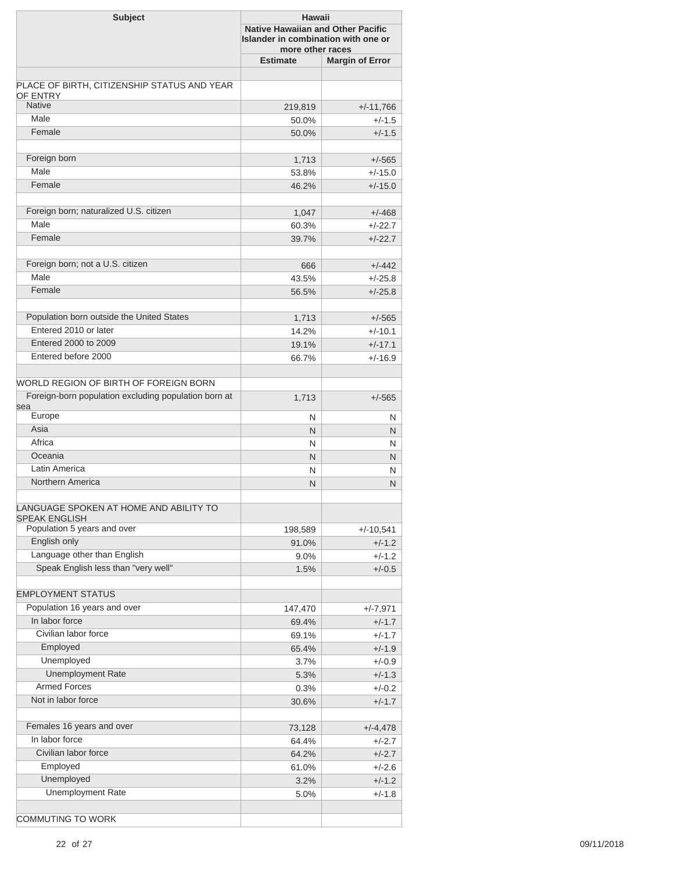| <b>Estimate</b><br><b>Margin of Error</b><br>PLACE OF BIRTH, CITIZENSHIP STATUS AND YEAR<br><b>OF ENTRY</b><br><b>Native</b><br>219,819<br>$+/-11,766$<br>Male<br>$+/-1.5$<br>50.0%<br>Female<br>$+/-1.5$<br>50.0%<br>Foreign born<br>$+/-565$<br>1,713<br>Male<br>$+/-15.0$<br>53.8%<br>Female<br>$+/-15.0$<br>46.2%<br>Foreign born; naturalized U.S. citizen<br>$+/-468$<br>1,047<br>Male<br>$+/-22.7$<br>60.3%<br>Female<br>$+/-22.7$<br>39.7%<br>Foreign born; not a U.S. citizen<br>$+/-442$<br>666<br>Male<br>43.5%<br>$+/-25.8$<br>Female<br>56.5%<br>$+/-25.8$<br>Population born outside the United States<br>$+/-565$<br>1,713<br>Entered 2010 or later<br>$+/-10.1$<br>14.2%<br>Entered 2000 to 2009<br>19.1%<br>$+/-17.1$<br>Entered before 2000<br>66.7%<br>$+/-16.9$<br>Foreign-born population excluding population born at<br>1,713<br>$+/-565$<br>Europe<br>N<br>N<br>Asia<br>N<br>N<br>Africa<br>N<br>N<br>Oceania<br>N.<br>N<br>Latin America<br>N<br>N<br>Northern America<br>N<br>N<br>LANGUAGE SPOKEN AT HOME AND ABILITY TO<br>Population 5 years and over<br>$+/-10,541$<br>198,589<br>English only<br>91.0%<br>$+/-1.2$<br>Language other than English<br>$+/-1.2$<br>$9.0\%$<br>Speak English less than "very well"<br>1.5%<br>$+/-0.5$<br><b>EMPLOYMENT STATUS</b><br>Population 16 years and over<br>$+/-7,971$<br>147,470<br>In labor force<br>69.4%<br>$+/-1.7$<br>Civilian labor force<br>$+/-1.7$<br>69.1%<br>Employed<br>$+/-1.9$<br>65.4%<br>Unemployed<br>3.7%<br>$+/-0.9$<br><b>Unemployment Rate</b><br>$+/-1.3$<br>5.3%<br><b>Armed Forces</b><br>0.3%<br>$+/-0.2$<br>Not in labor force<br>$+/-1.7$<br>30.6%<br>Females 16 years and over<br>$+/-4,478$<br>73,128<br>In labor force<br>64.4%<br>$+/-2.7$<br>Civilian labor force<br>$+/-2.7$<br>64.2%<br>Employed<br>61.0%<br>$+/-2.6$<br>Unemployed<br>3.2%<br>$+/-1.2$<br><b>Unemployment Rate</b><br>$+/-1.8$<br>5.0% | <b>Subject</b>                        | Hawaii<br><b>Native Hawaiian and Other Pacific</b><br>Islander in combination with one or<br>more other races |  |  |
|------------------------------------------------------------------------------------------------------------------------------------------------------------------------------------------------------------------------------------------------------------------------------------------------------------------------------------------------------------------------------------------------------------------------------------------------------------------------------------------------------------------------------------------------------------------------------------------------------------------------------------------------------------------------------------------------------------------------------------------------------------------------------------------------------------------------------------------------------------------------------------------------------------------------------------------------------------------------------------------------------------------------------------------------------------------------------------------------------------------------------------------------------------------------------------------------------------------------------------------------------------------------------------------------------------------------------------------------------------------------------------------------------------------------------------------------------------------------------------------------------------------------------------------------------------------------------------------------------------------------------------------------------------------------------------------------------------------------------------------------------------------------------------------------------------------------------------------------------------------------------------------------------------------|---------------------------------------|---------------------------------------------------------------------------------------------------------------|--|--|
|                                                                                                                                                                                                                                                                                                                                                                                                                                                                                                                                                                                                                                                                                                                                                                                                                                                                                                                                                                                                                                                                                                                                                                                                                                                                                                                                                                                                                                                                                                                                                                                                                                                                                                                                                                                                                                                                                                                  |                                       |                                                                                                               |  |  |
|                                                                                                                                                                                                                                                                                                                                                                                                                                                                                                                                                                                                                                                                                                                                                                                                                                                                                                                                                                                                                                                                                                                                                                                                                                                                                                                                                                                                                                                                                                                                                                                                                                                                                                                                                                                                                                                                                                                  |                                       |                                                                                                               |  |  |
|                                                                                                                                                                                                                                                                                                                                                                                                                                                                                                                                                                                                                                                                                                                                                                                                                                                                                                                                                                                                                                                                                                                                                                                                                                                                                                                                                                                                                                                                                                                                                                                                                                                                                                                                                                                                                                                                                                                  |                                       |                                                                                                               |  |  |
|                                                                                                                                                                                                                                                                                                                                                                                                                                                                                                                                                                                                                                                                                                                                                                                                                                                                                                                                                                                                                                                                                                                                                                                                                                                                                                                                                                                                                                                                                                                                                                                                                                                                                                                                                                                                                                                                                                                  |                                       |                                                                                                               |  |  |
|                                                                                                                                                                                                                                                                                                                                                                                                                                                                                                                                                                                                                                                                                                                                                                                                                                                                                                                                                                                                                                                                                                                                                                                                                                                                                                                                                                                                                                                                                                                                                                                                                                                                                                                                                                                                                                                                                                                  |                                       |                                                                                                               |  |  |
|                                                                                                                                                                                                                                                                                                                                                                                                                                                                                                                                                                                                                                                                                                                                                                                                                                                                                                                                                                                                                                                                                                                                                                                                                                                                                                                                                                                                                                                                                                                                                                                                                                                                                                                                                                                                                                                                                                                  |                                       |                                                                                                               |  |  |
|                                                                                                                                                                                                                                                                                                                                                                                                                                                                                                                                                                                                                                                                                                                                                                                                                                                                                                                                                                                                                                                                                                                                                                                                                                                                                                                                                                                                                                                                                                                                                                                                                                                                                                                                                                                                                                                                                                                  |                                       |                                                                                                               |  |  |
|                                                                                                                                                                                                                                                                                                                                                                                                                                                                                                                                                                                                                                                                                                                                                                                                                                                                                                                                                                                                                                                                                                                                                                                                                                                                                                                                                                                                                                                                                                                                                                                                                                                                                                                                                                                                                                                                                                                  |                                       |                                                                                                               |  |  |
|                                                                                                                                                                                                                                                                                                                                                                                                                                                                                                                                                                                                                                                                                                                                                                                                                                                                                                                                                                                                                                                                                                                                                                                                                                                                                                                                                                                                                                                                                                                                                                                                                                                                                                                                                                                                                                                                                                                  |                                       |                                                                                                               |  |  |
|                                                                                                                                                                                                                                                                                                                                                                                                                                                                                                                                                                                                                                                                                                                                                                                                                                                                                                                                                                                                                                                                                                                                                                                                                                                                                                                                                                                                                                                                                                                                                                                                                                                                                                                                                                                                                                                                                                                  |                                       |                                                                                                               |  |  |
|                                                                                                                                                                                                                                                                                                                                                                                                                                                                                                                                                                                                                                                                                                                                                                                                                                                                                                                                                                                                                                                                                                                                                                                                                                                                                                                                                                                                                                                                                                                                                                                                                                                                                                                                                                                                                                                                                                                  |                                       |                                                                                                               |  |  |
|                                                                                                                                                                                                                                                                                                                                                                                                                                                                                                                                                                                                                                                                                                                                                                                                                                                                                                                                                                                                                                                                                                                                                                                                                                                                                                                                                                                                                                                                                                                                                                                                                                                                                                                                                                                                                                                                                                                  |                                       |                                                                                                               |  |  |
|                                                                                                                                                                                                                                                                                                                                                                                                                                                                                                                                                                                                                                                                                                                                                                                                                                                                                                                                                                                                                                                                                                                                                                                                                                                                                                                                                                                                                                                                                                                                                                                                                                                                                                                                                                                                                                                                                                                  |                                       |                                                                                                               |  |  |
|                                                                                                                                                                                                                                                                                                                                                                                                                                                                                                                                                                                                                                                                                                                                                                                                                                                                                                                                                                                                                                                                                                                                                                                                                                                                                                                                                                                                                                                                                                                                                                                                                                                                                                                                                                                                                                                                                                                  |                                       |                                                                                                               |  |  |
|                                                                                                                                                                                                                                                                                                                                                                                                                                                                                                                                                                                                                                                                                                                                                                                                                                                                                                                                                                                                                                                                                                                                                                                                                                                                                                                                                                                                                                                                                                                                                                                                                                                                                                                                                                                                                                                                                                                  |                                       |                                                                                                               |  |  |
|                                                                                                                                                                                                                                                                                                                                                                                                                                                                                                                                                                                                                                                                                                                                                                                                                                                                                                                                                                                                                                                                                                                                                                                                                                                                                                                                                                                                                                                                                                                                                                                                                                                                                                                                                                                                                                                                                                                  |                                       |                                                                                                               |  |  |
|                                                                                                                                                                                                                                                                                                                                                                                                                                                                                                                                                                                                                                                                                                                                                                                                                                                                                                                                                                                                                                                                                                                                                                                                                                                                                                                                                                                                                                                                                                                                                                                                                                                                                                                                                                                                                                                                                                                  |                                       |                                                                                                               |  |  |
|                                                                                                                                                                                                                                                                                                                                                                                                                                                                                                                                                                                                                                                                                                                                                                                                                                                                                                                                                                                                                                                                                                                                                                                                                                                                                                                                                                                                                                                                                                                                                                                                                                                                                                                                                                                                                                                                                                                  |                                       |                                                                                                               |  |  |
|                                                                                                                                                                                                                                                                                                                                                                                                                                                                                                                                                                                                                                                                                                                                                                                                                                                                                                                                                                                                                                                                                                                                                                                                                                                                                                                                                                                                                                                                                                                                                                                                                                                                                                                                                                                                                                                                                                                  |                                       |                                                                                                               |  |  |
|                                                                                                                                                                                                                                                                                                                                                                                                                                                                                                                                                                                                                                                                                                                                                                                                                                                                                                                                                                                                                                                                                                                                                                                                                                                                                                                                                                                                                                                                                                                                                                                                                                                                                                                                                                                                                                                                                                                  |                                       |                                                                                                               |  |  |
|                                                                                                                                                                                                                                                                                                                                                                                                                                                                                                                                                                                                                                                                                                                                                                                                                                                                                                                                                                                                                                                                                                                                                                                                                                                                                                                                                                                                                                                                                                                                                                                                                                                                                                                                                                                                                                                                                                                  |                                       |                                                                                                               |  |  |
|                                                                                                                                                                                                                                                                                                                                                                                                                                                                                                                                                                                                                                                                                                                                                                                                                                                                                                                                                                                                                                                                                                                                                                                                                                                                                                                                                                                                                                                                                                                                                                                                                                                                                                                                                                                                                                                                                                                  |                                       |                                                                                                               |  |  |
|                                                                                                                                                                                                                                                                                                                                                                                                                                                                                                                                                                                                                                                                                                                                                                                                                                                                                                                                                                                                                                                                                                                                                                                                                                                                                                                                                                                                                                                                                                                                                                                                                                                                                                                                                                                                                                                                                                                  |                                       |                                                                                                               |  |  |
|                                                                                                                                                                                                                                                                                                                                                                                                                                                                                                                                                                                                                                                                                                                                                                                                                                                                                                                                                                                                                                                                                                                                                                                                                                                                                                                                                                                                                                                                                                                                                                                                                                                                                                                                                                                                                                                                                                                  |                                       |                                                                                                               |  |  |
|                                                                                                                                                                                                                                                                                                                                                                                                                                                                                                                                                                                                                                                                                                                                                                                                                                                                                                                                                                                                                                                                                                                                                                                                                                                                                                                                                                                                                                                                                                                                                                                                                                                                                                                                                                                                                                                                                                                  | WORLD REGION OF BIRTH OF FOREIGN BORN |                                                                                                               |  |  |
|                                                                                                                                                                                                                                                                                                                                                                                                                                                                                                                                                                                                                                                                                                                                                                                                                                                                                                                                                                                                                                                                                                                                                                                                                                                                                                                                                                                                                                                                                                                                                                                                                                                                                                                                                                                                                                                                                                                  |                                       |                                                                                                               |  |  |
|                                                                                                                                                                                                                                                                                                                                                                                                                                                                                                                                                                                                                                                                                                                                                                                                                                                                                                                                                                                                                                                                                                                                                                                                                                                                                                                                                                                                                                                                                                                                                                                                                                                                                                                                                                                                                                                                                                                  | sea                                   |                                                                                                               |  |  |
|                                                                                                                                                                                                                                                                                                                                                                                                                                                                                                                                                                                                                                                                                                                                                                                                                                                                                                                                                                                                                                                                                                                                                                                                                                                                                                                                                                                                                                                                                                                                                                                                                                                                                                                                                                                                                                                                                                                  |                                       |                                                                                                               |  |  |
|                                                                                                                                                                                                                                                                                                                                                                                                                                                                                                                                                                                                                                                                                                                                                                                                                                                                                                                                                                                                                                                                                                                                                                                                                                                                                                                                                                                                                                                                                                                                                                                                                                                                                                                                                                                                                                                                                                                  |                                       |                                                                                                               |  |  |
|                                                                                                                                                                                                                                                                                                                                                                                                                                                                                                                                                                                                                                                                                                                                                                                                                                                                                                                                                                                                                                                                                                                                                                                                                                                                                                                                                                                                                                                                                                                                                                                                                                                                                                                                                                                                                                                                                                                  |                                       |                                                                                                               |  |  |
|                                                                                                                                                                                                                                                                                                                                                                                                                                                                                                                                                                                                                                                                                                                                                                                                                                                                                                                                                                                                                                                                                                                                                                                                                                                                                                                                                                                                                                                                                                                                                                                                                                                                                                                                                                                                                                                                                                                  |                                       |                                                                                                               |  |  |
|                                                                                                                                                                                                                                                                                                                                                                                                                                                                                                                                                                                                                                                                                                                                                                                                                                                                                                                                                                                                                                                                                                                                                                                                                                                                                                                                                                                                                                                                                                                                                                                                                                                                                                                                                                                                                                                                                                                  |                                       |                                                                                                               |  |  |
|                                                                                                                                                                                                                                                                                                                                                                                                                                                                                                                                                                                                                                                                                                                                                                                                                                                                                                                                                                                                                                                                                                                                                                                                                                                                                                                                                                                                                                                                                                                                                                                                                                                                                                                                                                                                                                                                                                                  |                                       |                                                                                                               |  |  |
|                                                                                                                                                                                                                                                                                                                                                                                                                                                                                                                                                                                                                                                                                                                                                                                                                                                                                                                                                                                                                                                                                                                                                                                                                                                                                                                                                                                                                                                                                                                                                                                                                                                                                                                                                                                                                                                                                                                  |                                       |                                                                                                               |  |  |
|                                                                                                                                                                                                                                                                                                                                                                                                                                                                                                                                                                                                                                                                                                                                                                                                                                                                                                                                                                                                                                                                                                                                                                                                                                                                                                                                                                                                                                                                                                                                                                                                                                                                                                                                                                                                                                                                                                                  | <b>SPEAK ENGLISH</b>                  |                                                                                                               |  |  |
|                                                                                                                                                                                                                                                                                                                                                                                                                                                                                                                                                                                                                                                                                                                                                                                                                                                                                                                                                                                                                                                                                                                                                                                                                                                                                                                                                                                                                                                                                                                                                                                                                                                                                                                                                                                                                                                                                                                  |                                       |                                                                                                               |  |  |
|                                                                                                                                                                                                                                                                                                                                                                                                                                                                                                                                                                                                                                                                                                                                                                                                                                                                                                                                                                                                                                                                                                                                                                                                                                                                                                                                                                                                                                                                                                                                                                                                                                                                                                                                                                                                                                                                                                                  |                                       |                                                                                                               |  |  |
|                                                                                                                                                                                                                                                                                                                                                                                                                                                                                                                                                                                                                                                                                                                                                                                                                                                                                                                                                                                                                                                                                                                                                                                                                                                                                                                                                                                                                                                                                                                                                                                                                                                                                                                                                                                                                                                                                                                  |                                       |                                                                                                               |  |  |
|                                                                                                                                                                                                                                                                                                                                                                                                                                                                                                                                                                                                                                                                                                                                                                                                                                                                                                                                                                                                                                                                                                                                                                                                                                                                                                                                                                                                                                                                                                                                                                                                                                                                                                                                                                                                                                                                                                                  |                                       |                                                                                                               |  |  |
|                                                                                                                                                                                                                                                                                                                                                                                                                                                                                                                                                                                                                                                                                                                                                                                                                                                                                                                                                                                                                                                                                                                                                                                                                                                                                                                                                                                                                                                                                                                                                                                                                                                                                                                                                                                                                                                                                                                  |                                       |                                                                                                               |  |  |
|                                                                                                                                                                                                                                                                                                                                                                                                                                                                                                                                                                                                                                                                                                                                                                                                                                                                                                                                                                                                                                                                                                                                                                                                                                                                                                                                                                                                                                                                                                                                                                                                                                                                                                                                                                                                                                                                                                                  |                                       |                                                                                                               |  |  |
|                                                                                                                                                                                                                                                                                                                                                                                                                                                                                                                                                                                                                                                                                                                                                                                                                                                                                                                                                                                                                                                                                                                                                                                                                                                                                                                                                                                                                                                                                                                                                                                                                                                                                                                                                                                                                                                                                                                  |                                       |                                                                                                               |  |  |
|                                                                                                                                                                                                                                                                                                                                                                                                                                                                                                                                                                                                                                                                                                                                                                                                                                                                                                                                                                                                                                                                                                                                                                                                                                                                                                                                                                                                                                                                                                                                                                                                                                                                                                                                                                                                                                                                                                                  |                                       |                                                                                                               |  |  |
|                                                                                                                                                                                                                                                                                                                                                                                                                                                                                                                                                                                                                                                                                                                                                                                                                                                                                                                                                                                                                                                                                                                                                                                                                                                                                                                                                                                                                                                                                                                                                                                                                                                                                                                                                                                                                                                                                                                  |                                       |                                                                                                               |  |  |
|                                                                                                                                                                                                                                                                                                                                                                                                                                                                                                                                                                                                                                                                                                                                                                                                                                                                                                                                                                                                                                                                                                                                                                                                                                                                                                                                                                                                                                                                                                                                                                                                                                                                                                                                                                                                                                                                                                                  |                                       |                                                                                                               |  |  |
|                                                                                                                                                                                                                                                                                                                                                                                                                                                                                                                                                                                                                                                                                                                                                                                                                                                                                                                                                                                                                                                                                                                                                                                                                                                                                                                                                                                                                                                                                                                                                                                                                                                                                                                                                                                                                                                                                                                  |                                       |                                                                                                               |  |  |
|                                                                                                                                                                                                                                                                                                                                                                                                                                                                                                                                                                                                                                                                                                                                                                                                                                                                                                                                                                                                                                                                                                                                                                                                                                                                                                                                                                                                                                                                                                                                                                                                                                                                                                                                                                                                                                                                                                                  |                                       |                                                                                                               |  |  |
|                                                                                                                                                                                                                                                                                                                                                                                                                                                                                                                                                                                                                                                                                                                                                                                                                                                                                                                                                                                                                                                                                                                                                                                                                                                                                                                                                                                                                                                                                                                                                                                                                                                                                                                                                                                                                                                                                                                  |                                       |                                                                                                               |  |  |
|                                                                                                                                                                                                                                                                                                                                                                                                                                                                                                                                                                                                                                                                                                                                                                                                                                                                                                                                                                                                                                                                                                                                                                                                                                                                                                                                                                                                                                                                                                                                                                                                                                                                                                                                                                                                                                                                                                                  |                                       |                                                                                                               |  |  |
|                                                                                                                                                                                                                                                                                                                                                                                                                                                                                                                                                                                                                                                                                                                                                                                                                                                                                                                                                                                                                                                                                                                                                                                                                                                                                                                                                                                                                                                                                                                                                                                                                                                                                                                                                                                                                                                                                                                  |                                       |                                                                                                               |  |  |
|                                                                                                                                                                                                                                                                                                                                                                                                                                                                                                                                                                                                                                                                                                                                                                                                                                                                                                                                                                                                                                                                                                                                                                                                                                                                                                                                                                                                                                                                                                                                                                                                                                                                                                                                                                                                                                                                                                                  |                                       |                                                                                                               |  |  |
|                                                                                                                                                                                                                                                                                                                                                                                                                                                                                                                                                                                                                                                                                                                                                                                                                                                                                                                                                                                                                                                                                                                                                                                                                                                                                                                                                                                                                                                                                                                                                                                                                                                                                                                                                                                                                                                                                                                  |                                       |                                                                                                               |  |  |
|                                                                                                                                                                                                                                                                                                                                                                                                                                                                                                                                                                                                                                                                                                                                                                                                                                                                                                                                                                                                                                                                                                                                                                                                                                                                                                                                                                                                                                                                                                                                                                                                                                                                                                                                                                                                                                                                                                                  |                                       |                                                                                                               |  |  |
|                                                                                                                                                                                                                                                                                                                                                                                                                                                                                                                                                                                                                                                                                                                                                                                                                                                                                                                                                                                                                                                                                                                                                                                                                                                                                                                                                                                                                                                                                                                                                                                                                                                                                                                                                                                                                                                                                                                  |                                       |                                                                                                               |  |  |
|                                                                                                                                                                                                                                                                                                                                                                                                                                                                                                                                                                                                                                                                                                                                                                                                                                                                                                                                                                                                                                                                                                                                                                                                                                                                                                                                                                                                                                                                                                                                                                                                                                                                                                                                                                                                                                                                                                                  |                                       |                                                                                                               |  |  |
|                                                                                                                                                                                                                                                                                                                                                                                                                                                                                                                                                                                                                                                                                                                                                                                                                                                                                                                                                                                                                                                                                                                                                                                                                                                                                                                                                                                                                                                                                                                                                                                                                                                                                                                                                                                                                                                                                                                  |                                       |                                                                                                               |  |  |
|                                                                                                                                                                                                                                                                                                                                                                                                                                                                                                                                                                                                                                                                                                                                                                                                                                                                                                                                                                                                                                                                                                                                                                                                                                                                                                                                                                                                                                                                                                                                                                                                                                                                                                                                                                                                                                                                                                                  | <b>COMMUTING TO WORK</b>              |                                                                                                               |  |  |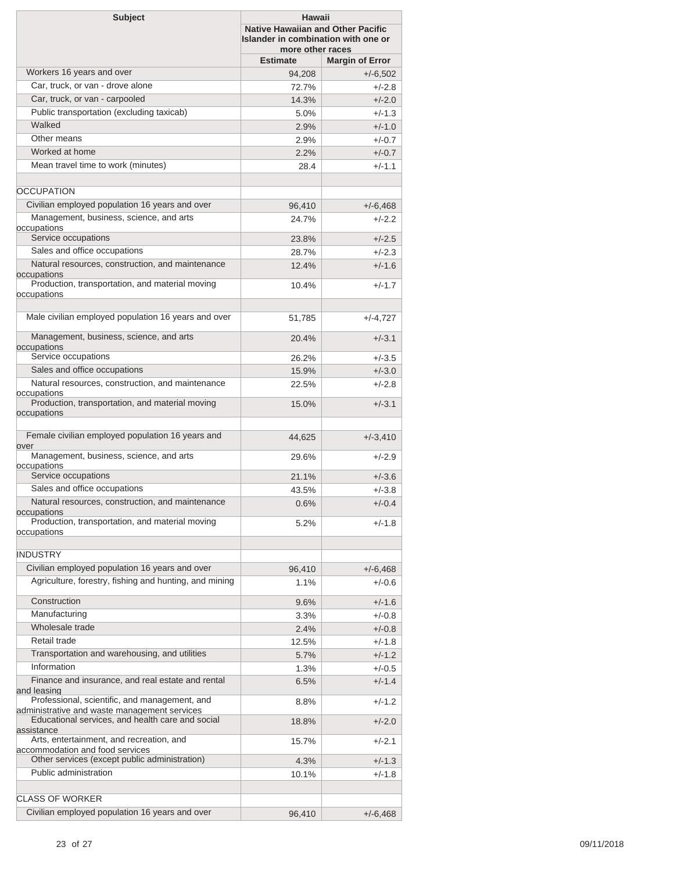| <b>Subject</b>                                                                                                 | Hawaii<br><b>Native Hawaiian and Other Pacific</b><br>Islander in combination with one or<br>more other races |                        |  |
|----------------------------------------------------------------------------------------------------------------|---------------------------------------------------------------------------------------------------------------|------------------------|--|
|                                                                                                                | <b>Estimate</b>                                                                                               | <b>Margin of Error</b> |  |
| Workers 16 years and over                                                                                      | 94,208                                                                                                        | $+/-6,502$             |  |
| Car, truck, or van - drove alone                                                                               | 72.7%                                                                                                         | +/-2.8                 |  |
| Car, truck, or van - carpooled                                                                                 | 14.3%                                                                                                         | $+/-2.0$               |  |
| Public transportation (excluding taxicab)                                                                      | 5.0%                                                                                                          | $+/-1.3$               |  |
| Walked                                                                                                         | 2.9%                                                                                                          | $+/-1.0$               |  |
| Other means                                                                                                    | 2.9%                                                                                                          | $+/-0.7$               |  |
| Worked at home                                                                                                 | 2.2%                                                                                                          | $+/-0.7$               |  |
| Mean travel time to work (minutes)                                                                             | 28.4                                                                                                          | $+/-1.1$               |  |
|                                                                                                                |                                                                                                               |                        |  |
| <b>OCCUPATION</b>                                                                                              |                                                                                                               |                        |  |
| Civilian employed population 16 years and over                                                                 |                                                                                                               |                        |  |
| Management, business, science, and arts                                                                        | 96,410                                                                                                        | $+/-6,468$             |  |
| occupations                                                                                                    | 24.7%                                                                                                         | $+/-2.2$               |  |
| Service occupations                                                                                            | 23.8%                                                                                                         | $+/-2.5$               |  |
| Sales and office occupations                                                                                   | 28.7%                                                                                                         | $+/-2.3$               |  |
| Natural resources, construction, and maintenance                                                               | 12.4%                                                                                                         | $+/-1.6$               |  |
| occupations                                                                                                    |                                                                                                               |                        |  |
| Production, transportation, and material moving                                                                | 10.4%                                                                                                         | $+/-1.7$               |  |
| occupations                                                                                                    |                                                                                                               |                        |  |
| Male civilian employed population 16 years and over                                                            | 51,785                                                                                                        | $+/-4,727$             |  |
| Management, business, science, and arts                                                                        | 20.4%                                                                                                         | $+/-3.1$               |  |
| occupations                                                                                                    |                                                                                                               |                        |  |
| Service occupations                                                                                            | 26.2%                                                                                                         | $+/-3.5$               |  |
| Sales and office occupations                                                                                   | 15.9%                                                                                                         | $+/-3.0$               |  |
| Natural resources, construction, and maintenance<br>occupations                                                | 22.5%                                                                                                         | $+/-2.8$               |  |
| Production, transportation, and material moving                                                                | 15.0%                                                                                                         | $+/-3.1$               |  |
| occupations                                                                                                    |                                                                                                               |                        |  |
| Female civilian employed population 16 years and                                                               | 44,625                                                                                                        | $+/-3,410$             |  |
| over<br>Management, business, science, and arts                                                                | 29.6%                                                                                                         | $+/-2.9$               |  |
| occupations                                                                                                    |                                                                                                               |                        |  |
| Service occupations                                                                                            | 21.1%                                                                                                         | $+/-3.6$               |  |
| Sales and office occupations                                                                                   | 43.5%                                                                                                         | $+/-3.8$               |  |
| Natural resources, construction, and maintenance                                                               | 0.6%                                                                                                          | $+/-0.4$               |  |
| occupations<br>Production, transportation, and material moving                                                 |                                                                                                               |                        |  |
| occupations                                                                                                    | 5.2%                                                                                                          | $+/-1.8$               |  |
|                                                                                                                |                                                                                                               |                        |  |
| <b>INDUSTRY</b>                                                                                                |                                                                                                               |                        |  |
| Civilian employed population 16 years and over                                                                 | 96,410                                                                                                        | $+/-6,468$             |  |
| Agriculture, forestry, fishing and hunting, and mining                                                         | 1.1%                                                                                                          | +/-0.6                 |  |
|                                                                                                                |                                                                                                               |                        |  |
| Construction                                                                                                   | 9.6%                                                                                                          | $+/-1.6$               |  |
| Manufacturing                                                                                                  | 3.3%                                                                                                          | $+/-0.8$               |  |
| Wholesale trade                                                                                                | 2.4%                                                                                                          | $+/-0.8$               |  |
| Retail trade                                                                                                   | 12.5%                                                                                                         | $+/-1.8$               |  |
| Transportation and warehousing, and utilities                                                                  | 5.7%                                                                                                          | $+/-1.2$               |  |
| Information                                                                                                    | 1.3%                                                                                                          | $+/-0.5$               |  |
| Finance and insurance, and real estate and rental                                                              | 6.5%                                                                                                          | $+/-1.4$               |  |
| and leasing<br>Professional, scientific, and management, and                                                   | 8.8%                                                                                                          | $+/-1.2$               |  |
| administrative and waste management services<br>Educational services, and health care and social<br>assistance | 18.8%                                                                                                         | $+/-2.0$               |  |
| Arts, entertainment, and recreation, and                                                                       | 15.7%                                                                                                         | $+/-2.1$               |  |
| accommodation and food services                                                                                |                                                                                                               |                        |  |
| Other services (except public administration)                                                                  | 4.3%                                                                                                          | $+/-1.3$               |  |
| Public administration                                                                                          | 10.1%                                                                                                         | $+/-1.8$               |  |
|                                                                                                                |                                                                                                               |                        |  |
| <b>CLASS OF WORKER</b>                                                                                         |                                                                                                               |                        |  |
| Civilian employed population 16 years and over                                                                 | 96,410                                                                                                        | $+/-6,468$             |  |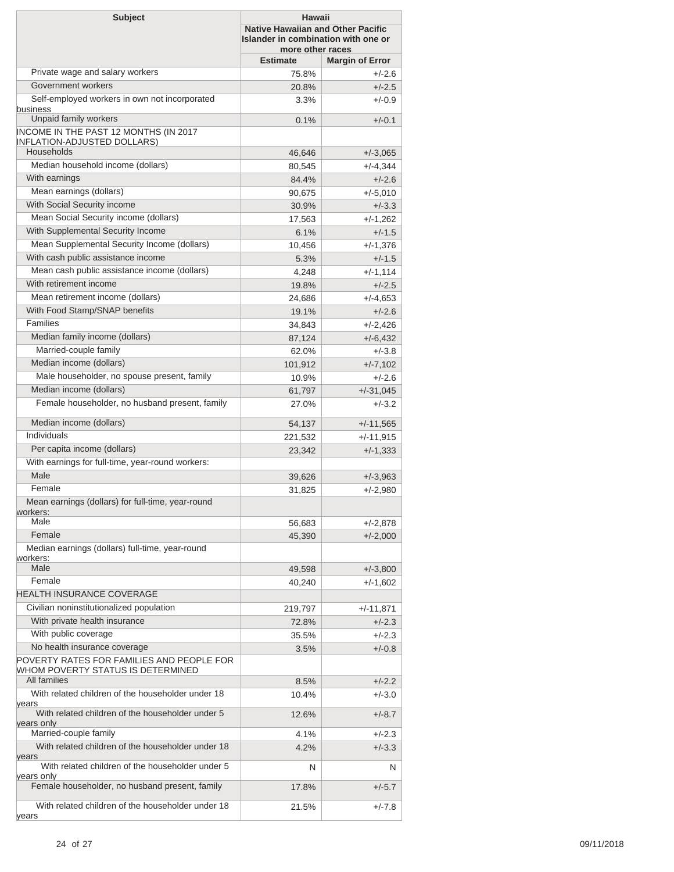| <b>Subject</b>                                                                                      | Hawaii<br><b>Native Hawaiian and Other Pacific</b><br>Islander in combination with one or<br>more other races |                        |  |
|-----------------------------------------------------------------------------------------------------|---------------------------------------------------------------------------------------------------------------|------------------------|--|
|                                                                                                     | <b>Estimate</b>                                                                                               | <b>Margin of Error</b> |  |
| Private wage and salary workers                                                                     | 75.8%                                                                                                         | $+/-2.6$               |  |
| Government workers                                                                                  | 20.8%                                                                                                         | $+/-2.5$               |  |
| Self-employed workers in own not incorporated<br>business                                           | 3.3%                                                                                                          | $+/-0.9$               |  |
| Unpaid family workers                                                                               | 0.1%                                                                                                          | $+/-0.1$               |  |
| INCOME IN THE PAST 12 MONTHS (IN 2017<br><b>INFLATION-ADJUSTED DOLLARS)</b>                         |                                                                                                               |                        |  |
| Households                                                                                          | 46,646                                                                                                        | $+/-3,065$             |  |
| Median household income (dollars)                                                                   | 80,545                                                                                                        | $+/-4,344$             |  |
| With earnings                                                                                       | 84.4%                                                                                                         | $+/-2.6$               |  |
| Mean earnings (dollars)                                                                             | 90,675                                                                                                        | $+/-5,010$             |  |
| With Social Security income                                                                         | 30.9%                                                                                                         | $+/-3.3$               |  |
| Mean Social Security income (dollars)                                                               | 17,563                                                                                                        | $+/-1,262$             |  |
| With Supplemental Security Income                                                                   | 6.1%                                                                                                          | $+/-1.5$               |  |
| Mean Supplemental Security Income (dollars)                                                         | 10,456                                                                                                        | +/-1,376               |  |
| With cash public assistance income                                                                  | 5.3%                                                                                                          | $+/-1.5$               |  |
| Mean cash public assistance income (dollars)                                                        | 4,248                                                                                                         | $+/-1,114$             |  |
| With retirement income                                                                              | 19.8%                                                                                                         | $+/-2.5$               |  |
| Mean retirement income (dollars)                                                                    | 24,686                                                                                                        | $+/-4,653$             |  |
| With Food Stamp/SNAP benefits                                                                       | 19.1%                                                                                                         | $+/-2.6$               |  |
| Families                                                                                            | 34,843                                                                                                        | $+/-2,426$             |  |
| Median family income (dollars)                                                                      | 87,124                                                                                                        | $+/-6,432$             |  |
| Married-couple family                                                                               | 62.0%                                                                                                         | $+/-3.8$               |  |
| Median income (dollars)                                                                             | 101,912                                                                                                       | $+/-7,102$             |  |
| Male householder, no spouse present, family                                                         | 10.9%                                                                                                         | $+/-2.6$               |  |
| Median income (dollars)                                                                             | 61,797                                                                                                        | $+/-31,045$            |  |
| Female householder, no husband present, family                                                      | 27.0%                                                                                                         | $+/-3.2$               |  |
| Median income (dollars)                                                                             | 54,137                                                                                                        | $+/-11,565$            |  |
| Individuals                                                                                         | 221,532                                                                                                       | $+/-11,915$            |  |
| Per capita income (dollars)                                                                         | 23,342                                                                                                        | $+/-1,333$             |  |
| With earnings for full-time, year-round workers:                                                    |                                                                                                               |                        |  |
| Male                                                                                                | 39,626                                                                                                        | $+/-3,963$             |  |
| Female                                                                                              | 31,825                                                                                                        | $+/-2,980$             |  |
| Mean earnings (dollars) for full-time, year-round<br>workers:                                       |                                                                                                               |                        |  |
| Male                                                                                                | 56,683                                                                                                        | +/-2,878               |  |
| Female                                                                                              | 45,390                                                                                                        | $+/-2,000$             |  |
| Median earnings (dollars) full-time, year-round<br>workers:                                         |                                                                                                               |                        |  |
| Male                                                                                                | 49,598                                                                                                        | $+/-3,800$             |  |
| Female                                                                                              | 40,240                                                                                                        | $+/-1,602$             |  |
| <b>HEALTH INSURANCE COVERAGE</b>                                                                    |                                                                                                               |                        |  |
| Civilian noninstitutionalized population                                                            | 219,797                                                                                                       | +/-11,871              |  |
| With private health insurance                                                                       | 72.8%                                                                                                         | $+/-2.3$               |  |
| With public coverage                                                                                | 35.5%                                                                                                         | $+/-2.3$               |  |
| No health insurance coverage                                                                        | 3.5%                                                                                                          | $+/-0.8$               |  |
| POVERTY RATES FOR FAMILIES AND PEOPLE FOR<br>WHOM POVERTY STATUS IS DETERMINED                      |                                                                                                               |                        |  |
| All families                                                                                        | 8.5%                                                                                                          | $+/-2.2$               |  |
| With related children of the householder under 18<br>years                                          | 10.4%                                                                                                         | $+/-3.0$               |  |
| With related children of the householder under 5<br>years only                                      | 12.6%                                                                                                         | $+/-8.7$               |  |
| Married-couple family                                                                               | 4.1%                                                                                                          | $+/-2.3$               |  |
| With related children of the householder under 18<br>years                                          | 4.2%                                                                                                          | $+/-3.3$               |  |
| With related children of the householder under 5<br>years only                                      | N                                                                                                             | N.                     |  |
| Female householder, no husband present, family<br>With related children of the householder under 18 | 17.8%                                                                                                         | $+/-5.7$               |  |
| years                                                                                               | 21.5%                                                                                                         | $+/-7.8$               |  |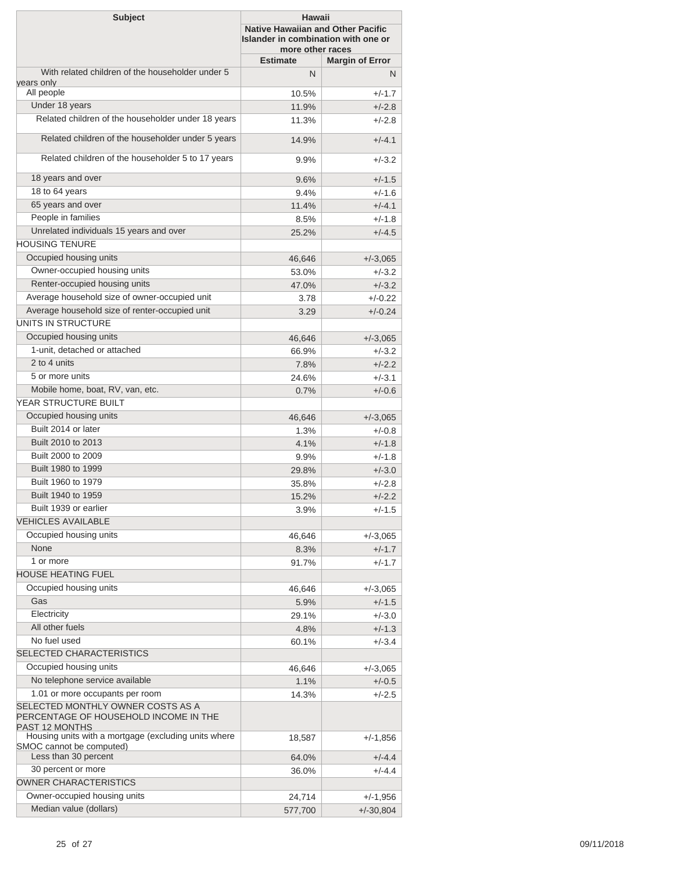| <b>Subject</b>                                                                                      | <b>Hawaii</b><br><b>Native Hawaiian and Other Pacific</b><br>Islander in combination with one or<br>more other races |                        |
|-----------------------------------------------------------------------------------------------------|----------------------------------------------------------------------------------------------------------------------|------------------------|
|                                                                                                     | <b>Estimate</b>                                                                                                      | <b>Margin of Error</b> |
| With related children of the householder under 5                                                    | N                                                                                                                    | N                      |
| years only<br>All people                                                                            |                                                                                                                      | $+/-1.7$               |
| Under 18 years                                                                                      | 10.5%<br>11.9%                                                                                                       | $+/-2.8$               |
| Related children of the householder under 18 years                                                  | 11.3%                                                                                                                | $+/-2.8$               |
| Related children of the householder under 5 years                                                   |                                                                                                                      |                        |
| Related children of the householder 5 to 17 years                                                   | 14.9%                                                                                                                | $+/-4.1$               |
|                                                                                                     | 9.9%                                                                                                                 | $+/-3.2$               |
| 18 years and over                                                                                   | 9.6%                                                                                                                 | $+/-1.5$               |
| 18 to 64 years                                                                                      | 9.4%                                                                                                                 | $+/-1.6$               |
| 65 years and over                                                                                   | 11.4%                                                                                                                | $+/-4.1$               |
| People in families                                                                                  | 8.5%                                                                                                                 | $+/-1.8$               |
| Unrelated individuals 15 years and over                                                             | 25.2%                                                                                                                | $+/-4.5$               |
| <b>HOUSING TENURE</b>                                                                               |                                                                                                                      |                        |
| Occupied housing units                                                                              | 46,646                                                                                                               | $+/-3,065$             |
| Owner-occupied housing units                                                                        | 53.0%                                                                                                                | $+/-3.2$               |
| Renter-occupied housing units                                                                       | 47.0%                                                                                                                | $+/-3.2$               |
| Average household size of owner-occupied unit                                                       | 3.78                                                                                                                 | $+/-0.22$              |
| Average household size of renter-occupied unit                                                      | 3.29                                                                                                                 | $+/-0.24$              |
| UNITS IN STRUCTURE                                                                                  |                                                                                                                      |                        |
| Occupied housing units                                                                              | 46,646                                                                                                               | $+/-3,065$             |
| 1-unit, detached or attached                                                                        | 66.9%                                                                                                                | $+/-3.2$               |
| 2 to 4 units                                                                                        | 7.8%                                                                                                                 | $+/-2.2$               |
| 5 or more units                                                                                     | 24.6%                                                                                                                | $+/-3.1$               |
| Mobile home, boat, RV, van, etc.                                                                    | 0.7%                                                                                                                 | $+/-0.6$               |
| YEAR STRUCTURE BUILT                                                                                |                                                                                                                      |                        |
| Occupied housing units                                                                              | 46,646                                                                                                               | $+/-3,065$             |
| Built 2014 or later                                                                                 | 1.3%                                                                                                                 | $+/-0.8$               |
| Built 2010 to 2013                                                                                  | 4.1%                                                                                                                 | $+/-1.8$               |
| Built 2000 to 2009                                                                                  |                                                                                                                      | $+/-1.8$               |
| Built 1980 to 1999                                                                                  | 9.9%                                                                                                                 |                        |
| Built 1960 to 1979                                                                                  | 29.8%                                                                                                                | $+/-3.0$               |
| Built 1940 to 1959                                                                                  | 35.8%                                                                                                                | $+/-2.8$               |
| Built 1939 or earlier                                                                               | 15.2%                                                                                                                | $+/-2.2$               |
| <b>VEHICLES AVAILABLE</b>                                                                           | 3.9%                                                                                                                 | $+/-1.5$               |
|                                                                                                     |                                                                                                                      |                        |
| Occupied housing units                                                                              | 46,646                                                                                                               | $+/-3,065$             |
| None                                                                                                | 8.3%                                                                                                                 | $+/-1.7$               |
| 1 or more                                                                                           | 91.7%                                                                                                                | $+/-1.7$               |
| <b>HOUSE HEATING FUEL</b>                                                                           |                                                                                                                      |                        |
| Occupied housing units                                                                              | 46,646                                                                                                               | $+/-3,065$             |
| Gas                                                                                                 | 5.9%                                                                                                                 | $+/-1.5$               |
| Electricity                                                                                         | 29.1%                                                                                                                | $+/-3.0$               |
| All other fuels                                                                                     | 4.8%                                                                                                                 | $+/-1.3$               |
| No fuel used                                                                                        | 60.1%                                                                                                                | $+/-3.4$               |
| SELECTED CHARACTERISTICS                                                                            |                                                                                                                      |                        |
| Occupied housing units                                                                              | 46,646                                                                                                               | $+/-3,065$             |
| No telephone service available                                                                      | 1.1%                                                                                                                 | $+/-0.5$               |
| 1.01 or more occupants per room                                                                     | 14.3%                                                                                                                | $+/-2.5$               |
| SELECTED MONTHLY OWNER COSTS AS A<br>PERCENTAGE OF HOUSEHOLD INCOME IN THE<br><b>PAST 12 MONTHS</b> |                                                                                                                      |                        |
| Housing units with a mortgage (excluding units where                                                | 18,587                                                                                                               | $+/-1,856$             |
| SMOC cannot be computed)<br>Less than 30 percent                                                    |                                                                                                                      |                        |
| 30 percent or more                                                                                  | 64.0%                                                                                                                | $+/-4.4$               |
| <b>OWNER CHARACTERISTICS</b>                                                                        | 36.0%                                                                                                                | $+/-4.4$               |
|                                                                                                     |                                                                                                                      |                        |
| Owner-occupied housing units                                                                        | 24,714                                                                                                               | $+/-1,956$             |
| Median value (dollars)                                                                              | 577,700                                                                                                              | $+/-30,804$            |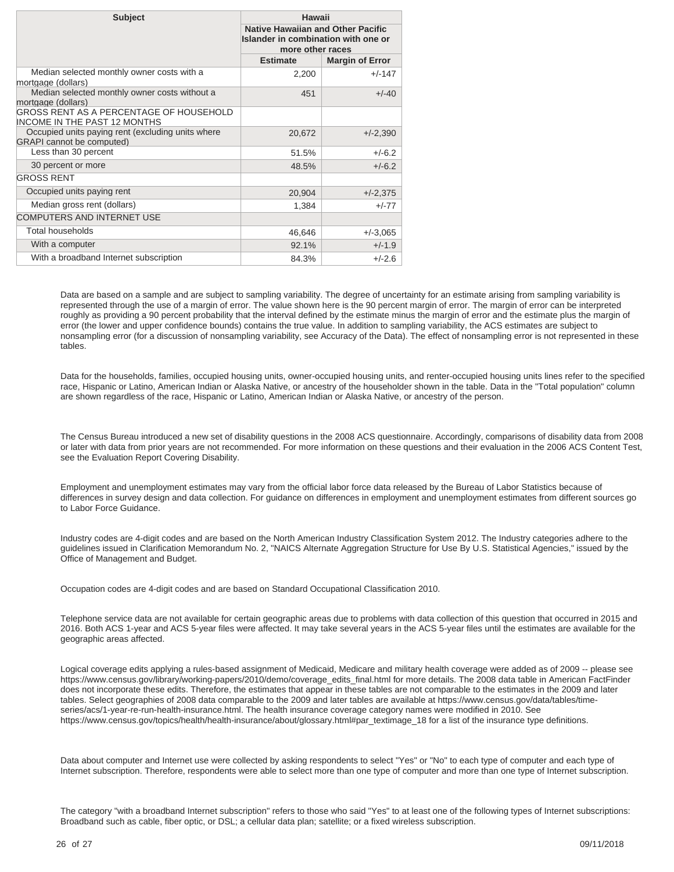| <b>Subject</b>                                                                        | Hawaii<br><b>Native Hawaiian and Other Pacific</b><br>Islander in combination with one or<br>more other races |                        |
|---------------------------------------------------------------------------------------|---------------------------------------------------------------------------------------------------------------|------------------------|
|                                                                                       |                                                                                                               |                        |
|                                                                                       | <b>Estimate</b>                                                                                               | <b>Margin of Error</b> |
| Median selected monthly owner costs with a<br>mortgage (dollars)                      | 2,200                                                                                                         | $+/-147$               |
| Median selected monthly owner costs without a<br>mortgage (dollars)                   | 451                                                                                                           | $+/-40$                |
| <b>GROSS RENT AS A PERCENTAGE OF HOUSEHOLD</b><br><b>INCOME IN THE PAST 12 MONTHS</b> |                                                                                                               |                        |
| Occupied units paying rent (excluding units where<br><b>GRAPI</b> cannot be computed) | 20,672                                                                                                        | $+/-2,390$             |
| Less than 30 percent                                                                  | 51.5%                                                                                                         | $+/-6.2$               |
| 30 percent or more                                                                    | 48.5%                                                                                                         | $+/-6.2$               |
| <b>GROSS RENT</b>                                                                     |                                                                                                               |                        |
| Occupied units paying rent                                                            | 20,904                                                                                                        | $+/-2,375$             |
| Median gross rent (dollars)                                                           | 1,384                                                                                                         | $+/-77$                |
| <b>COMPUTERS AND INTERNET USE</b>                                                     |                                                                                                               |                        |
| <b>Total households</b>                                                               | 46,646                                                                                                        | $+/-3,065$             |
| With a computer                                                                       | 92.1%                                                                                                         | $+/-1.9$               |
| With a broadband Internet subscription                                                | 84.3%                                                                                                         | $+/-2.6$               |

Data are based on a sample and are subject to sampling variability. The degree of uncertainty for an estimate arising from sampling variability is represented through the use of a margin of error. The value shown here is the 90 percent margin of error. The margin of error can be interpreted roughly as providing a 90 percent probability that the interval defined by the estimate minus the margin of error and the estimate plus the margin of error (the lower and upper confidence bounds) contains the true value. In addition to sampling variability, the ACS estimates are subject to nonsampling error (for a discussion of nonsampling variability, see [Accuracy of the Data\)](https://www.census.gov/programs-surveys/acs/technical-documentation.html/). The effect of nonsampling error is not represented in these tables.

Data for the households, families, occupied housing units, owner-occupied housing units, and renter-occupied housing units lines refer to the specified race, Hispanic or Latino, American Indian or Alaska Native, or ancestry of the householder shown in the table. Data in the "Total population" column are shown regardless of the race, Hispanic or Latino, American Indian or Alaska Native, or ancestry of the person.

The Census Bureau introduced a new set of disability questions in the 2008 ACS questionnaire. Accordingly, comparisons of disability data from 2008 or later with data from prior years are not recommended. For more information on these questions and their evaluation in the 2006 ACS Content Test, see the [Evaluation Report Covering Disability.](https://www.census.gov/content/dam/Census/library/working-papers/2007/acs/2007_Brault_01.pdf)

Employment and unemployment estimates may vary from the official labor force data released by the Bureau of Labor Statistics because of differences in survey design and data collection. For guidance on differences in employment and unemployment estimates from different sources go to [Labor Force Guidance](https://www.census.gov/hhes/www/laborfor/laborguidance092209.html).

Industry codes are 4-digit codes and are based on the North American Industry Classification System 2012. The Industry categories adhere to the guidelines issued in Clarification Memorandum No. 2, "NAICS Alternate Aggregation Structure for Use By U.S. Statistical Agencies," issued by the Office of Management and Budget.

Occupation codes are 4-digit codes and are based on Standard Occupational Classification 2010.

Telephone service data are not available for certain geographic areas due to problems with data collection of this question that occurred in 2015 and 2016. Both ACS 1-year and ACS 5-year files were affected. It may take several years in the ACS 5-year files until the estimates are available for the geographic areas affected.

Logical coverage edits applying a rules-based assignment of Medicaid, Medicare and military health coverage were added as of 2009 -- please see [https://www.census.gov/library/working-papers/2010/demo/coverage\\_edits\\_final.html](https://www.census.gov/library/working-papers/2010/demo/coverage_edits_final.html) for more details. The 2008 data table in American FactFinder does not incorporate these edits. Therefore, the estimates that appear in these tables are not comparable to the estimates in the 2009 and later tables. Select geographies of 2008 data comparable to the 2009 and later tables are available at [https://www.census.gov/data/tables/time](https://www.census.gov/data/tables/time-series/acs/1-year-re-run-health-insurance.html)[series/acs/1-year-re-run-health-insurance.html](https://www.census.gov/data/tables/time-series/acs/1-year-re-run-health-insurance.html). The health insurance coverage category names were modified in 2010. See [https://www.census.gov/topics/health/health-insurance/about/glossary.html#par\\_textimage\\_18](https://www.census.gov/topics/health/health-insurance/about/glossary.html#par_textimage_18) for a list of the insurance type definitions.

Data about computer and Internet use were collected by asking respondents to select "Yes" or "No" to each type of computer and each type of Internet subscription. Therefore, respondents were able to select more than one type of computer and more than one type of Internet subscription.

The category "with a broadband Internet subscription" refers to those who said "Yes" to at least one of the following types of Internet subscriptions: Broadband such as cable, fiber optic, or DSL; a cellular data plan; satellite; or a fixed wireless subscription.